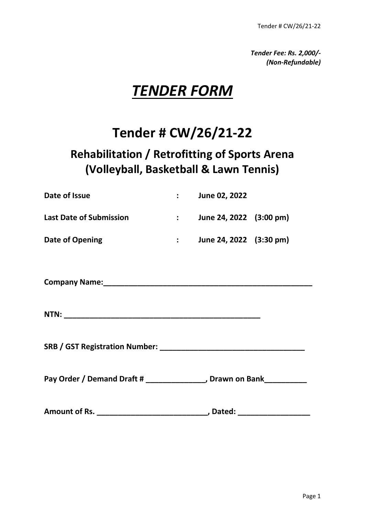*Tender Fee: Rs. 2,000/- (Non-Refundable)*

# *TENDER FORM*

# **Tender # CW/26/21-22**

## **Rehabilitation / Retrofitting of Sports Arena (Volleyball, Basketball & Lawn Tennis)**

| Date of Issue                  | <b>June 02, 2022</b>    |  |
|--------------------------------|-------------------------|--|
| <b>Last Date of Submission</b> | June 24, 2022 (3:00 pm) |  |
| Date of Opening                | June 24, 2022 (3:30 pm) |  |

Company Name: **Company Name: Company Name: Company Name: Company Name: Company Name: Company Advisory Company Advisory 2014** 

**NTN:**  $\blacksquare$ 

**SRB / GST Registration Number: \_\_\_\_\_\_\_\_\_\_\_\_\_\_\_\_\_\_\_\_\_\_\_\_\_\_\_\_\_\_\_\_\_\_**

Pay Order / Demand Draft # \_\_\_\_\_\_\_\_\_\_\_\_\_\_, Drawn on Bank\_\_\_\_\_\_\_\_\_\_

Amount of Rs. \_\_\_\_\_\_\_\_\_\_\_\_\_\_\_\_\_\_\_\_\_\_\_\_\_\_\_\_\_\_\_\_\_, Dated: \_\_\_\_\_\_\_\_\_\_\_\_\_\_\_\_\_\_\_\_\_\_\_\_\_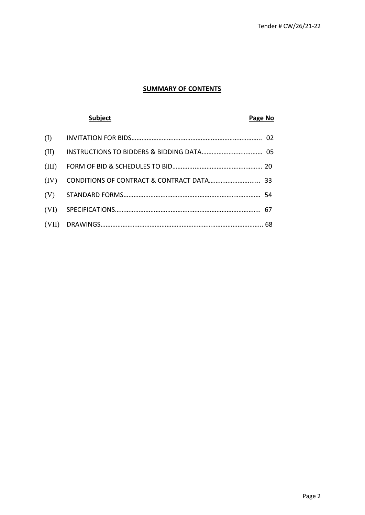#### **SUMMARY OF CONTENTS**

#### **Subject Page No. 2012**

| (II)  |  |
|-------|--|
| (III) |  |
| (IV)  |  |
|       |  |
|       |  |
|       |  |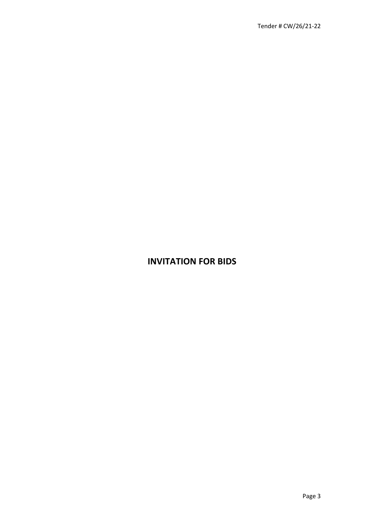### **INVITATION FOR BIDS**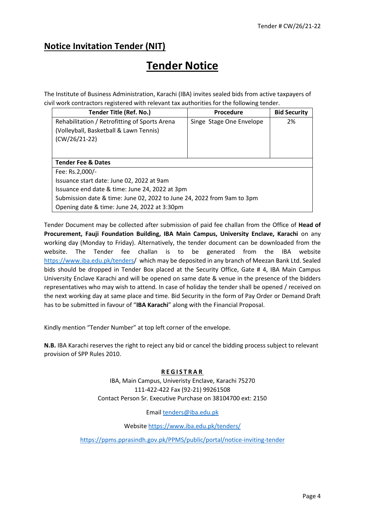### **Notice Invitation Tender (NIT)**

## **Tender Notice**

The Institute of Business Administration, Karachi (IBA) invites sealed bids from active taxpayers of civil work contractors registered with relevant tax authorities for the following tender.

| Tender Title (Ref. No.)                                                | Procedure                | <b>Bid Security</b> |
|------------------------------------------------------------------------|--------------------------|---------------------|
| Rehabilitation / Retrofitting of Sports Arena                          | Singe Stage One Envelope | 2%                  |
| (Volleyball, Basketball & Lawn Tennis)                                 |                          |                     |
| $(CW/26/21-22)$                                                        |                          |                     |
|                                                                        |                          |                     |
|                                                                        |                          |                     |
| <b>Tender Fee &amp; Dates</b>                                          |                          |                     |
| Fee: Rs.2,000/-                                                        |                          |                     |
| Issuance start date: June 02, 2022 at 9am                              |                          |                     |
| Issuance end date & time: June 24, 2022 at 3pm                         |                          |                     |
| Submission date & time: June 02, 2022 to June 24, 2022 from 9am to 3pm |                          |                     |
| Opening date & time: June 24, 2022 at 3:30pm                           |                          |                     |

Tender Document may be collected after submission of paid fee challan from the Office of **Head of Procurement, Fauji Foundation Building, IBA Main Campus, University Enclave, Karachi** on any working day (Monday to Friday). Alternatively, the tender document can be downloaded from the website. The Tender fee challan is to be generated from the IBA website [https://www.iba.edu.pk/tenders/](https://www.iba.edu.pk/tenders.) which may be deposited in any branch of Meezan Bank Ltd. Sealed bids should be dropped in Tender Box placed at the Security Office, Gate # 4, IBA Main Campus University Enclave Karachi and will be opened on same date & venue in the presence of the bidders representatives who may wish to attend. In case of holiday the tender shall be opened / received on the next working day at same place and time. Bid Security in the form of Pay Order or Demand Draft has to be submitted in favour of "**IBA Karachi**" along with the Financial Proposal.

Kindly mention "Tender Number" at top left corner of the envelope.

**N.B.** IBA Karachi reserves the right to reject any bid or cancel the bidding process subject to relevant provision of SPP Rules 2010.

#### **R E G I S T R A R**

IBA, Main Campus, Univeristy Enclave, Karachi 75270 111-422-422 Fax (92-21) 99261508 Contact Person Sr. Executive Purchase on 38104700 ext: 2150

Emai[l tenders@iba.edu.pk](mailto:tenders@iba.edu.pk)

Website<https://www.iba.edu.pk/tenders/>

<https://ppms.pprasindh.gov.pk/PPMS/public/portal/notice-inviting-tender>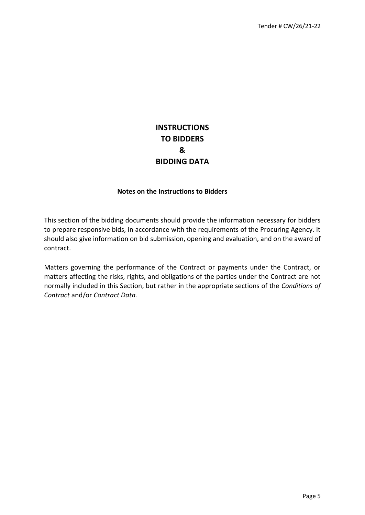### **INSTRUCTIONS TO BIDDERS & BIDDING DATA**

#### **Notes on the Instructions to Bidders**

This section of the bidding documents should provide the information necessary for bidders to prepare responsive bids, in accordance with the requirements of the Procuring Agency. It should also give information on bid submission, opening and evaluation, and on the award of contract.

Matters governing the performance of the Contract or payments under the Contract, or matters affecting the risks, rights, and obligations of the parties under the Contract are not normally included in this Section, but rather in the appropriate sections of the *Conditions of Contract* and/or *Contract Data.*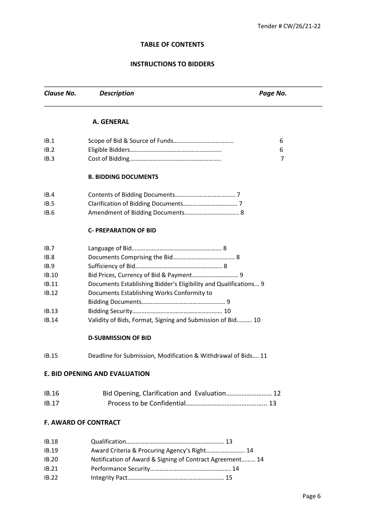#### **TABLE OF CONTENTS**

#### **INSTRUCTIONS TO BIDDERS**

**Clause No.** Description **Description Page No. Page No. A. GENERAL**  IB.1 Scope of Bid & Source of Funds………………………………… 6 IB.2 Eligible Bidders………………………………………………….. 6 IB.3 Cost of Bidding………………………………………………….. 7 **B. BIDDING DOCUMENTS** IB.4 Contents of Bidding Documents………………………………… 7 IB.5 Clarification of Bidding Documents…………………………….. 7 IB.6 Amendment of Bidding Documents…………………………….. 8 **C- PREPARATION OF BID**  IB.7 Language of Bid…………………………………………………. 8 IB.8 Documents Comprising the Bid…………………………………. 8 IB.9 Sufficiency of Bid……………………………………………….. 8 IB.10 Bid Prices, Currency of Bid & Payment………………………… 9 IB.11 Documents Establishing Bidder's Eligibility and Qualifications... 9 IB.12 Documents Establishing Works Conformity to Bidding Documents……………………………………………… 9 IB.13 Bidding Security…………………………………………………. 10 IB.14 Validity of Bids, Format*,* Signing and Submission of Bid………. 10 **D-SUBMISSION OF BID**  IB.15 Deadline for Submission*,* Modification & Withdrawal of Bids…. 11 **E. BID OPENING AND EVALUATION**  IB.16 Bid Opening, Clarification and Evaluation……………………… 12 IB.17 Process to be Confidential………………………………………... 13 **F. AWARD OF CONTRACT**  IB.18 Qualification……………………………………………………... 13 IB.19 Award Criteria & Procuring Agency's Right……………………. 14 IB.20 Notification of Award & Signing of Contract Agreement……… 14 IB.21 Performance Security……………………………………………. 14 IB.22 Integrity Pact…………………………………………………….. 15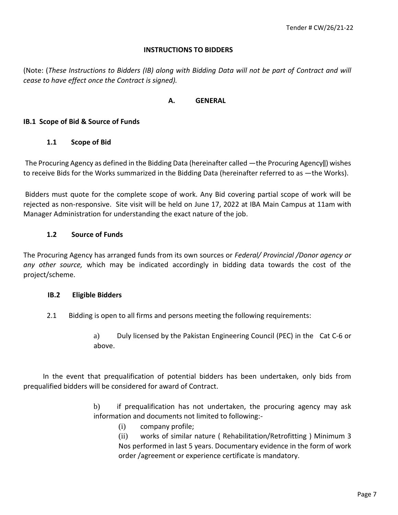#### **INSTRUCTIONS TO BIDDERS**

(Note: (*These Instructions to Bidders (IB) along with Bidding Data will not be part of Contract and will cease to have effect once the Contract is signed).* 

#### **A. GENERAL**

#### **IB.1 Scope of Bid & Source of Funds**

#### **1.1 Scope of Bid**

The Procuring Agency as defined in the Bidding Data (hereinafter called ―the Procuring Agency‖) wishes to receive Bids for the Works summarized in the Bidding Data (hereinafter referred to as ―the Works).

Bidders must quote for the complete scope of work. Any Bid covering partial scope of work will be rejected as non-responsive. Site visit will be held on June 17, 2022 at IBA Main Campus at 11am with Manager Administration for understanding the exact nature of the job.

#### **1.2 Source of Funds**

The Procuring Agency has arranged funds from its own sources or *Federal/ Provincial /Donor agency or any other source,* which may be indicated accordingly in bidding data towards the cost of the project/scheme.

#### **IB.2 Eligible Bidders**

- 2.1 Bidding is open to all firms and persons meeting the following requirements:
	- a) Duly licensed by the Pakistan Engineering Council (PEC) in the Cat C-6 or above.

 In the event that prequalification of potential bidders has been undertaken, only bids from prequalified bidders will be considered for award of Contract.

- b) if prequalification has not undertaken, the procuring agency may ask information and documents not limited to following:-
	- (i) company profile;

(ii) works of similar nature ( Rehabilitation/Retrofitting ) Minimum 3 Nos performed in last 5 years. Documentary evidence in the form of work order /agreement or experience certificate is mandatory.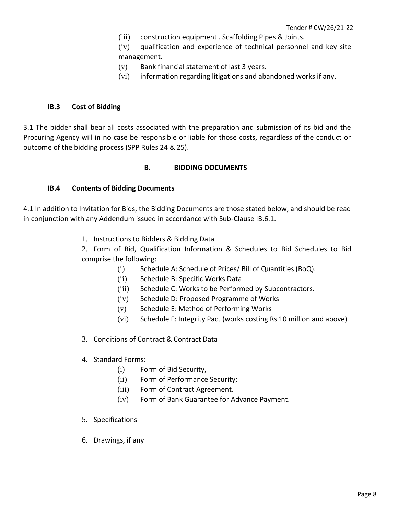(iii) construction equipment . Scaffolding Pipes & Joints.

(iv) qualification and experience of technical personnel and key site management.

- (v) Bank financial statement of last 3 years.
- (vi) information regarding litigations and abandoned works if any.

#### **IB.3 Cost of Bidding**

3.1 The bidder shall bear all costs associated with the preparation and submission of its bid and the Procuring Agency will in no case be responsible or liable for those costs, regardless of the conduct or outcome of the bidding process (SPP Rules 24 & 25).

#### **B. BIDDING DOCUMENTS**

#### **IB.4 Contents of Bidding Documents**

4.1 In addition to Invitation for Bids, the Bidding Documents are those stated below, and should be read in conjunction with any Addendum issued in accordance with Sub-Clause IB.6.1.

1. Instructions to Bidders & Bidding Data

2. Form of Bid, Qualification Information & Schedules to Bid Schedules to Bid comprise the following:

- (i) Schedule A: Schedule of Prices/ Bill of Quantities (BoQ).
- (ii) Schedule B: Specific Works Data
- (iii) Schedule C: Works to be Performed by Subcontractors.
- (iv) Schedule D: Proposed Programme of Works
- (v) Schedule E: Method of Performing Works
- (vi) Schedule F: Integrity Pact (works costing Rs 10 million and above)
- 3. Conditions of Contract & Contract Data
- 4. Standard Forms:
	- (i) Form of Bid Security,
	- (ii) Form of Performance Security;
	- (iii) Form of Contract Agreement.
	- (iv) Form of Bank Guarantee for Advance Payment.
- 5. Specifications
- 6. Drawings, if any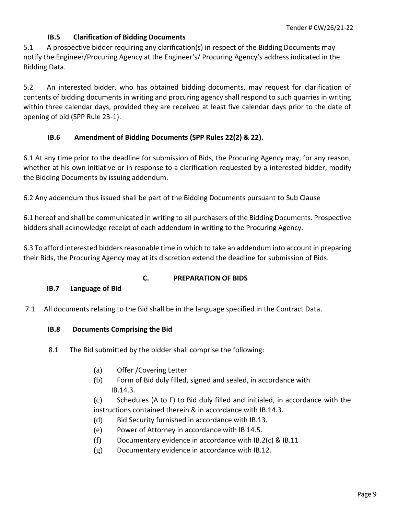#### **IB.5 Clarification of Bidding Documents**

5.1 A prospective bidder requiring any clarification(s) in respect of the Bidding Documents may notify the Engineer/Procuring Agency at the Engineer's/ Procuring Agency's address indicated in the Bidding Data.

5.2 An interested bidder, who has obtained bidding documents, may request for clarification of contents of bidding documents in writing and procuring agency shall respond to such quarries in writing within three calendar days, provided they are received at least five calendar days prior to the date of opening of bid (SPP Rule 23-1).

#### **IB.6 Amendment of Bidding Documents (SPP Rules 22(2) & 22).**

6.1 At any time prior to the deadline for submission of Bids, the Procuring Agency may, for any reason, whether at his own initiative or in response to a clarification requested by a interested bidder, modify the Bidding Documents by issuing addendum.

6.2 Any addendum thus issued shall be part of the Bidding Documents pursuant to Sub Clause

6.1 hereof and shall be communicated in writing to all purchasers of the Bidding Documents. Prospective bidders shall acknowledge receipt of each addendum in writing to the Procuring Agency.

6.3 To afford interested bidders reasonable time in which to take an addendum into account in preparing their Bids, the Procuring Agency may at its discretion extend the deadline for submission of Bids.

#### **C. PREPARATION OF BIDS**

#### **IB.7 Language of Bid**

7.1 All documents relating to the Bid shall be in the language specified in the Contract Data.

#### **IB.8 Documents Comprising the Bid**

- 8.1 The Bid submitted by the bidder shall comprise the following:
	- (a) Offer /Covering Letter
	- (b) Form of Bid duly filled, signed and sealed, in accordance with IB.14.3.

(c) Schedules (A to F) to Bid duly filled and initialed, in accordance with the instructions contained therein & in accordance with IB.14.3.

- (d) Bid Security furnished in accordance with IB.13.
- (e) Power of Attorney in accordance with IB 14.5.
- (f) Documentary evidence in accordance with IB.2(c) & IB.11
- (g) Documentary evidence in accordance with IB.12.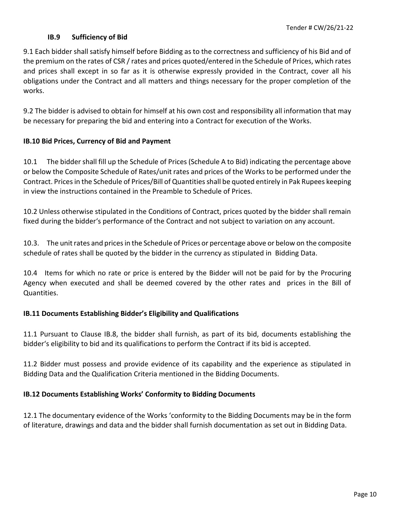#### **IB.9 Sufficiency of Bid**

9.1 Each bidder shall satisfy himself before Bidding as to the correctness and sufficiency of his Bid and of the premium on the rates of CSR / rates and prices quoted/entered in the Schedule of Prices, which rates and prices shall except in so far as it is otherwise expressly provided in the Contract, cover all his obligations under the Contract and all matters and things necessary for the proper completion of the works.

9.2 The bidder is advised to obtain for himself at his own cost and responsibility all information that may be necessary for preparing the bid and entering into a Contract for execution of the Works.

#### **IB.10 Bid Prices, Currency of Bid and Payment**

10.1 The bidder shall fill up the Schedule of Prices (Schedule A to Bid) indicating the percentage above or below the Composite Schedule of Rates/unit rates and prices of the Works to be performed under the Contract. Prices in the Schedule of Prices/Bill of Quantities shall be quoted entirely in Pak Rupees keeping in view the instructions contained in the Preamble to Schedule of Prices.

10.2 Unless otherwise stipulated in the Conditions of Contract, prices quoted by the bidder shall remain fixed during the bidder's performance of the Contract and not subject to variation on any account.

10.3. The unit rates and prices in the Schedule of Prices or percentage above or below on the composite schedule of rates shall be quoted by the bidder in the currency as stipulated in Bidding Data.

10.4 Items for which no rate or price is entered by the Bidder will not be paid for by the Procuring Agency when executed and shall be deemed covered by the other rates and prices in the Bill of Quantities.

#### **IB.11 Documents Establishing Bidder's Eligibility and Qualifications**

11.1 Pursuant to Clause IB.8, the bidder shall furnish, as part of its bid, documents establishing the bidder's eligibility to bid and its qualifications to perform the Contract if its bid is accepted.

11.2 Bidder must possess and provide evidence of its capability and the experience as stipulated in Bidding Data and the Qualification Criteria mentioned in the Bidding Documents.

#### **IB.12 Documents Establishing Works' Conformity to Bidding Documents**

12.1 The documentary evidence of the Works 'conformity to the Bidding Documents may be in the form of literature, drawings and data and the bidder shall furnish documentation as set out in Bidding Data.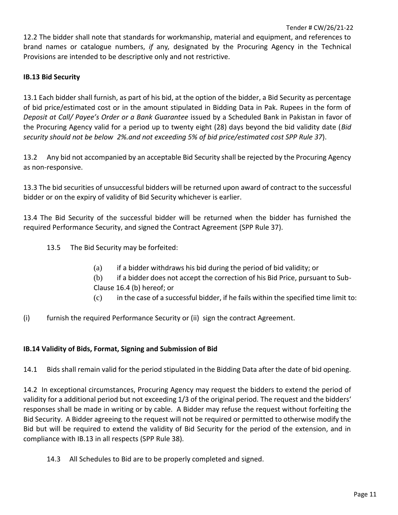12.2 The bidder shall note that standards for workmanship, material and equipment, and references to brand names or catalogue numbers, *if* any*,* designated by the Procuring Agency in the Technical Provisions are intended to be descriptive only and not restrictive.

#### **IB.13 Bid Security**

13.1 Each bidder shall furnish, as part of his bid, at the option of the bidder, a Bid Security as percentage of bid price/estimated cost or in the amount stipulated in Bidding Data in Pak. Rupees in the form of *Deposit at Call/ Payee's Order or a Bank Guarantee* issued by a Scheduled Bank in Pakistan in favor of the Procuring Agency valid for a period up to twenty eight (28) days beyond the bid validity date (*Bid security should not be below 2%.and not exceeding 5% of bid price/estimated cost SPP Rule 37*).

13.2 Any bid not accompanied by an acceptable Bid Security shall be rejected by the Procuring Agency as non-responsive.

13.3 The bid securities of unsuccessful bidders will be returned upon award of contract to the successful bidder or on the expiry of validity of Bid Security whichever is earlier.

13.4 The Bid Security of the successful bidder will be returned when the bidder has furnished the required Performance Security, and signed the Contract Agreement (SPP Rule 37).

- 13.5 The Bid Security may be forfeited:
	- (a) if a bidder withdraws his bid during the period of bid validity; or
	- (b) if a bidder does not accept the correction of his Bid Price, pursuant to Sub-Clause 16.4 (b) hereof; or
	- (c) in the case of a successful bidder, if he fails within the specified time limit to:
- (i) furnish the required Performance Security or (ii) sign the contract Agreement.

#### **IB.14 Validity of Bids, Format, Signing and Submission of Bid**

14.1 Bids shall remain valid for the period stipulated in the Bidding Data after the date of bid opening.

14.2 In exceptional circumstances, Procuring Agency may request the bidders to extend the period of validity for a additional period but not exceeding 1/3 of the original period. The request and the bidders' responses shall be made in writing or by cable. A Bidder may refuse the request without forfeiting the Bid Security. A Bidder agreeing to the request will not be required or permitted to otherwise modify the Bid but will be required to extend the validity of Bid Security for the period of the extension, and in compliance with IB.13 in all respects (SPP Rule 38).

14.3 All Schedules to Bid are to be properly completed and signed.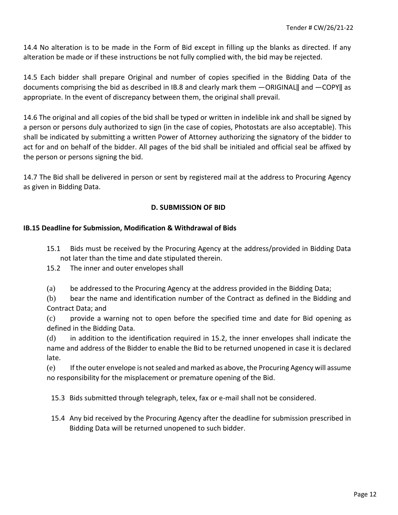14.4 No alteration is to be made in the Form of Bid except in filling up the blanks as directed. If any alteration be made or if these instructions be not fully complied with, the bid may be rejected.

14.5 Each bidder shall prepare Original and number of copies specified in the Bidding Data of the documents comprising the bid as described in IB.8 and clearly mark them ―ORIGINAL‖ and ―COPY‖ as appropriate. In the event of discrepancy between them, the original shall prevail.

14.6 The original and all copies of the bid shall be typed or written in indelible ink and shall be signed by a person or persons duly authorized to sign (in the case of copies, Photostats are also acceptable). This shall be indicated by submitting a written Power of Attorney authorizing the signatory of the bidder to act for and on behalf of the bidder. All pages of the bid shall be initialed and official seal be affixed by the person or persons signing the bid.

14.7 The Bid shall be delivered in person or sent by registered mail at the address to Procuring Agency as given in Bidding Data.

#### **D. SUBMISSION OF BID**

#### **IB.15 Deadline for Submission, Modification & Withdrawal of Bids**

- 15.1 Bids must be received by the Procuring Agency at the address/provided in Bidding Data not later than the time and date stipulated therein.
- 15.2 The inner and outer envelopes shall

(a) be addressed to the Procuring Agency at the address provided in the Bidding Data;

(b) bear the name and identification number of the Contract as defined in the Bidding and Contract Data; and

(c) provide a warning not to open before the specified time and date for Bid opening as defined in the Bidding Data.

(d) in addition to the identification required in 15.2, the inner envelopes shall indicate the name and address of the Bidder to enable the Bid to be returned unopened in case it is declared late.

(e) If the outer envelope is not sealed and marked as above, the Procuring Agency will assume no responsibility for the misplacement or premature opening of the Bid.

15.3 Bids submitted through telegraph, telex, fax or e-mail shall not be considered.

15.4 Any bid received by the Procuring Agency after the deadline for submission prescribed in Bidding Data will be returned unopened to such bidder.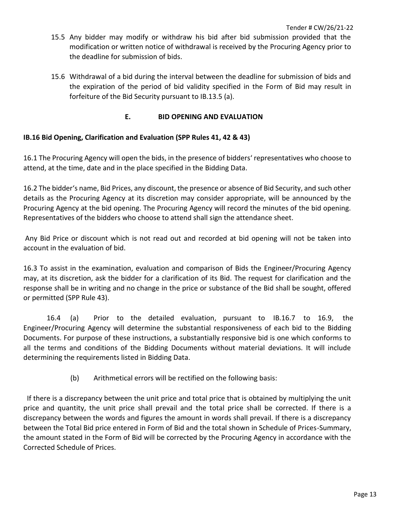- 15.5 Any bidder may modify or withdraw his bid after bid submission provided that the modification or written notice of withdrawal is received by the Procuring Agency prior to the deadline for submission of bids.
- 15.6 Withdrawal of a bid during the interval between the deadline for submission of bids and the expiration of the period of bid validity specified in the Form of Bid may result in forfeiture of the Bid Security pursuant to IB.13.5 (a).

#### **E. BID OPENING AND EVALUATION**

#### **IB.16 Bid Opening, Clarification and Evaluation (SPP Rules 41, 42 & 43)**

16.1 The Procuring Agency will open the bids, in the presence of bidders' representatives who choose to attend, at the time, date and in the place specified in the Bidding Data.

16.2 The bidder's name, Bid Prices, any discount, the presence or absence of Bid Security, and such other details as the Procuring Agency at its discretion may consider appropriate, will be announced by the Procuring Agency at the bid opening. The Procuring Agency will record the minutes of the bid opening. Representatives of the bidders who choose to attend shall sign the attendance sheet.

Any Bid Price or discount which is not read out and recorded at bid opening will not be taken into account in the evaluation of bid.

16.3 To assist in the examination, evaluation and comparison of Bids the Engineer/Procuring Agency may, at its discretion, ask the bidder for a clarification of its Bid. The request for clarification and the response shall be in writing and no change in the price or substance of the Bid shall be sought, offered or permitted (SPP Rule 43).

16.4 (a) Prior to the detailed evaluation, pursuant to IB.16.7 to 16.9, the Engineer/Procuring Agency will determine the substantial responsiveness of each bid to the Bidding Documents. For purpose of these instructions, a substantially responsive bid is one which conforms to all the terms and conditions of the Bidding Documents without material deviations. It will include determining the requirements listed in Bidding Data.

(b) Arithmetical errors will be rectified on the following basis:

 If there is a discrepancy between the unit price and total price that is obtained by multiplying the unit price and quantity, the unit price shall prevail and the total price shall be corrected. If there is a discrepancy between the words and figures the amount in words shall prevail. If there is a discrepancy between the Total Bid price entered in Form of Bid and the total shown in Schedule of Prices-Summary, the amount stated in the Form of Bid will be corrected by the Procuring Agency in accordance with the Corrected Schedule of Prices.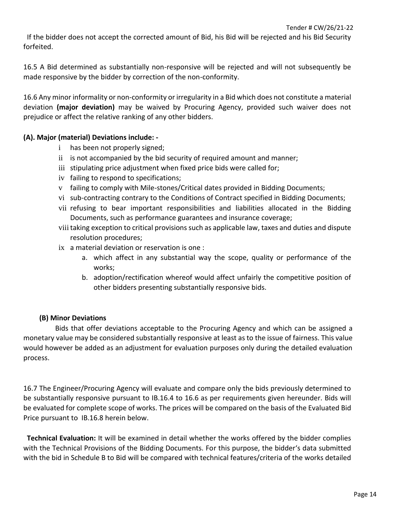If the bidder does not accept the corrected amount of Bid, his Bid will be rejected and his Bid Security forfeited.

16.5 A Bid determined as substantially non-responsive will be rejected and will not subsequently be made responsive by the bidder by correction of the non-conformity.

16.6 Any minor informality or non-conformity or irregularity in a Bid which does not constitute a material deviation **(major deviation)** may be waived by Procuring Agency, provided such waiver does not prejudice or affect the relative ranking of any other bidders.

#### **(A). Major (material) Deviations include: -**

- i has been not properly signed;
- ii is not accompanied by the bid security of required amount and manner;
- iii stipulating price adjustment when fixed price bids were called for;
- iv failing to respond to specifications;
- v failing to comply with Mile-stones/Critical dates provided in Bidding Documents;
- vi sub-contracting contrary to the Conditions of Contract specified in Bidding Documents;
- vii refusing to bear important responsibilities and liabilities allocated in the Bidding Documents, such as performance guarantees and insurance coverage;
- viiitaking exception to critical provisions such as applicable law, taxes and duties and dispute resolution procedures;
- ix a material deviation or reservation is one :
	- a. which affect in any substantial way the scope, quality or performance of the works;
	- b. adoption/rectification whereof would affect unfairly the competitive position of other bidders presenting substantially responsive bids.

#### **(B) Minor Deviations**

 Bids that offer deviations acceptable to the Procuring Agency and which can be assigned a monetary value may be considered substantially responsive at least as to the issue of fairness. This value would however be added as an adjustment for evaluation purposes only during the detailed evaluation process.

16.7 The Engineer/Procuring Agency will evaluate and compare only the bids previously determined to be substantially responsive pursuant to IB.16.4 to 16.6 as per requirements given hereunder. Bids will be evaluated for complete scope of works. The prices will be compared on the basis of the Evaluated Bid Price pursuant to IB.16.8 herein below.

 **Technical Evaluation:** It will be examined in detail whether the works offered by the bidder complies with the Technical Provisions of the Bidding Documents. For this purpose, the bidder's data submitted with the bid in Schedule B to Bid will be compared with technical features/criteria of the works detailed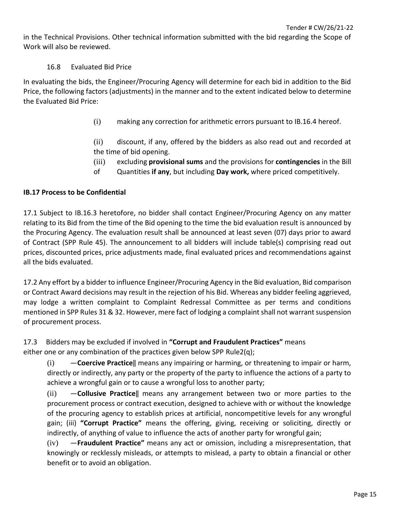in the Technical Provisions. Other technical information submitted with the bid regarding the Scope of Work will also be reviewed.

#### 16.8 Evaluated Bid Price

In evaluating the bids, the Engineer/Procuring Agency will determine for each bid in addition to the Bid Price, the following factors (adjustments) in the manner and to the extent indicated below to determine the Evaluated Bid Price:

(i) making any correction for arithmetic errors pursuant to IB.16.4 hereof.

(ii) discount, if any, offered by the bidders as also read out and recorded at the time of bid opening.

- (iii) excluding **provisional sums** and the provisions for **contingencies** in the Bill
- of Quantities **if any**, but including **Day work,** where priced competitively.

#### **IB.17 Process to be Confidential**

17.1 Subject to IB.16.3 heretofore, no bidder shall contact Engineer/Procuring Agency on any matter relating to its Bid from the time of the Bid opening to the time the bid evaluation result is announced by the Procuring Agency. The evaluation result shall be announced at least seven (07) days prior to award of Contract (SPP Rule 45). The announcement to all bidders will include table(s) comprising read out prices, discounted prices, price adjustments made, final evaluated prices and recommendations against all the bids evaluated.

17.2 Any effort by a bidder to influence Engineer/Procuring Agency in the Bid evaluation, Bid comparison or Contract Award decisions may result in the rejection of his Bid. Whereas any bidder feeling aggrieved, may lodge a written complaint to Complaint Redressal Committee as per terms and conditions mentioned in SPP Rules 31 & 32. However, mere fact of lodging a complaint shall not warrant suspension of procurement process.

17.3 Bidders may be excluded if involved in **"Corrupt and Fraudulent Practices"** means either one or any combination of the practices given below SPP Rule2(q);

(i) ―**Coercive Practice**‖ means any impairing or harming, or threatening to impair or harm, directly or indirectly, any party or the property of the party to influence the actions of a party to achieve a wrongful gain or to cause a wrongful loss to another party;

(ii) ―**Collusive Practice**‖ means any arrangement between two or more parties to the procurement process or contract execution, designed to achieve with or without the knowledge of the procuring agency to establish prices at artificial, noncompetitive levels for any wrongful gain; (iii) **"Corrupt Practice"** means the offering, giving, receiving or soliciting, directly or indirectly, of anything of value to influence the acts of another party for wrongful gain;

(iv) ―**Fraudulent Practice"** means any act or omission, including a misrepresentation, that knowingly or recklessly misleads, or attempts to mislead, a party to obtain a financial or other benefit or to avoid an obligation.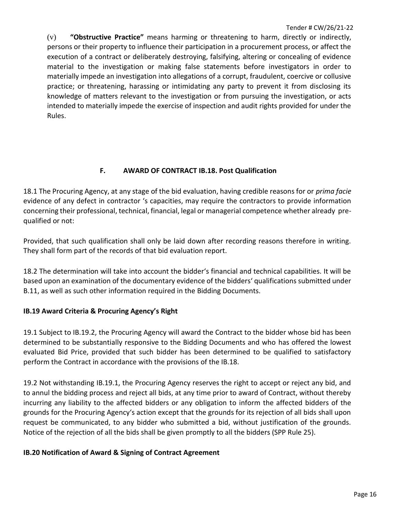(v) **"Obstructive Practice"** means harming or threatening to harm, directly or indirectly, persons or their property to influence their participation in a procurement process, or affect the execution of a contract or deliberately destroying, falsifying, altering or concealing of evidence material to the investigation or making false statements before investigators in order to materially impede an investigation into allegations of a corrupt, fraudulent, coercive or collusive practice; or threatening, harassing or intimidating any party to prevent it from disclosing its knowledge of matters relevant to the investigation or from pursuing the investigation, or acts intended to materially impede the exercise of inspection and audit rights provided for under the Rules.

#### **F. AWARD OF CONTRACT IB.18. Post Qualification**

18.1 The Procuring Agency, at any stage of the bid evaluation, having credible reasons for or *prima facie* evidence of any defect in contractor 's capacities, may require the contractors to provide information concerning their professional, technical, financial, legal or managerial competence whether already prequalified or not:

Provided, that such qualification shall only be laid down after recording reasons therefore in writing. They shall form part of the records of that bid evaluation report.

18.2 The determination will take into account the bidder's financial and technical capabilities. It will be based upon an examination of the documentary evidence of the bidders' qualifications submitted under B.11, as well as such other information required in the Bidding Documents.

#### **IB.19 Award Criteria & Procuring Agency's Right**

19.1 Subject to IB.19.2, the Procuring Agency will award the Contract to the bidder whose bid has been determined to be substantially responsive to the Bidding Documents and who has offered the lowest evaluated Bid Price, provided that such bidder has been determined to be qualified to satisfactory perform the Contract in accordance with the provisions of the IB.18.

19.2 Not withstanding IB.19.1, the Procuring Agency reserves the right to accept or reject any bid, and to annul the bidding process and reject all bids, at any time prior to award of Contract, without thereby incurring any liability to the affected bidders or any obligation to inform the affected bidders of the grounds for the Procuring Agency's action except that the grounds for its rejection of all bids shall upon request be communicated, to any bidder who submitted a bid, without justification of the grounds. Notice of the rejection of all the bids shall be given promptly to all the bidders (SPP Rule 25).

#### **IB.20 Notification of Award & Signing of Contract Agreement**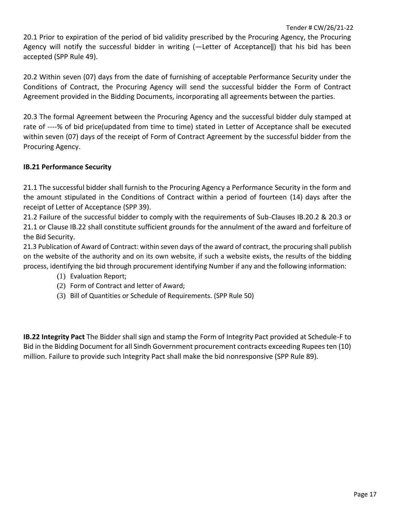20.1 Prior to expiration of the period of bid validity prescribed by the Procuring Agency, the Procuring Agency will notify the successful bidder in writing (-Letter of Acceptance||) that his bid has been accepted (SPP Rule 49).

20.2 Within seven (07) days from the date of furnishing of acceptable Performance Security under the Conditions of Contract, the Procuring Agency will send the successful bidder the Form of Contract Agreement provided in the Bidding Documents, incorporating all agreements between the parties.

20.3 The formal Agreement between the Procuring Agency and the successful bidder duly stamped at rate of ----% of bid price(updated from time to time) stated in Letter of Acceptance shall be executed within seven (07) days of the receipt of Form of Contract Agreement by the successful bidder from the Procuring Agency.

#### **IB.21 Performance Security**

21.1 The successful bidder shall furnish to the Procuring Agency a Performance Security in the form and the amount stipulated in the Conditions of Contract within a period of fourteen (14) days after the receipt of Letter of Acceptance (SPP 39).

21.2 Failure of the successful bidder to comply with the requirements of Sub-Clauses IB.20.2 & 20.3 or 21.1 or Clause IB.22 shall constitute sufficient grounds for the annulment of the award and forfeiture of the Bid Security.

21.3 Publication of Award of Contract: within seven days of the award of contract, the procuring shall publish on the website of the authority and on its own website, if such a website exists, the results of the bidding process, identifying the bid through procurement identifying Number if any and the following information:

- (1) Evaluation Report;
- (2) Form of Contract and letter of Award;
- (3) Bill of Quantities or Schedule of Requirements. (SPP Rule 50)

**IB.22 Integrity Pact** The Bidder shall sign and stamp the Form of Integrity Pact provided at Schedule-F to Bid in the Bidding Document for all Sindh Government procurement contracts exceeding Rupees ten (10) million. Failure to provide such Integrity Pact shall make the bid nonresponsive (SPP Rule 89).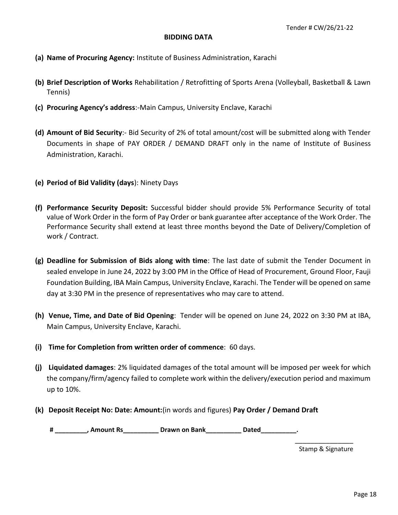#### **BIDDING DATA**

- **(a) Name of Procuring Agency:** Institute of Business Administration, Karachi
- **(b) Brief Description of Works** Rehabilitation / Retrofitting of Sports Arena (Volleyball, Basketball & Lawn Tennis)
- **(c) Procuring Agency's address**:-Main Campus, University Enclave, Karachi
- **(d) Amount of Bid Security**:- Bid Security of 2% of total amount/cost will be submitted along with Tender Documents in shape of PAY ORDER / DEMAND DRAFT only in the name of Institute of Business Administration, Karachi.
- **(e) Period of Bid Validity (days**): Ninety Days
- **(f) Performance Security Deposit:** Successful bidder should provide 5% Performance Security of total value of Work Order in the form of Pay Order or bank guarantee after acceptance of the Work Order. The Performance Security shall extend at least three months beyond the Date of Delivery/Completion of work / Contract.
- **(g) Deadline for Submission of Bids along with time**: The last date of submit the Tender Document in sealed envelope in June 24, 2022 by 3:00 PM in the Office of Head of Procurement, Ground Floor, Fauji Foundation Building, IBA Main Campus, University Enclave, Karachi. The Tender will be opened on same day at 3:30 PM in the presence of representatives who may care to attend.
- **(h) Venue, Time, and Date of Bid Opening**: Tender will be opened on June 24, 2022 on 3:30 PM at IBA, Main Campus, University Enclave, Karachi.
- **(i) Time for Completion from written order of commence**: 60 days.
- **(j) Liquidated damages**: 2% liquidated damages of the total amount will be imposed per week for which the company/firm/agency failed to complete work within the delivery/execution period and maximum up to 10%.
- **(k) Deposit Receipt No: Date: Amount:**(in words and figures) **Pay Order / Demand Draft**

**# \_\_\_\_\_\_\_\_\_, Amount Rs\_\_\_\_\_\_\_\_\_\_ Drawn on Bank\_\_\_\_\_\_\_\_\_\_ Dated\_\_\_\_\_\_\_\_\_\_.**

\_\_\_\_\_\_\_\_\_\_\_\_\_\_\_ Stamp & Signature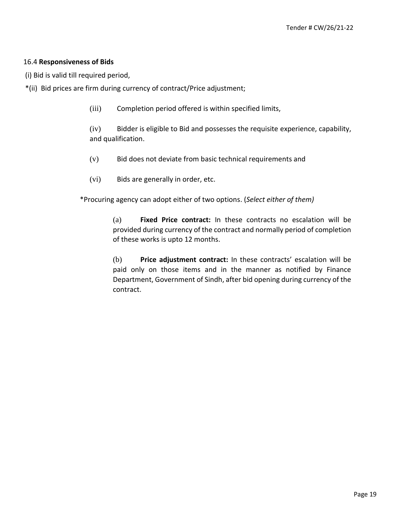#### 16.4 **Responsiveness of Bids**

(i) Bid is valid till required period,

- \*(ii) Bid prices are firm during currency of contract/Price adjustment;
	- (iii) Completion period offered is within specified limits,

(iv) Bidder is eligible to Bid and possesses the requisite experience, capability, and qualification.

- (v) Bid does not deviate from basic technical requirements and
- (vi) Bids are generally in order, etc.

\*Procuring agency can adopt either of two options. (*Select either of them)* 

(a) **Fixed Price contract:** In these contracts no escalation will be provided during currency of the contract and normally period of completion of these works is upto 12 months.

(b) **Price adjustment contract:** In these contracts' escalation will be paid only on those items and in the manner as notified by Finance Department, Government of Sindh, after bid opening during currency of the contract.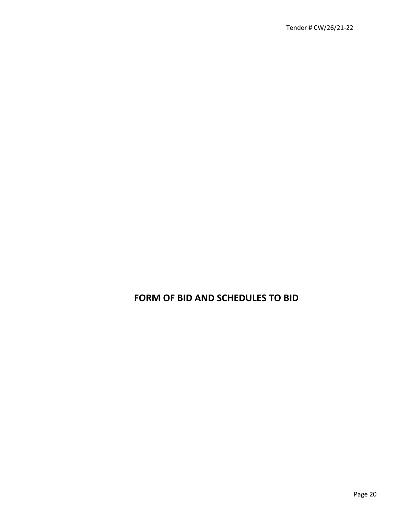### **FORM OF BID AND SCHEDULES TO BID**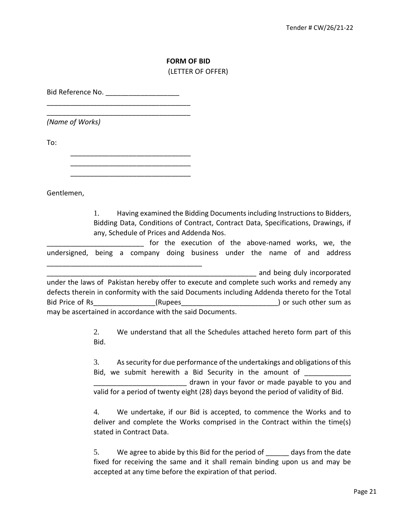#### **FORM OF BID**  (LETTER OF OFFER)

Bid Reference No. \_\_\_\_\_\_\_\_\_\_\_\_\_\_\_\_\_\_\_\_\_\_\_\_\_\_\_\_\_\_\_\_\_\_\_\_\_

\_\_\_\_\_\_\_\_\_\_\_\_\_\_\_\_\_\_\_\_\_\_\_\_\_\_\_\_\_\_\_\_\_\_\_\_\_

*(Name of Works)* 

To:

\_\_\_\_\_\_\_\_\_\_\_\_\_\_\_\_\_\_\_\_\_\_\_\_\_\_\_\_\_\_\_ \_\_\_\_\_\_\_\_\_\_\_\_\_\_\_\_\_\_\_\_\_\_\_\_\_\_\_\_\_\_\_

\_\_\_\_\_\_\_\_\_\_\_\_\_\_\_\_\_\_\_\_\_\_\_\_\_\_\_\_\_\_\_\_\_\_\_\_\_\_\_\_

\_\_\_\_\_\_\_\_\_\_\_\_\_\_\_\_\_\_\_\_\_\_\_\_\_\_\_\_\_\_\_

Gentlemen,

1. Having examined the Bidding Documents including Instructions to Bidders, Bidding Data, Conditions of Contract, Contract Data, Specifications, Drawings, if any, Schedule of Prices and Addenda Nos.

for the execution of the above-named works, we, the undersigned, being a company doing business under the name of and address

and being duly incorporated under the laws of Pakistan hereby offer to execute and complete such works and remedy any defects therein in conformity with the said Documents including Addenda thereto for the Total Bid Price of Rs\_\_\_\_\_\_\_\_\_\_\_\_\_\_\_\_(Rupees\_\_\_\_\_\_\_\_\_\_\_\_\_\_\_\_\_\_\_\_\_\_\_\_\_\_\_\_\_\_\_) or such other sum as may be ascertained in accordance with the said Documents.

> 2. We understand that all the Schedules attached hereto form part of this Bid.

> 3. As security for due performance of the undertakings and obligations of this Bid, we submit herewith a Bid Security in the amount of \_\_\_\_\_\_\_\_\_\_\_\_\_\_\_\_\_\_\_\_\_\_\_\_ drawn in your favor or made payable to you and valid for a period of twenty eight (28) days beyond the period of validity of Bid.

> 4. We undertake, if our Bid is accepted, to commence the Works and to deliver and complete the Works comprised in the Contract within the time(s) stated in Contract Data.

> 5. We agree to abide by this Bid for the period of days from the date fixed for receiving the same and it shall remain binding upon us and may be accepted at any time before the expiration of that period.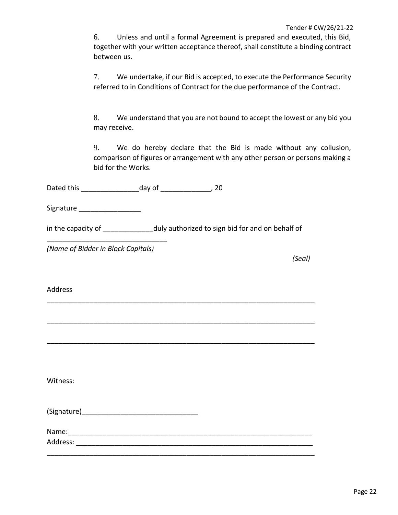6. Unless and until a formal Agreement is prepared and executed, this Bid, together with your written acceptance thereof, shall constitute a binding contract between us.

7. We undertake, if our Bid is accepted, to execute the Performance Security referred to in Conditions of Contract for the due performance of the Contract.

8. We understand that you are not bound to accept the lowest or any bid you may receive.

9. We do hereby declare that the Bid is made without any collusion, comparison of figures or arrangement with any other person or persons making a bid for the Works.

Dated this \_\_\_\_\_\_\_\_\_\_\_\_\_\_\_day of \_\_\_\_\_\_\_\_\_\_\_\_\_, 20

Signature **Executive** 

in the capacity of \_\_\_\_\_\_\_\_\_\_\_\_\_\_ duly authorized to sign bid for and on behalf of

\_\_\_\_\_\_\_\_\_\_\_\_\_\_\_\_\_\_\_\_\_\_\_\_\_\_\_\_\_\_\_\_\_\_\_\_\_\_\_\_\_\_\_\_\_\_\_\_\_\_\_\_\_\_\_\_\_\_\_\_\_\_\_\_\_\_\_\_\_

\_\_\_\_\_\_\_\_\_\_\_\_\_\_\_\_\_\_\_\_\_\_\_\_\_\_\_\_\_\_\_\_\_\_\_\_\_\_\_\_\_\_\_\_\_\_\_\_\_\_\_\_\_\_\_\_\_\_\_\_\_\_\_\_\_\_\_\_\_

\_\_\_\_\_\_\_\_\_\_\_\_\_\_\_\_\_\_\_\_\_\_\_\_\_\_\_\_\_\_\_\_\_\_\_\_\_\_\_\_\_\_\_\_\_\_\_\_\_\_\_\_\_\_\_\_\_\_\_\_\_\_\_\_\_\_\_\_\_

*(Name of Bidder in Block Capitals)* 

\_\_\_\_\_\_\_\_\_\_\_\_\_\_\_\_\_\_\_\_\_\_\_\_\_\_\_\_\_\_\_

*(Seal)* 

Address

Witness:

 $(Signature)$ 

Name: Address: \_\_\_\_\_\_\_\_\_\_\_\_\_\_\_\_\_\_\_\_\_\_\_\_\_\_\_\_\_\_\_\_\_\_\_\_\_\_\_\_\_\_\_\_\_\_\_\_\_\_\_\_\_\_\_\_\_\_\_\_\_

\_\_\_\_\_\_\_\_\_\_\_\_\_\_\_\_\_\_\_\_\_\_\_\_\_\_\_\_\_\_\_\_\_\_\_\_\_\_\_\_\_\_\_\_\_\_\_\_\_\_\_\_\_\_\_\_\_\_\_\_\_\_\_\_\_\_\_\_\_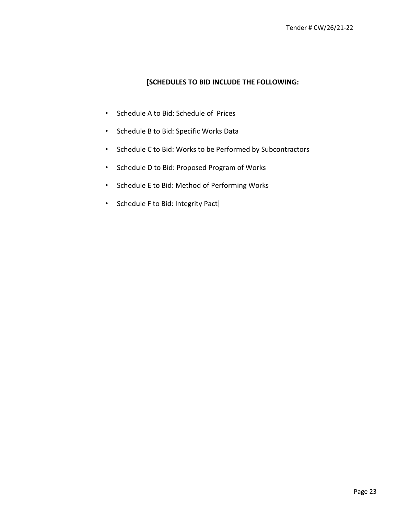#### **[SCHEDULES TO BID INCLUDE THE FOLLOWING:**

- Schedule A to Bid: Schedule of Prices
- Schedule B to Bid: Specific Works Data
- Schedule C to Bid: Works to be Performed by Subcontractors
- Schedule D to Bid: Proposed Program of Works
- Schedule E to Bid: Method of Performing Works
- Schedule F to Bid: Integrity Pact]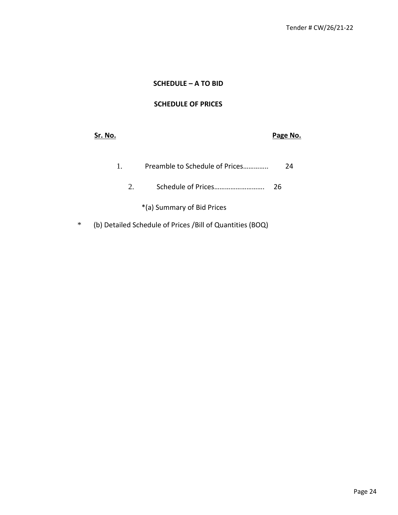### **SCHEDULE – A TO BID**

#### **SCHEDULE OF PRICES**

|        | Sr. No.                                                    | Page No. |
|--------|------------------------------------------------------------|----------|
|        | Preamble to Schedule of Prices<br>1.                       | 24       |
|        | 2.                                                         | 26       |
|        | *(a) Summary of Bid Prices                                 |          |
| $\ast$ | (b) Detailed Schedule of Prices / Bill of Quantities (BOQ) |          |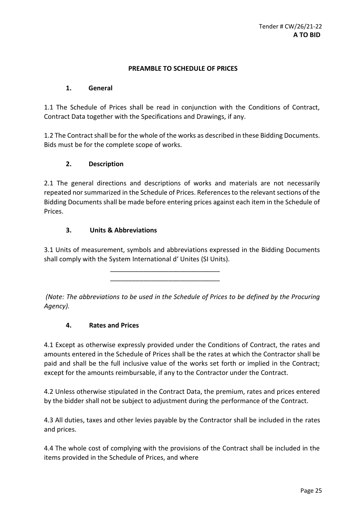#### **PREAMBLE TO SCHEDULE OF PRICES**

#### **1. General**

1.1 The Schedule of Prices shall be read in conjunction with the Conditions of Contract, Contract Data together with the Specifications and Drawings, if any.

1.2 The Contract shall be for the whole of the works as described in these Bidding Documents. Bids must be for the complete scope of works.

#### **2. Description**

2.1 The general directions and descriptions of works and materials are not necessarily repeated nor summarized in the Schedule of Prices. References to the relevant sections of the Bidding Documents shall be made before entering prices against each item in the Schedule of Prices.

#### **3. Units & Abbreviations**

3.1 Units of measurement, symbols and abbreviations expressed in the Bidding Documents shall comply with the System International d' Unites (SI Units).

> \_\_\_\_\_\_\_\_\_\_\_\_\_\_\_\_\_\_\_\_\_\_\_\_\_\_\_\_\_\_ \_\_\_\_\_\_\_\_\_\_\_\_\_\_\_\_\_\_\_\_\_\_\_\_\_\_\_\_\_\_

*(Note: The abbreviations to be used in the Schedule of Prices to be defined by the Procuring Agency).* 

#### **4. Rates and Prices**

4.1 Except as otherwise expressly provided under the Conditions of Contract, the rates and amounts entered in the Schedule of Prices shall be the rates at which the Contractor shall be paid and shall be the full inclusive value of the works set forth or implied in the Contract; except for the amounts reimbursable, if any to the Contractor under the Contract.

4.2 Unless otherwise stipulated in the Contract Data, the premium, rates and prices entered by the bidder shall not be subject to adjustment during the performance of the Contract.

4.3 All duties, taxes and other levies payable by the Contractor shall be included in the rates and prices.

4.4 The whole cost of complying with the provisions of the Contract shall be included in the items provided in the Schedule of Prices, and where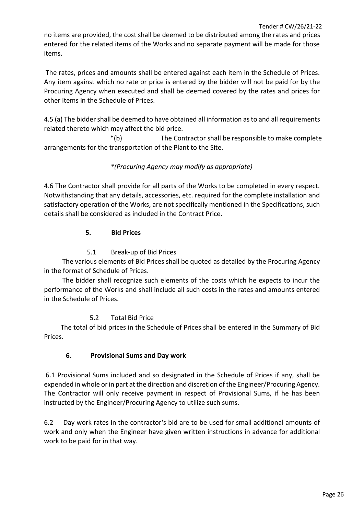no items are provided, the cost shall be deemed to be distributed among the rates and prices entered for the related items of the Works and no separate payment will be made for those items.

The rates, prices and amounts shall be entered against each item in the Schedule of Prices. Any item against which no rate or price is entered by the bidder will not be paid for by the Procuring Agency when executed and shall be deemed covered by the rates and prices for other items in the Schedule of Prices.

4.5 (a) The bidder shall be deemed to have obtained all information as to and all requirements related thereto which may affect the bid price.

\*(b) The Contractor shall be responsible to make complete arrangements for the transportation of the Plant to the Site.

#### *\*(Procuring Agency may modify as appropriate)*

4.6 The Contractor shall provide for all parts of the Works to be completed in every respect. Notwithstanding that any details, accessories, etc. required for the complete installation and satisfactory operation of the Works, are not specifically mentioned in the Specifications, such details shall be considered as included in the Contract Price.

#### **5. Bid Prices**

#### 5.1 Break-up of Bid Prices

 The various elements of Bid Prices shall be quoted as detailed by the Procuring Agency in the format of Schedule of Prices.

 The bidder shall recognize such elements of the costs which he expects to incur the performance of the Works and shall include all such costs in the rates and amounts entered in the Schedule of Prices.

#### 5.2 Total Bid Price

 The total of bid prices in the Schedule of Prices shall be entered in the Summary of Bid Prices.

#### **6. Provisional Sums and Day work**

6.1 Provisional Sums included and so designated in the Schedule of Prices if any, shall be expended in whole or in part at the direction and discretion of the Engineer/Procuring Agency. The Contractor will only receive payment in respect of Provisional Sums, if he has been instructed by the Engineer/Procuring Agency to utilize such sums.

6.2 Day work rates in the contractor's bid are to be used for small additional amounts of work and only when the Engineer have given written instructions in advance for additional work to be paid for in that way.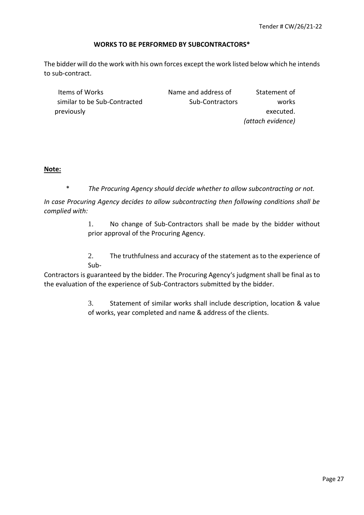#### **WORKS TO BE PERFORMED BY SUBCONTRACTORS\***

The bidder will do the work with his own forces except the work listed below which he intends to sub-contract.

| Items of Works               | Name and address of | Statement of      |
|------------------------------|---------------------|-------------------|
| similar to be Sub-Contracted | Sub-Contractors     | works             |
| previously                   |                     | executed.         |
|                              |                     | (attach evidence) |

#### **Note:**

\* *The Procuring Agency should decide whether to allow subcontracting or not.* 

*In case Procuring Agency decides to allow subcontracting then following conditions shall be complied with:* 

> 1. No change of Sub-Contractors shall be made by the bidder without prior approval of the Procuring Agency.

> 2. The truthfulness and accuracy of the statement as to the experience of Sub-

Contractors is guaranteed by the bidder. The Procuring Agency's judgment shall be final as to the evaluation of the experience of Sub-Contractors submitted by the bidder.

> 3. Statement of similar works shall include description, location & value of works, year completed and name & address of the clients.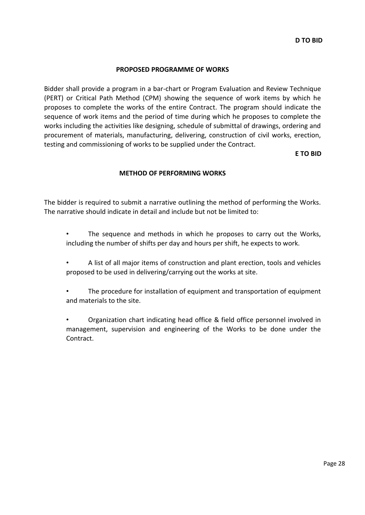#### **PROPOSED PROGRAMME OF WORKS**

Bidder shall provide a program in a bar-chart or Program Evaluation and Review Technique (PERT) or Critical Path Method (CPM) showing the sequence of work items by which he proposes to complete the works of the entire Contract. The program should indicate the sequence of work items and the period of time during which he proposes to complete the works including the activities like designing, schedule of submittal of drawings, ordering and procurement of materials, manufacturing, delivering, construction of civil works, erection, testing and commissioning of works to be supplied under the Contract.

**E TO BID**

#### **METHOD OF PERFORMING WORKS**

The bidder is required to submit a narrative outlining the method of performing the Works. The narrative should indicate in detail and include but not be limited to:

- The sequence and methods in which he proposes to carry out the Works, including the number of shifts per day and hours per shift, he expects to work.
- A list of all major items of construction and plant erection, tools and vehicles proposed to be used in delivering/carrying out the works at site.
- The procedure for installation of equipment and transportation of equipment and materials to the site.
- Organization chart indicating head office & field office personnel involved in management, supervision and engineering of the Works to be done under the Contract.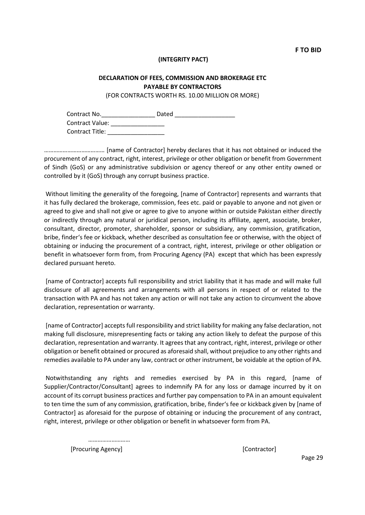#### **(INTEGRITY PACT)**

#### **DECLARATION OF FEES, COMMISSION AND BROKERAGE ETC PAYABLE BY CONTRACTORS**

(FOR CONTRACTS WORTH RS. 10.00 MILLION OR MORE)

Contract No. 2008 Dated 2008 Dated 2008 2008 2010 2010 2011 2012 2013 2014 2016 2017 2018 2019 2019 2017 2018 Contract Value: \_\_\_\_\_\_\_\_\_\_\_\_\_\_\_\_ Contract Title: **Example 2018** 

………………………………… [name of Contractor] hereby declares that it has not obtained or induced the procurement of any contract, right, interest, privilege or other obligation or benefit from Government of Sindh (GoS) or any administrative subdivision or agency thereof or any other entity owned or controlled by it (GoS) through any corrupt business practice.

Without limiting the generality of the foregoing, [name of Contractor] represents and warrants that it has fully declared the brokerage, commission, fees etc. paid or payable to anyone and not given or agreed to give and shall not give or agree to give to anyone within or outside Pakistan either directly or indirectly through any natural or juridical person, including its affiliate, agent, associate, broker, consultant, director, promoter, shareholder, sponsor or subsidiary, any commission, gratification, bribe, finder's fee or kickback, whether described as consultation fee or otherwise, with the object of obtaining or inducing the procurement of a contract, right, interest, privilege or other obligation or benefit in whatsoever form from, from Procuring Agency (PA) except that which has been expressly declared pursuant hereto.

[name of Contractor] accepts full responsibility and strict liability that it has made and will make full disclosure of all agreements and arrangements with all persons in respect of or related to the transaction with PA and has not taken any action or will not take any action to circumvent the above declaration, representation or warranty.

[name of Contractor] accepts full responsibility and strict liability for making any false declaration, not making full disclosure, misrepresenting facts or taking any action likely to defeat the purpose of this declaration, representation and warranty. It agrees that any contract, right, interest, privilege or other obligation or benefit obtained or procured as aforesaid shall, without prejudice to any other rights and remedies available to PA under any law, contract or other instrument, be voidable at the option of PA.

Notwithstanding any rights and remedies exercised by PA in this regard, [name of Supplier/Contractor/Consultant] agrees to indemnify PA for any loss or damage incurred by it on account of its corrupt business practices and further pay compensation to PA in an amount equivalent to ten time the sum of any commission, gratification, bribe, finder's fee or kickback given by [name of Contractor] as aforesaid for the purpose of obtaining or inducing the procurement of any contract, right, interest, privilege or other obligation or benefit in whatsoever form from PA.

……………………… [Procuring Agency] [Contractor]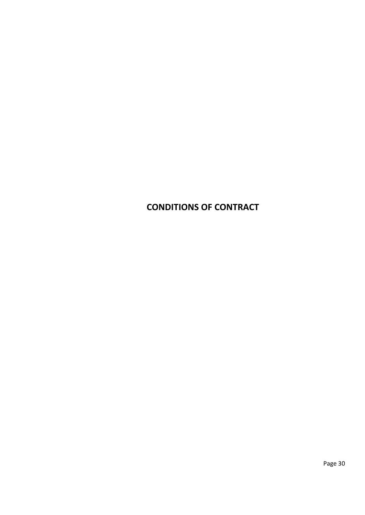### **CONDITIONS OF CONTRACT**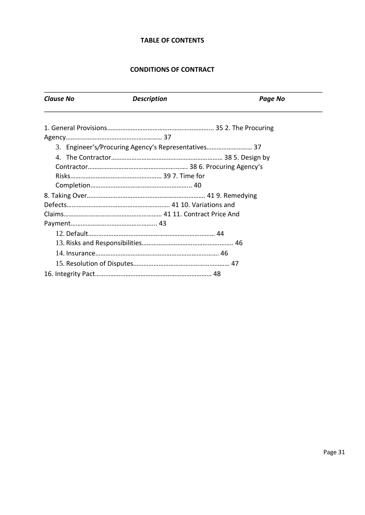#### **TABLE OF CONTENTS**

#### **CONDITIONS OF CONTRACT**

| <b>Clause No</b> | <b>Description</b>                                  | <b>Page No</b> |
|------------------|-----------------------------------------------------|----------------|
|                  |                                                     |                |
|                  |                                                     |                |
|                  | 3. Engineer's/Procuring Agency's Representatives 37 |                |
|                  |                                                     |                |
|                  |                                                     |                |
|                  |                                                     |                |
|                  |                                                     |                |
|                  |                                                     |                |
|                  |                                                     |                |
|                  |                                                     |                |
|                  |                                                     |                |
|                  |                                                     |                |
|                  |                                                     |                |
|                  |                                                     |                |
|                  |                                                     |                |
|                  |                                                     |                |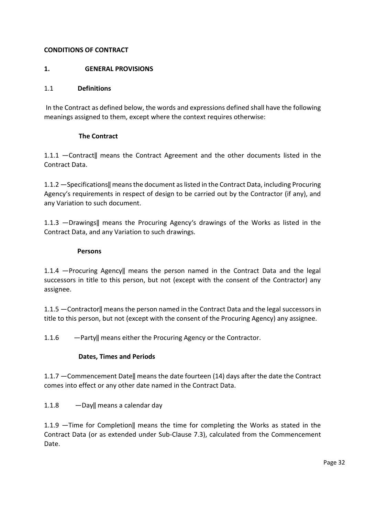#### **CONDITIONS OF CONTRACT**

#### **1. GENERAL PROVISIONS**

#### 1.1 **Definitions**

In the Contract as defined below, the words and expressions defined shall have the following meanings assigned to them, except where the context requires otherwise:

#### **The Contract**

1.1.1 ―Contract‖ means the Contract Agreement and the other documents listed in the Contract Data.

1.1.2 ―Specifications‖ means the document as listed in the Contract Data, including Procuring Agency's requirements in respect of design to be carried out by the Contractor (if any), and any Variation to such document.

1.1.3 ―Drawings‖ means the Procuring Agency's drawings of the Works as listed in the Contract Data, and any Variation to such drawings.

#### **Persons**

1.1.4 ―Procuring Agency‖ means the person named in the Contract Data and the legal successors in title to this person, but not (except with the consent of the Contractor) any assignee.

1.1.5 ―Contractor‖ means the person named in the Contract Data and the legal successors in title to this person, but not (except with the consent of the Procuring Agency) any assignee.

1.1.6 ―Party‖ means either the Procuring Agency or the Contractor.

#### **Dates, Times and Periods**

1.1.7 ―Commencement Date‖ means the date fourteen (14) days after the date the Contract comes into effect or any other date named in the Contract Data.

1.1.8 — Day|| means a calendar day

1.1.9 ―Time for Completion‖ means the time for completing the Works as stated in the Contract Data (or as extended under Sub-Clause 7.3), calculated from the Commencement Date.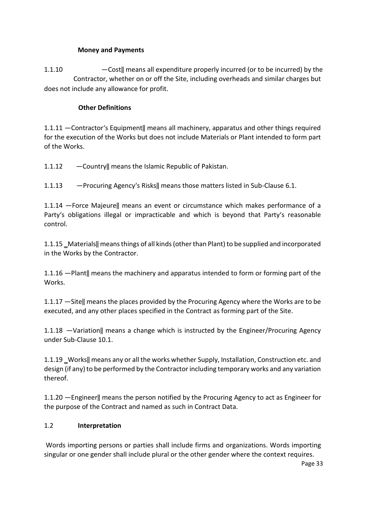#### **Money and Payments**

1.1.10 ―Cost‖ means all expenditure properly incurred (or to be incurred) by the Contractor, whether on or off the Site, including overheads and similar charges but does not include any allowance for profit.

#### **Other Definitions**

1.1.11 ―Contractor's Equipment‖ means all machinery, apparatus and other things required for the execution of the Works but does not include Materials or Plant intended to form part of the Works.

- 1.1.12 ―Country‖ means the Islamic Republic of Pakistan.
- 1.1.13 ―Procuring Agency's Risks‖ means those matters listed in Sub-Clause 6.1.

1.1.14 ―Force Majeure‖ means an event or circumstance which makes performance of a Party's obligations illegal or impracticable and which is beyond that Party's reasonable control.

1.1.15 ‗Materials‖ means things of all kinds (other than Plant) to be supplied and incorporated in the Works by the Contractor.

1.1.16 ―Plant‖ means the machinery and apparatus intended to form or forming part of the Works.

1.1.17 ―Site‖ means the places provided by the Procuring Agency where the Works are to be executed, and any other places specified in the Contract as forming part of the Site.

1.1.18 ―Variation‖ means a change which is instructed by the Engineer/Procuring Agency under Sub-Clause 10.1.

1.1.19 Works|| means any or all the works whether Supply, Installation, Construction etc. and design (if any) to be performed by the Contractor including temporary works and any variation thereof.

1.1.20 ―Engineer‖ means the person notified by the Procuring Agency to act as Engineer for the purpose of the Contract and named as such in Contract Data.

#### 1.2 **Interpretation**

Words importing persons or parties shall include firms and organizations. Words importing singular or one gender shall include plural or the other gender where the context requires.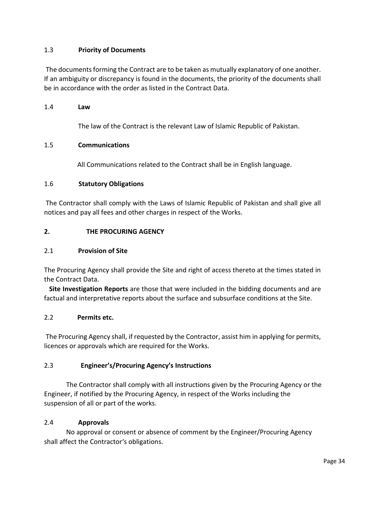#### 1.3 **Priority of Documents**

The documents forming the Contract are to be taken as mutually explanatory of one another. If an ambiguity or discrepancy is found in the documents, the priority of the documents shall be in accordance with the order as listed in the Contract Data.

#### 1.4 **Law**

The law of the Contract is the relevant Law of Islamic Republic of Pakistan.

#### 1.5 **Communications**

All Communications related to the Contract shall be in English language.

#### 1.6 **Statutory Obligations**

The Contractor shall comply with the Laws of Islamic Republic of Pakistan and shall give all notices and pay all fees and other charges in respect of the Works.

#### **2. THE PROCURING AGENCY**

#### 2.1 **Provision of Site**

The Procuring Agency shall provide the Site and right of access thereto at the times stated in the Contract Data.

 **Site Investigation Reports** are those that were included in the bidding documents and are factual and interpretative reports about the surface and subsurface conditions at the Site.

#### 2.2 **Permits etc.**

The Procuring Agency shall, if requested by the Contractor, assist him in applying for permits, licences or approvals which are required for the Works.

#### 2.3 **Engineer's/Procuring Agency's Instructions**

The Contractor shall comply with all instructions given by the Procuring Agency or the Engineer, if notified by the Procuring Agency, in respect of the Works including the suspension of all or part of the works.

#### 2.4 **Approvals**

 No approval or consent or absence of comment by the Engineer/Procuring Agency shall affect the Contractor's obligations.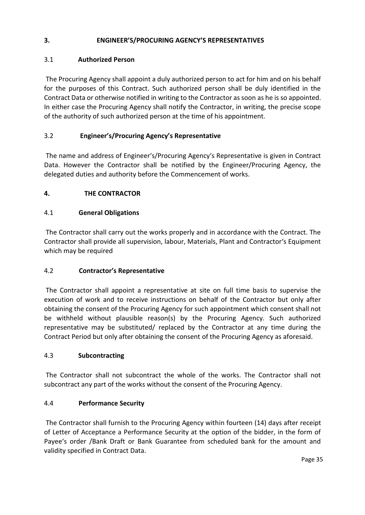#### **3. ENGINEER'S/PROCURING AGENCY'S REPRESENTATIVES**

#### 3.1 **Authorized Person**

The Procuring Agency shall appoint a duly authorized person to act for him and on his behalf for the purposes of this Contract. Such authorized person shall be duly identified in the Contract Data or otherwise notified in writing to the Contractor as soon as he is so appointed. In either case the Procuring Agency shall notify the Contractor, in writing, the precise scope of the authority of such authorized person at the time of his appointment.

#### 3.2 **Engineer's/Procuring Agency's Representative**

The name and address of Engineer's/Procuring Agency's Representative is given in Contract Data. However the Contractor shall be notified by the Engineer/Procuring Agency, the delegated duties and authority before the Commencement of works.

#### **4. THE CONTRACTOR**

#### 4.1 **General Obligations**

The Contractor shall carry out the works properly and in accordance with the Contract. The Contractor shall provide all supervision, labour, Materials, Plant and Contractor's Equipment which may be required

#### 4.2 **Contractor's Representative**

The Contractor shall appoint a representative at site on full time basis to supervise the execution of work and to receive instructions on behalf of the Contractor but only after obtaining the consent of the Procuring Agency for such appointment which consent shall not be withheld without plausible reason(s) by the Procuring Agency. Such authorized representative may be substituted/ replaced by the Contractor at any time during the Contract Period but only after obtaining the consent of the Procuring Agency as aforesaid.

#### 4.3 **Subcontracting**

The Contractor shall not subcontract the whole of the works. The Contractor shall not subcontract any part of the works without the consent of the Procuring Agency.

#### 4.4 **Performance Security**

The Contractor shall furnish to the Procuring Agency within fourteen (14) days after receipt of Letter of Acceptance a Performance Security at the option of the bidder, in the form of Payee's order /Bank Draft or Bank Guarantee from scheduled bank for the amount and validity specified in Contract Data.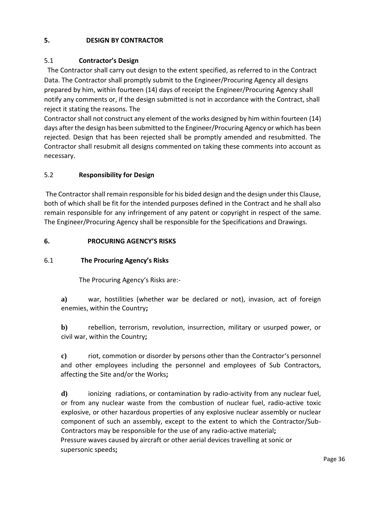#### **5. DESIGN BY CONTRACTOR**

#### 5.1 **Contractor's Design**

 The Contractor shall carry out design to the extent specified, as referred to in the Contract Data. The Contractor shall promptly submit to the Engineer/Procuring Agency all designs prepared by him, within fourteen (14) days of receipt the Engineer/Procuring Agency shall notify any comments or, if the design submitted is not in accordance with the Contract, shall reject it stating the reasons. The

Contractor shall not construct any element of the works designed by him within fourteen (14) days after the design has been submitted to the Engineer/Procuring Agency or which has been rejected. Design that has been rejected shall be promptly amended and resubmitted. The Contractor shall resubmit all designs commented on taking these comments into account as necessary.

#### 5.2 **Responsibility for Design**

The Contractor shall remain responsible for his bided design and the design under this Clause, both of which shall be fit for the intended purposes defined in the Contract and he shall also remain responsible for any infringement of any patent or copyright in respect of the same. The Engineer/Procuring Agency shall be responsible for the Specifications and Drawings.

#### **6. PROCURING AGENCY'S RISKS**

#### 6.1 **The Procuring Agency's Risks**

The Procuring Agency's Risks are:-

**a)** war, hostilities (whether war be declared or not), invasion, act of foreign enemies, within the Country**;**

**b)** rebellion, terrorism, revolution, insurrection, military or usurped power, or civil war, within the Country**;**

**c)** riot, commotion or disorder by persons other than the Contractor's personnel and other employees including the personnel and employees of Sub Contractors, affecting the Site and/or the Works**;**

**d)** ionizing radiations, or contamination by radio-activity from any nuclear fuel, or from any nuclear waste from the combustion of nuclear fuel, radio-active toxic explosive, or other hazardous properties of any explosive nuclear assembly or nuclear component of such an assembly, except to the extent to which the Contractor/Sub-Contractors may be responsible for the use of any radio-active material**;** Pressure waves caused by aircraft or other aerial devices travelling at sonic or supersonic speeds**;**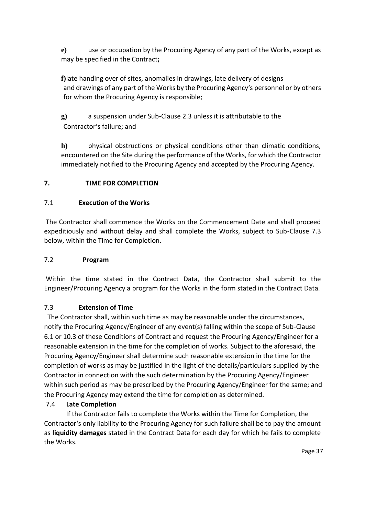**e)** use or occupation by the Procuring Agency of any part of the Works, except as may be specified in the Contract**;**

**f)**late handing over of sites, anomalies in drawings, late delivery of designs and drawings of any part of the Works by the Procuring Agency's personnel or by others for whom the Procuring Agency is responsible;

**g)** a suspension under Sub-Clause 2.3 unless it is attributable to the Contractor's failure; and

**h)** physical obstructions or physical conditions other than climatic conditions, encountered on the Site during the performance of the Works, for which the Contractor immediately notified to the Procuring Agency and accepted by the Procuring Agency.

# **7. TIME FOR COMPLETION**

# 7.1 **Execution of the Works**

The Contractor shall commence the Works on the Commencement Date and shall proceed expeditiously and without delay and shall complete the Works, subject to Sub-Clause 7.3 below, within the Time for Completion.

### 7.2 **Program**

Within the time stated in the Contract Data, the Contractor shall submit to the Engineer/Procuring Agency a program for the Works in the form stated in the Contract Data.

### 7.3 **Extension of Time**

 The Contractor shall, within such time as may be reasonable under the circumstances, notify the Procuring Agency/Engineer of any event(s) falling within the scope of Sub-Clause 6.1 or 10.3 of these Conditions of Contract and request the Procuring Agency/Engineer for a reasonable extension in the time for the completion of works. Subject to the aforesaid, the Procuring Agency/Engineer shall determine such reasonable extension in the time for the completion of works as may be justified in the light of the details/particulars supplied by the Contractor in connection with the such determination by the Procuring Agency/Engineer within such period as may be prescribed by the Procuring Agency/Engineer for the same; and the Procuring Agency may extend the time for completion as determined.

# 7.4 **Late Completion**

 If the Contractor fails to complete the Works within the Time for Completion, the Contractor's only liability to the Procuring Agency for such failure shall be to pay the amount as **liquidity damages** stated in the Contract Data for each day for which he fails to complete the Works.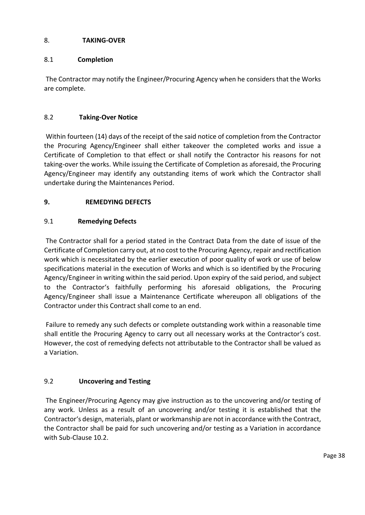### 8. **TAKING-OVER**

# 8.1 **Completion**

The Contractor may notify the Engineer/Procuring Agency when he considers that the Works are complete.

# 8.2 **Taking-Over Notice**

Within fourteen (14) days of the receipt of the said notice of completion from the Contractor the Procuring Agency/Engineer shall either takeover the completed works and issue a Certificate of Completion to that effect or shall notify the Contractor his reasons for not taking-over the works. While issuing the Certificate of Completion as aforesaid, the Procuring Agency/Engineer may identify any outstanding items of work which the Contractor shall undertake during the Maintenances Period.

# **9. REMEDYING DEFECTS**

# 9.1 **Remedying Defects**

The Contractor shall for a period stated in the Contract Data from the date of issue of the Certificate of Completion carry out, at no cost to the Procuring Agency, repair and rectification work which is necessitated by the earlier execution of poor quality of work or use of below specifications material in the execution of Works and which is so identified by the Procuring Agency/Engineer in writing within the said period. Upon expiry of the said period, and subject to the Contractor's faithfully performing his aforesaid obligations, the Procuring Agency/Engineer shall issue a Maintenance Certificate whereupon all obligations of the Contractor under this Contract shall come to an end.

Failure to remedy any such defects or complete outstanding work within a reasonable time shall entitle the Procuring Agency to carry out all necessary works at the Contractor's cost. However, the cost of remedying defects not attributable to the Contractor shall be valued as a Variation.

# 9.2 **Uncovering and Testing**

The Engineer/Procuring Agency may give instruction as to the uncovering and/or testing of any work. Unless as a result of an uncovering and/or testing it is established that the Contractor's design, materials, plant or workmanship are not in accordance with the Contract, the Contractor shall be paid for such uncovering and/or testing as a Variation in accordance with Sub-Clause 10.2.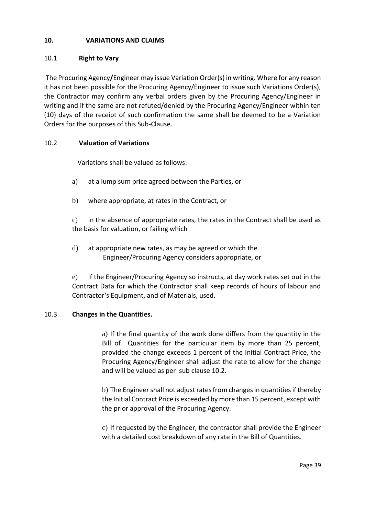### **10. VARIATIONS AND CLAIMS**

### 10.1 **Right to Vary**

The Procuring Agency**/**Engineer may issue Variation Order(s) in writing. Where for any reason it has not been possible for the Procuring Agency/Engineer to issue such Variations Order(s), the Contractor may confirm any verbal orders given by the Procuring Agency/Engineer in writing and if the same are not refuted/denied by the Procuring Agency/Engineer within ten (10) days of the receipt of such confirmation the same shall be deemed to be a Variation Orders for the purposes of this Sub-Clause.

### 10.2 **Valuation of Variations**

Variations shall be valued as follows:

- a) at a lump sum price agreed between the Parties, or
- b) where appropriate, at rates in the Contract, or

c) in the absence of appropriate rates, the rates in the Contract shall be used as the basis for valuation, or failing which

d) at appropriate new rates, as may be agreed or which the Engineer/Procuring Agency considers appropriate, or

e) if the Engineer/Procuring Agency so instructs, at day work rates set out in the Contract Data for which the Contractor shall keep records of hours of labour and Contractor's Equipment, and of Materials, used.

#### 10.3 **Changes in the Quantities.**

a) If the final quantity of the work done differs from the quantity in the Bill of Quantities for the particular item by more than 25 percent, provided the change exceeds 1 percent of the Initial Contract Price, the Procuring Agency/Engineer shall adjust the rate to allow for the change and will be valued as per sub clause 10.2.

b) The Engineer shall not adjust rates from changes in quantities if thereby the Initial Contract Price is exceeded by more than 15 percent, except with the prior approval of the Procuring Agency.

c) If requested by the Engineer, the contractor shall provide the Engineer with a detailed cost breakdown of any rate in the Bill of Quantities.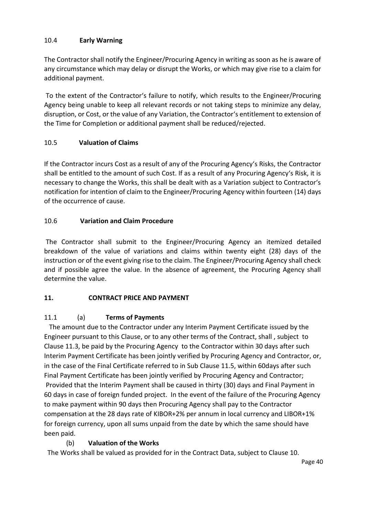### 10.4 **Early Warning**

The Contractor shall notify the Engineer/Procuring Agency in writing as soon as he is aware of any circumstance which may delay or disrupt the Works, or which may give rise to a claim for additional payment.

To the extent of the Contractor's failure to notify, which results to the Engineer/Procuring Agency being unable to keep all relevant records or not taking steps to minimize any delay, disruption, or Cost, or the value of any Variation, the Contractor's entitlement to extension of the Time for Completion or additional payment shall be reduced/rejected.

# 10.5 **Valuation of Claims**

If the Contractor incurs Cost as a result of any of the Procuring Agency's Risks, the Contractor shall be entitled to the amount of such Cost. If as a result of any Procuring Agency's Risk, it is necessary to change the Works, this shall be dealt with as a Variation subject to Contractor's notification for intention of claim to the Engineer/Procuring Agency within fourteen (14) days of the occurrence of cause.

### 10.6 **Variation and Claim Procedure**

The Contractor shall submit to the Engineer/Procuring Agency an itemized detailed breakdown of the value of variations and claims within twenty eight (28) days of the instruction or of the event giving rise to the claim. The Engineer/Procuring Agency shall check and if possible agree the value. In the absence of agreement, the Procuring Agency shall determine the value.

# **11. CONTRACT PRICE AND PAYMENT**

# 11.1 (a) **Terms of Payments**

 The amount due to the Contractor under any Interim Payment Certificate issued by the Engineer pursuant to this Clause, or to any other terms of the Contract, shall , subject to Clause 11.3, be paid by the Procuring Agency to the Contractor within 30 days after such Interim Payment Certificate has been jointly verified by Procuring Agency and Contractor, or, in the case of the Final Certificate referred to in Sub Clause 11.5, within 60days after such Final Payment Certificate has been jointly verified by Procuring Agency and Contractor; Provided that the Interim Payment shall be caused in thirty (30) days and Final Payment in 60 days in case of foreign funded project. In the event of the failure of the Procuring Agency to make payment within 90 days then Procuring Agency shall pay to the Contractor compensation at the 28 days rate of KIBOR+2% per annum in local currency and LIBOR+1% for foreign currency, upon all sums unpaid from the date by which the same should have been paid.

# (b) **Valuation of the Works**

The Works shall be valued as provided for in the Contract Data, subject to Clause 10.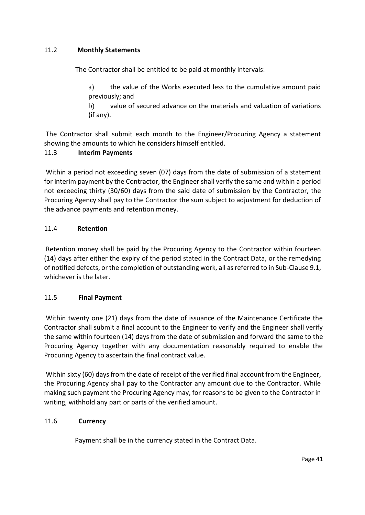### 11.2 **Monthly Statements**

The Contractor shall be entitled to be paid at monthly intervals:

a) the value of the Works executed less to the cumulative amount paid previously; and

b) value of secured advance on the materials and valuation of variations (if any).

The Contractor shall submit each month to the Engineer/Procuring Agency a statement showing the amounts to which he considers himself entitled.

### 11.3 **Interim Payments**

Within a period not exceeding seven (07) days from the date of submission of a statement for interim payment by the Contractor, the Engineer shall verify the same and within a period not exceeding thirty (30/60) days from the said date of submission by the Contractor, the Procuring Agency shall pay to the Contractor the sum subject to adjustment for deduction of the advance payments and retention money.

### 11.4 **Retention**

Retention money shall be paid by the Procuring Agency to the Contractor within fourteen (14) days after either the expiry of the period stated in the Contract Data, or the remedying of notified defects, or the completion of outstanding work, all as referred to in Sub-Clause 9.1, whichever is the later.

### 11.5 **Final Payment**

Within twenty one (21) days from the date of issuance of the Maintenance Certificate the Contractor shall submit a final account to the Engineer to verify and the Engineer shall verify the same within fourteen (14) days from the date of submission and forward the same to the Procuring Agency together with any documentation reasonably required to enable the Procuring Agency to ascertain the final contract value.

Within sixty (60) days from the date of receipt of the verified final account from the Engineer, the Procuring Agency shall pay to the Contractor any amount due to the Contractor. While making such payment the Procuring Agency may, for reasons to be given to the Contractor in writing, withhold any part or parts of the verified amount.

### 11.6 **Currency**

Payment shall be in the currency stated in the Contract Data.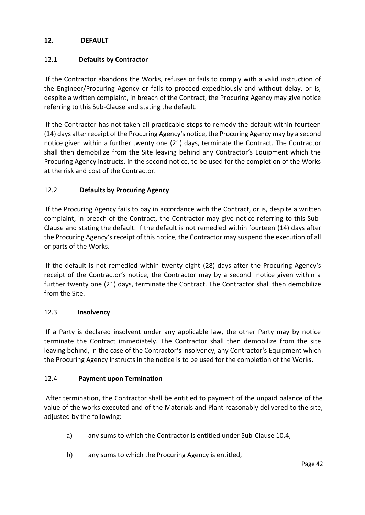### **12. DEFAULT**

### 12.1 **Defaults by Contractor**

If the Contractor abandons the Works, refuses or fails to comply with a valid instruction of the Engineer/Procuring Agency or fails to proceed expeditiously and without delay, or is, despite a written complaint, in breach of the Contract, the Procuring Agency may give notice referring to this Sub-Clause and stating the default.

If the Contractor has not taken all practicable steps to remedy the default within fourteen (14) days after receipt of the Procuring Agency's notice, the Procuring Agency may by a second notice given within a further twenty one (21) days, terminate the Contract. The Contractor shall then demobilize from the Site leaving behind any Contractor's Equipment which the Procuring Agency instructs, in the second notice, to be used for the completion of the Works at the risk and cost of the Contractor.

#### 12.2 **Defaults by Procuring Agency**

If the Procuring Agency fails to pay in accordance with the Contract, or is, despite a written complaint, in breach of the Contract, the Contractor may give notice referring to this Sub-Clause and stating the default. If the default is not remedied within fourteen (14) days after the Procuring Agency's receipt of this notice, the Contractor may suspend the execution of all or parts of the Works.

If the default is not remedied within twenty eight (28) days after the Procuring Agency's receipt of the Contractor's notice, the Contractor may by a second notice given within a further twenty one (21) days, terminate the Contract. The Contractor shall then demobilize from the Site.

#### 12.3 **Insolvency**

If a Party is declared insolvent under any applicable law, the other Party may by notice terminate the Contract immediately. The Contractor shall then demobilize from the site leaving behind, in the case of the Contractor's insolvency, any Contractor's Equipment which the Procuring Agency instructs in the notice is to be used for the completion of the Works.

#### 12.4 **Payment upon Termination**

After termination, the Contractor shall be entitled to payment of the unpaid balance of the value of the works executed and of the Materials and Plant reasonably delivered to the site, adjusted by the following:

- a) any sums to which the Contractor is entitled under Sub-Clause 10.4,
- b) any sums to which the Procuring Agency is entitled,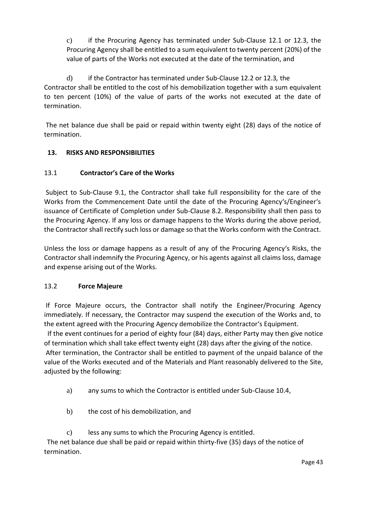c) if the Procuring Agency has terminated under Sub-Clause 12.1 or 12.3, the Procuring Agency shall be entitled to a sum equivalent to twenty percent (20%) of the value of parts of the Works not executed at the date of the termination, and

d) if the Contractor has terminated under Sub-Clause 12.2 or 12.3*,* the Contractor shall be entitled to the cost of his demobilization together with a sum equivalent to ten percent (10%) of the value of parts of the works not executed at the date of termination.

The net balance due shall be paid or repaid within twenty eight (28) days of the notice of termination.

# **13. RISKS AND RESPONSIBILITIES**

# 13.1 **Contractor's Care of the Works**

Subject to Sub-Clause 9.1, the Contractor shall take full responsibility for the care of the Works from the Commencement Date until the date of the Procuring Agency's/Engineer's issuance of Certificate of Completion under Sub-Clause 8.2. Responsibility shall then pass to the Procuring Agency. If any loss or damage happens to the Works during the above period, the Contractor shall rectify such loss or damage so that the Works conform with the Contract.

Unless the loss or damage happens as a result of any of the Procuring Agency's Risks, the Contractor shall indemnify the Procuring Agency, or his agents against all claims loss, damage and expense arising out of the Works.

# 13.2 **Force Majeure**

If Force Majeure occurs, the Contractor shall notify the Engineer/Procuring Agency immediately. If necessary, the Contractor may suspend the execution of the Works and, to the extent agreed with the Procuring Agency demobilize the Contractor's Equipment.

 If the event continues for a period of eighty four (84) days, either Party may then give notice of termination which shall take effect twenty eight (28) days after the giving of the notice. After termination, the Contractor shall be entitled to payment of the unpaid balance of the value of the Works executed and of the Materials and Plant reasonably delivered to the Site, adjusted by the following:

- a) any sums to which the Contractor is entitled under Sub-Clause 10.4,
- b) the cost of his demobilization, and
- c) less any sums to which the Procuring Agency is entitled.

The net balance due shall be paid or repaid within thirty-five (35) days of the notice of termination.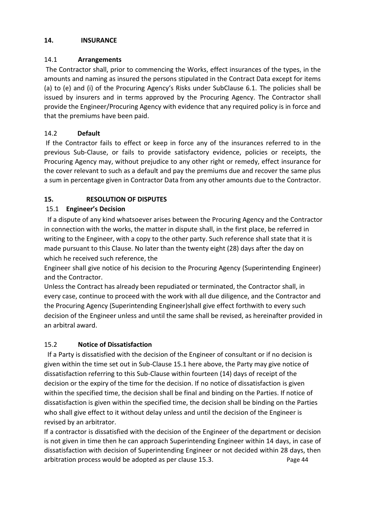### **14. INSURANCE**

# 14.1 **Arrangements**

The Contractor shall, prior to commencing the Works, effect insurances of the types, in the amounts and naming as insured the persons stipulated in the Contract Data except for items (a) to (e) and (i) of the Procuring Agency's Risks under SubClause 6.1. The policies shall be issued by insurers and in terms approved by the Procuring Agency. The Contractor shall provide the Engineer/Procuring Agency with evidence that any required policy is in force and that the premiums have been paid.

# 14.2 **Default**

If the Contractor fails to effect or keep in force any of the insurances referred to in the previous Sub-Clause, or fails to provide satisfactory evidence, policies or receipts, the Procuring Agency may, without prejudice to any other right or remedy, effect insurance for the cover relevant to such as a default and pay the premiums due and recover the same plus a sum in percentage given in Contractor Data from any other amounts due to the Contractor.

# **15. RESOLUTION OF DISPUTES**

# 15.1 **Engineer's Decision**

 If a dispute of any kind whatsoever arises between the Procuring Agency and the Contractor in connection with the works, the matter in dispute shall, in the first place, be referred in writing to the Engineer, with a copy to the other party. Such reference shall state that it is made pursuant to this Clause. No later than the twenty eight (28) days after the day on which he received such reference, the

Engineer shall give notice of his decision to the Procuring Agency (Superintending Engineer) and the Contractor.

Unless the Contract has already been repudiated or terminated, the Contractor shall, in every case, continue to proceed with the work with all due diligence, and the Contractor and the Procuring Agency (Superintending Engineer)shall give effect forthwith to every such decision of the Engineer unless and until the same shall be revised, as hereinafter provided in an arbitral award.

# 15.2 **Notice of Dissatisfaction**

 If a Party is dissatisfied with the decision of the Engineer of consultant or if no decision is given within the time set out in Sub-Clause 15.1 here above, the Party may give notice of dissatisfaction referring to this Sub-Clause within fourteen (14) days of receipt of the decision or the expiry of the time for the decision. If no notice of dissatisfaction is given within the specified time, the decision shall be final and binding on the Parties. If notice of dissatisfaction is given within the specified time, the decision shall be binding on the Parties who shall give effect to it without delay unless and until the decision of the Engineer is revised by an arbitrator.

If a contractor is dissatisfied with the decision of the Engineer of the department or decision is not given in time then he can approach Superintending Engineer within 14 days, in case of dissatisfaction with decision of Superintending Engineer or not decided within 28 days, then arbitration process would be adopted as per clause 15.3. The result of the Page 44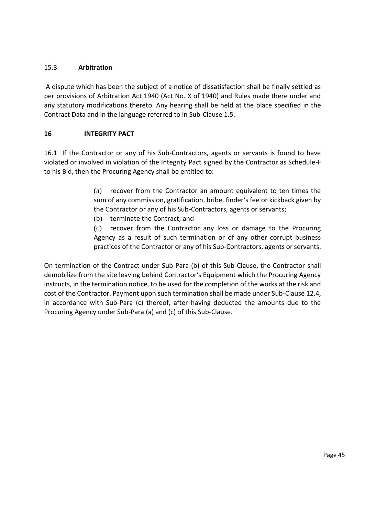## 15.3 **Arbitration**

A dispute which has been the subject of a notice of dissatisfaction shall be finally settled as per provisions of Arbitration Act 1940 (Act No. X of 1940) and Rules made there under and any statutory modifications thereto. Any hearing shall be held at the place specified in the Contract Data and in the language referred to in Sub-Clause 1.5.

### **16 INTEGRITY PACT**

16.1 If the Contractor or any of his Sub-Contractors, agents or servants is found to have violated or involved in violation of the Integrity Pact signed by the Contractor as Schedule-F to his Bid, then the Procuring Agency shall be entitled to:

> (a) recover from the Contractor an amount equivalent to ten times the sum of any commission, gratification, bribe, finder's fee or kickback given by the Contractor or any of his Sub-Contractors, agents or servants;

(b) terminate the Contract; and

(c) recover from the Contractor any loss or damage to the Procuring Agency as a result of such termination or of any other corrupt business practices of the Contractor or any of his Sub-Contractors, agents or servants.

On termination of the Contract under Sub-Para (b) of this Sub-Clause, the Contractor shall demobilize from the site leaving behind Contractor's Equipment which the Procuring Agency instructs, in the termination notice, to be used for the completion of the works at the risk and cost of the Contractor. Payment upon such termination shall be made under Sub-Clause 12.4, in accordance with Sub-Para (c) thereof, after having deducted the amounts due to the Procuring Agency under Sub-Para (a) and (c) of this Sub-Clause.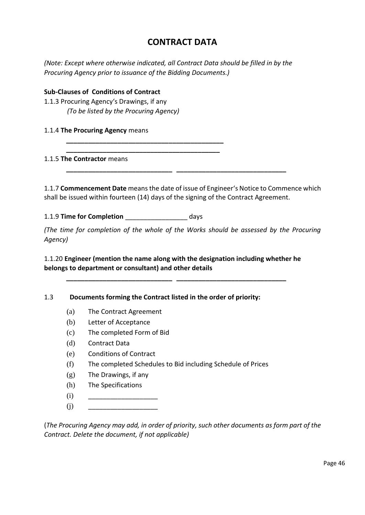# **CONTRACT DATA**

*(Note: Except where otherwise indicated, all Contract Data should be filled in by the Procuring Agency prior to issuance of the Bidding Documents.)* 

#### **Sub-Clauses of Conditions of Contract**

- 1.1.3 Procuring Agency's Drawings, if any *(To be listed by the Procuring Agency)*
- 1.1.4 **The Procuring Agency** means

#### 1.1.5 **The Contractor** means

1.1.7 **Commencement Date** means the date of issue of Engineer's Notice to Commence which shall be issued within fourteen (14) days of the signing of the Contract Agreement.

**\_\_\_\_\_\_\_\_\_\_\_\_\_\_\_\_\_\_\_\_\_\_\_\_\_\_\_\_\_ \_\_\_\_\_\_\_\_\_\_\_\_\_\_\_\_\_\_\_\_\_\_\_\_\_\_\_\_\_\_** 

1.1.9 **Time for Completion** \_\_\_\_\_\_\_\_\_\_\_\_\_\_\_\_\_ days

**\_\_\_\_\_\_\_\_\_\_\_\_\_\_\_\_\_\_\_\_\_\_\_\_\_\_\_\_\_\_\_\_\_\_\_\_\_\_\_\_\_\_\_ \_\_\_\_\_\_\_\_\_\_\_\_\_\_\_\_\_\_\_\_\_\_\_\_\_\_\_\_\_\_\_\_\_\_\_\_\_\_\_\_\_\_** 

*(The time for completion of the whole of the Works should be assessed by the Procuring Agency)* 

1.1.20 **Engineer (mention the name along with the designation including whether he belongs to department or consultant) and other details**

**\_\_\_\_\_\_\_\_\_\_\_\_\_\_\_\_\_\_\_\_\_\_\_\_\_\_\_\_\_ \_\_\_\_\_\_\_\_\_\_\_\_\_\_\_\_\_\_\_\_\_\_\_\_\_\_\_\_\_\_**

### 1.3 **Documents forming the Contract listed in the order of priority:**

- (a) The Contract Agreement
- (b) Letter of Acceptance
- (c) The completed Form of Bid
- (d) Contract Data
- (e) Conditions of Contract
- (f) The completed Schedules to Bid including Schedule of Prices
- (g) The Drawings, if any
- (h) The Specifications
- (i) \_\_\_\_\_\_\_\_\_\_\_\_\_\_\_\_\_\_\_
- (j) \_\_\_\_\_\_\_\_\_\_\_\_\_\_\_\_\_\_\_

(*The Procuring Agency may add, in order of priority, such other documents as form part of the Contract. Delete the document, if not applicable)*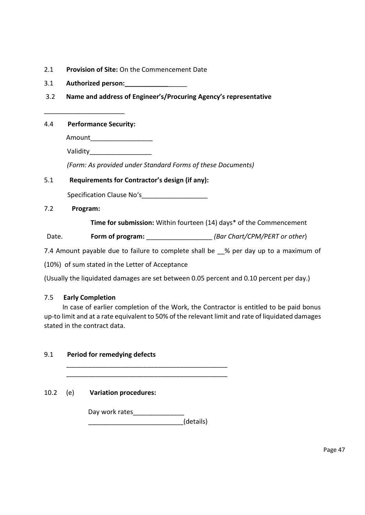- 2.1 **Provision of Site:** On the Commencement Date
- 3.1 **Authorized person:\_\_\_\_\_\_\_\_\_\_\_\_**\_\_\_\_\_
- 3.2 **Name and address of Engineer's/Procuring Agency's representative**

4.4 **Performance Security:**

\_\_\_\_\_\_\_\_\_\_\_\_\_\_\_\_\_\_\_\_\_\_

Amount\_\_\_\_\_\_\_\_\_\_\_\_\_\_\_\_\_

Validity\_\_\_\_\_\_\_\_\_\_\_\_\_\_\_\_\_

*(Form: As provided under Standard Forms of these Documents)* 

### 5.1 **Requirements for Contractor's design (if any):**

Specification Clause No's

7.2 **Program:**

**Time for submission:** Within fourteen (14) days\* of the Commencement

Date. **Form of program:** \_\_\_\_\_\_\_\_\_\_\_\_\_\_\_\_\_\_\_\_*\_\_\_ (Bar Chart/CPM/PERT or other*)

7.4 Amount payable due to failure to complete shall be  $\%$  per day up to a maximum of

(10%) of sum stated in the Letter of Acceptance

(Usually the liquidated damages are set between 0.05 percent and 0.10 percent per day.)

### 7.5 **Early Completion**

 In case of earlier completion of the Work, the Contractor is entitled to be paid bonus up-to limit and at a rate equivalent to 50% of the relevant limit and rate of liquidated damages stated in the contract data.

| 9.1  | Period for remedying defects |                              |           |  |  |  |
|------|------------------------------|------------------------------|-----------|--|--|--|
| 10.2 | (e)                          | <b>Variation procedures:</b> |           |  |  |  |
|      |                              | Day work rates               | (details) |  |  |  |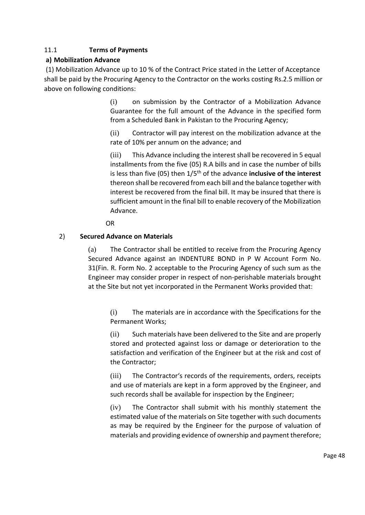# 11.1 **Terms of Payments**

# **a) Mobilization Advance**

(1) Mobilization Advance up to 10 % of the Contract Price stated in the Letter of Acceptance shall be paid by the Procuring Agency to the Contractor on the works costing Rs.2.5 million or above on following conditions:

> (i) on submission by the Contractor of a Mobilization Advance Guarantee for the full amount of the Advance in the specified form from a Scheduled Bank in Pakistan to the Procuring Agency;

> (ii) Contractor will pay interest on the mobilization advance at the rate of 10% per annum on the advance; and

> (iii) This Advance including the interest shall be recovered in 5 equal installments from the five (05) R.A bills and in case the number of bills is less than five (05) then 1/5th of the advance **inclusive of the interest** thereon shall be recovered from each bill and the balance together with interest be recovered from the final bill. It may be insured that there is sufficient amount in the final bill to enable recovery of the Mobilization Advance.

OR

# 2) **Secured Advance on Materials**

(a) The Contractor shall be entitled to receive from the Procuring Agency Secured Advance against an INDENTURE BOND in P W Account Form No. 31(Fin. R. Form No. 2 acceptable to the Procuring Agency of such sum as the Engineer may consider proper in respect of non-perishable materials brought at the Site but not yet incorporated in the Permanent Works provided that:

(i) The materials are in accordance with the Specifications for the Permanent Works;

(ii) Such materials have been delivered to the Site and are properly stored and protected against loss or damage or deterioration to the satisfaction and verification of the Engineer but at the risk and cost of the Contractor;

(iii) The Contractor's records of the requirements, orders, receipts and use of materials are kept in a form approved by the Engineer, and such records shall be available for inspection by the Engineer;

(iv) The Contractor shall submit with his monthly statement the estimated value of the materials on Site together with such documents as may be required by the Engineer for the purpose of valuation of materials and providing evidence of ownership and payment therefore;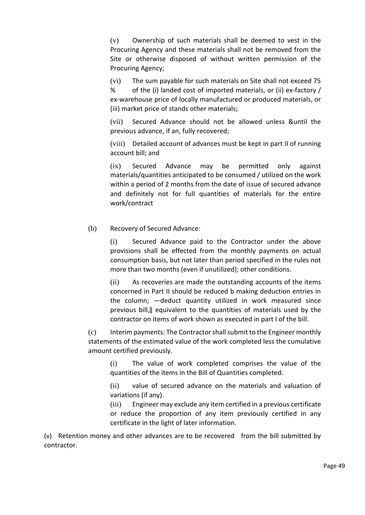(v) Ownership of such materials shall be deemed to vest in the Procuring Agency and these materials shall not be removed from the Site or otherwise disposed of without written permission of the Procuring Agency;

(vi) The sum payable for such materials on Site shall not exceed 75 % of the (i) landed cost of imported materials, or (ii) ex-factory / ex-warehouse price of locally manufactured or produced materials, or (iii) market price of stands other materials;

(vii) Secured Advance should not be allowed unless &until the previous advance, if an, fully recovered;

(viii) Detailed account of advances must be kept in part II of running account bill; and

(ix) Secured Advance may be permitted only against materials/quantities anticipated to be consumed / utilized on the work within a period of 2 months from the date of issue of secured advance and definitely not for full quantities of materials for the entire work/contract

### (b) Recovery of Secured Advance:

(i) Secured Advance paid to the Contractor under the above provisions shall be effected from the monthly payments on actual consumption basis, but not later than period specified in the rules not more than two months (even if unutilized); other conditions.

(ii) As recoveries are made the outstanding accounts of the items concerned in Part II should be reduced b making deduction entries in the column; ―deduct quantity utilized in work measured since previous bill,‖ equivalent to the quantities of materials used by the contractor on items of work shown as executed in part I of the bill.

(c) Interim payments: The Contractor shall submit to the Engineer monthly statements of the estimated value of the work completed less the cumulative amount certified previously.

(i) The value of work completed comprises the value of the quantities of the items in the Bill of Quantities completed.

(ii) value of secured advance on the materials and valuation of variations (if any).

(iii) Engineer may exclude any item certified in a previous certificate or reduce the proportion of any item previously certified in any certificate in the light of later information.

(v) Retention money and other advances are to be recovered from the bill submitted by contractor.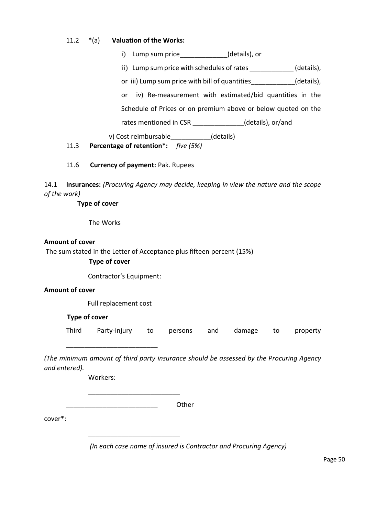#### 11.2 **\***(a) **Valuation of the Works:**

i) Lump sum price (details), or

ii) Lump sum price with schedules of rates (details),

or iii) Lump sum price with bill of quantities (details),

or iv) Re-measurement with estimated/bid quantities in the

Schedule of Prices or on premium above or below quoted on the

rates mentioned in CSR \_\_\_\_\_\_\_\_\_\_\_\_\_(details), or/and

v) Cost reimbursable (details)

# 11.3 **Percentage of retention\*:** *five (5%)*

### 11.6 **Currency of payment:** Pak. Rupees

14.1 **Insurances:** *(Procuring Agency may decide, keeping in view the nature and the scope of the work)* 

**Type of cover** 

The Works

#### **Amount of cover**

The sum stated in the Letter of Acceptance plus fifteen percent (15%)

**Type of cover**

Contractor's Equipment:

### **Amount of cover**

Full replacement cost

#### **Type of cover**

Third Party-injury to persons and damage to property

*(The minimum amount of third party insurance should be assessed by the Procuring Agency and entered).* 

Workers:

\_\_\_\_\_\_\_\_\_\_\_\_\_\_\_\_\_\_\_\_\_\_\_\_\_

\_\_\_\_\_\_\_\_\_\_\_\_\_\_\_\_\_\_\_\_\_\_\_\_\_

\_\_\_\_\_\_\_\_\_\_\_\_\_\_\_\_\_\_\_\_\_\_\_\_\_

\_\_\_\_\_\_\_\_\_\_\_\_\_\_\_\_\_\_\_\_\_\_\_\_\_ Other

cover\*:

*(In each case name of insured is Contractor and Procuring Agency)*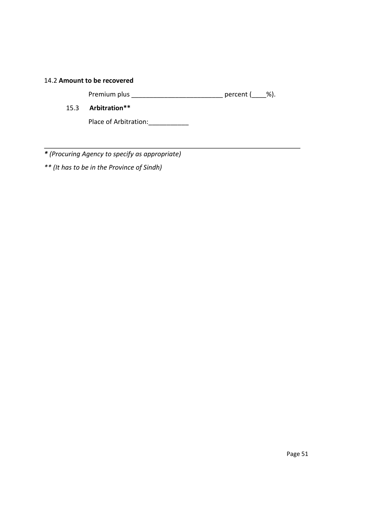#### 14.2 **Amount to be recovered**

Premium plus \_\_\_\_\_\_\_\_\_\_\_\_\_\_\_\_\_\_\_\_\_\_\_\_\_\_\_\_\_\_\_\_\_\_ percent (\_\_\_\_%).

15.3 **Arbitration\*\*** 

Place of Arbitration: \_\_\_\_\_\_\_\_\_\_\_\_

*\* (Procuring Agency to specify as appropriate)* 

*\*\* (It has to be in the Province of Sindh)*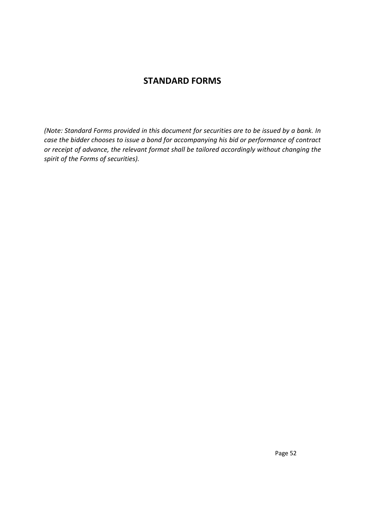# **STANDARD FORMS**

*(Note: Standard Forms provided in this document for securities are to be issued by a bank. In case the bidder chooses to issue a bond for accompanying his bid or performance of contract or receipt of advance, the relevant format shall be tailored accordingly without changing the spirit of the Forms of securities).*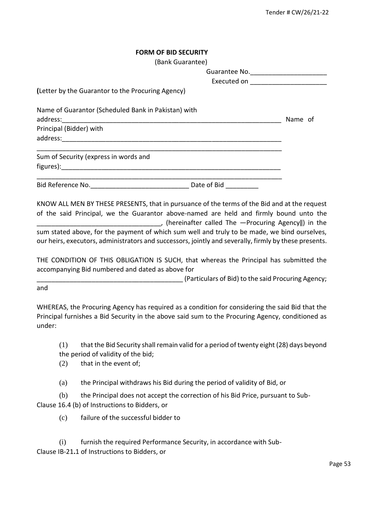|  |  | <b>FORM OF BID SECURITY</b> |  |
|--|--|-----------------------------|--|
|  |  |                             |  |

| (Bank Guarantee)                                                               |                                     |         |
|--------------------------------------------------------------------------------|-------------------------------------|---------|
|                                                                                |                                     |         |
|                                                                                | Executed on _______________________ |         |
| (Letter by the Guarantor to the Procuring Agency)                              |                                     |         |
| Name of Guarantor (Scheduled Bank in Pakistan) with<br>Principal (Bidder) with |                                     | Name of |
| Sum of Security (express in words and                                          |                                     |         |
|                                                                                |                                     |         |
|                                                                                | Date of Bid                         |         |

KNOW ALL MEN BY THESE PRESENTS, that in pursuance of the terms of the Bid and at the request of the said Principal, we the Guarantor above-named are held and firmly bound unto the \_\_\_\_\_\_\_\_\_\_\_\_\_\_\_\_\_\_\_\_\_\_\_\_\_\_\_\_\_\_\_\_\_\_, (hereinafter called The ―Procuring Agency‖) in the sum stated above, for the payment of which sum well and truly to be made, we bind ourselves, our heirs, executors, administrators and successors, jointly and severally, firmly by these presents.

THE CONDITION OF THIS OBLIGATION IS SUCH, that whereas the Principal has submitted the accompanying Bid numbered and dated as above for

\_\_\_\_\_\_\_\_\_\_\_\_\_\_\_\_\_\_\_\_\_\_\_\_\_\_\_\_\_\_\_\_\_\_\_\_\_\_\_\_ (Particulars of Bid) to the said Procuring Agency;

and

WHEREAS, the Procuring Agency has required as a condition for considering the said Bid that the Principal furnishes a Bid Security in the above said sum to the Procuring Agency, conditioned as under:

(1) that the Bid Security shall remain valid for a period of twenty eight (28) days beyond the period of validity of the bid;

- (2) that in the event of;
- (a) the Principal withdraws his Bid during the period of validity of Bid, or

(b) the Principal does not accept the correction of his Bid Price, pursuant to Sub-Clause 16.4 (b) of Instructions to Bidders, or

(c) failure of the successful bidder to

(i) furnish the required Performance Security, in accordance with Sub-Clause IB-21**.**1 of Instructions to Bidders, or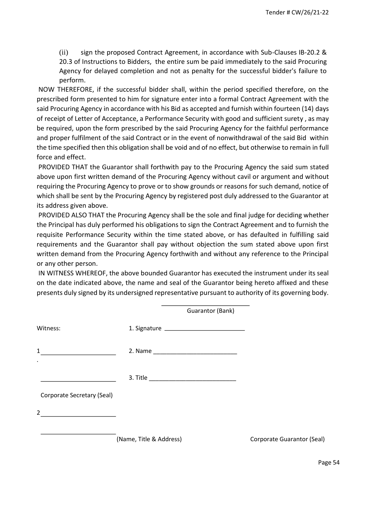(ii) sign the proposed Contract Agreement, in accordance with Sub-Clauses IB-20.2 & 20.3 of Instructions to Bidders, the entire sum be paid immediately to the said Procuring Agency for delayed completion and not as penalty for the successful bidder's failure to perform.

NOW THEREFORE, if the successful bidder shall, within the period specified therefore, on the prescribed form presented to him for signature enter into a formal Contract Agreement with the said Procuring Agency in accordance with his Bid as accepted and furnish within fourteen (14) days of receipt of Letter of Acceptance, a Performance Security with good and sufficient surety , as may be required, upon the form prescribed by the said Procuring Agency for the faithful performance and proper fulfilment of the said Contract or in the event of nonwithdrawal of the said Bid within the time specified then this obligation shall be void and of no effect, but otherwise to remain in full force and effect.

PROVIDED THAT the Guarantor shall forthwith pay to the Procuring Agency the said sum stated above upon first written demand of the Procuring Agency without cavil or argument and without requiring the Procuring Agency to prove or to show grounds or reasons for such demand, notice of which shall be sent by the Procuring Agency by registered post duly addressed to the Guarantor at its address given above.

PROVIDED ALSO THAT the Procuring Agency shall be the sole and final judge for deciding whether the Principal has duly performed his obligations to sign the Contract Agreement and to furnish the requisite Performance Security within the time stated above, or has defaulted in fulfilling said requirements and the Guarantor shall pay without objection the sum stated above upon first written demand from the Procuring Agency forthwith and without any reference to the Principal or any other person.

IN WITNESS WHEREOF, the above bounded Guarantor has executed the instrument under its seal on the date indicated above, the name and seal of the Guarantor being hereto affixed and these presents duly signed by its undersigned representative pursuant to authority of its governing body.

|                                                           |                         | Guarantor (Bank) |                            |
|-----------------------------------------------------------|-------------------------|------------------|----------------------------|
| Witness:                                                  |                         |                  |                            |
| $\mathbf{1}$<br>$\bullet$                                 |                         |                  |                            |
|                                                           |                         |                  |                            |
| Corporate Secretary (Seal)                                |                         |                  |                            |
| $\overline{2}$<br><u> 1990 - Johann Barbara, martin a</u> |                         |                  |                            |
|                                                           | (Name, Title & Address) |                  | Corporate Guarantor (Seal) |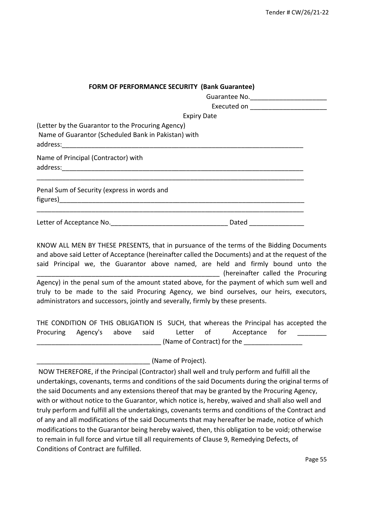| <b>FORM OF PERFORMANCE SECURITY (Bank Guarantee)</b> |                    |  |
|------------------------------------------------------|--------------------|--|
|                                                      |                    |  |
|                                                      |                    |  |
|                                                      | <b>Expiry Date</b> |  |
| (Letter by the Guarantor to the Procuring Agency)    |                    |  |
| Name of Guarantor (Scheduled Bank in Pakistan) with  |                    |  |
| Name of Principal (Contractor) with                  |                    |  |
| Penal Sum of Security (express in words and          |                    |  |
|                                                      | Dated              |  |

KNOW ALL MEN BY THESE PRESENTS, that in pursuance of the terms of the Bidding Documents and above said Letter of Acceptance (hereinafter called the Documents) and at the request of the said Principal we, the Guarantor above named, are held and firmly bound unto the (hereinafter called the Procuring Agency) in the penal sum of the amount stated above*,* for the payment of which sum well and truly to be made to the said Procuring Agency, we bind ourselves, our heirs, executors, administrators and successors, jointly and severally, firmly by these presents.

THE CONDITION OF THIS OBLIGATION IS SUCH, that whereas the Principal has accepted the Procuring Agency's above said Letter of Acceptance for \_\_\_\_\_\_\_\_\_\_\_\_\_\_\_\_\_\_\_\_\_\_\_\_\_\_\_\_\_\_\_\_\_\_ (Name of Contract) for the \_\_\_\_\_\_\_\_\_\_\_\_\_\_\_\_

\_\_\_\_\_\_\_\_\_\_\_\_\_\_\_\_\_\_\_\_\_\_\_\_\_\_\_\_\_\_\_ (Name of Project).

NOW THEREFORE, if the Principal (Contractor) shall well and truly perform and fulfill all the undertakings, covenants, terms and conditions of the said Documents during the original terms of the said Documents and any extensions thereof that may be granted by the Procuring Agency, with or without notice to the Guarantor, which notice is, hereby, waived and shall also well and truly perform and fulfill all the undertakings, covenants terms and conditions of the Contract and of any and all modifications of the said Documents that may hereafter be made, notice of which modifications to the Guarantor being hereby waived, then, this obligation to be void; otherwise to remain in full force and virtue till all requirements of Clause 9, Remedying Defects, of Conditions of Contract are fulfilled.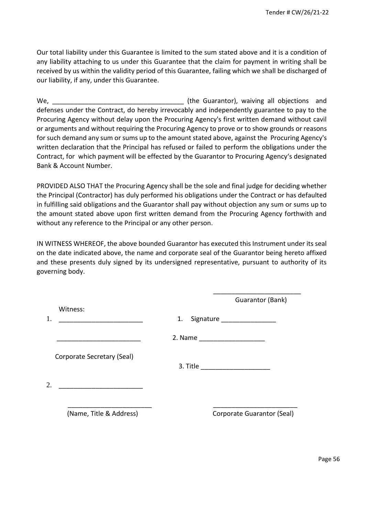Our total liability under this Guarantee is limited to the sum stated above and it is a condition of any liability attaching to us under this Guarantee that the claim for payment in writing shall be received by us within the validity period of this Guarantee, failing which we shall be discharged of our liability, if any, under this Guarantee.

We, the Guarantor), waiving all objections and  $($ the Guarantor), waiving all objections and defenses under the Contract, do hereby irrevocably and independently guarantee to pay to the Procuring Agency without delay upon the Procuring Agency's first written demand without cavil or arguments and without requiring the Procuring Agency to prove or to show grounds or reasons for such demand any sum or sums up to the amount stated above, against the Procuring Agency's written declaration that the Principal has refused or failed to perform the obligations under the Contract, forwhich payment will be effected by the Guarantor to Procuring Agency's designated Bank & Account Number.

PROVIDED ALSO THAT the Procuring Agency shall be the sole and final judge for deciding whether the Principal (Contractor) has duly performed his obligations under the Contract or has defaulted in fulfilling said obligations and the Guarantor shall pay without objection any sum or sums up to the amount stated above upon first written demand from the Procuring Agency forthwith and without any reference to the Principal or any other person.

IN WITNESS WHEREOF, the above bounded Guarantor has executed this Instrument under its seal on the date indicated above, the name and corporate seal of the Guarantor being hereto affixed and these presents duly signed by its undersigned representative, pursuant to authority of its governing body.

\_\_\_\_\_\_\_\_\_\_\_\_\_\_\_\_\_\_\_\_\_\_\_\_

|                            | Guarantor (Bank)                    |
|----------------------------|-------------------------------------|
| Witness:                   | 1.<br>Signature ___________________ |
|                            |                                     |
| Corporate Secretary (Seal) |                                     |
| 2.                         |                                     |
| (Name, Title & Address)    | Corporate Guarantor (Seal)          |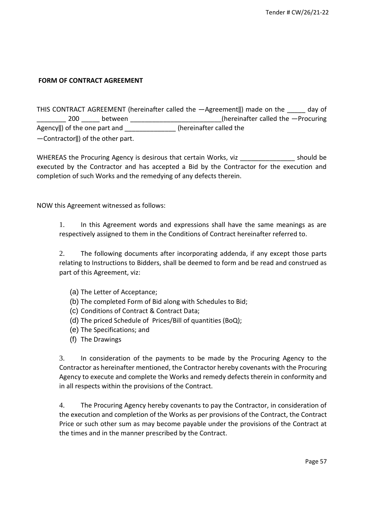### **FORM OF CONTRACT AGREEMENT**

|                                   |         | THIS CONTRACT AGREEMENT (hereinafter called the -Agreement  ) made on the<br>day of |
|-----------------------------------|---------|-------------------------------------------------------------------------------------|
| 200                               | between | (hereinafter called the $-$ Procuring                                               |
| Agency  ) of the one part and     |         | (hereinafter called the                                                             |
| -Contractor  ) of the other part. |         |                                                                                     |

WHEREAS the Procuring Agency is desirous that certain Works, viz Theorem 2013 Should be executed by the Contractor and has accepted a Bid by the Contractor for the execution and completion of such Works and the remedying of any defects therein.

NOW this Agreement witnessed as follows:

1. In this Agreement words and expressions shall have the same meanings as are respectively assigned to them in the Conditions of Contract hereinafter referred to.

2. The following documents after incorporating addenda, if any except those parts relating to Instructions to Bidders, shall be deemed to form and be read and construed as part of this Agreement, viz:

- (a) The Letter of Acceptance;
- (b) The completed Form of Bid along with Schedules to Bid;
- (c) Conditions of Contract & Contract Data;
- (d) The priced Schedule of Prices/Bill of quantities (BoQ);
- (e) The Specifications; and
- (f) The Drawings

3. In consideration of the payments to be made by the Procuring Agency to the Contractor as hereinafter mentioned, the Contractor hereby covenants with the Procuring Agency to execute and complete the Works and remedy defects therein in conformity and in all respects within the provisions of the Contract.

4. The Procuring Agency hereby covenants to pay the Contractor, in consideration of the execution and completion of the Works as per provisions of the Contract, the Contract Price or such other sum as may become payable under the provisions of the Contract at the times and in the manner prescribed by the Contract.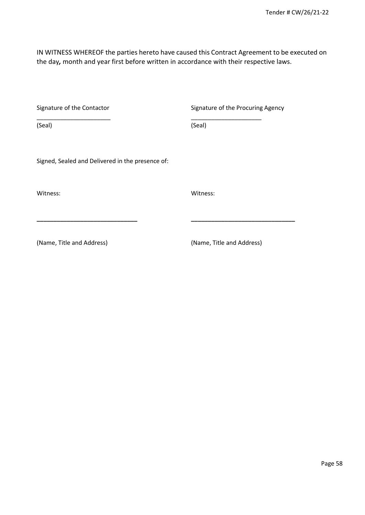IN WITNESS WHEREOF the parties hereto have caused this Contract Agreement to be executed on the day*,* month and year first before written in accordance with their respective laws.

|  | Signature of the Contactor |
|--|----------------------------|
|  |                            |

Signature of the Procuring Agency

\_\_\_\_\_\_\_\_\_\_\_\_\_\_\_\_\_\_\_\_\_\_ \_\_\_\_\_\_\_\_\_\_\_\_\_\_\_\_\_\_\_\_\_ (Seal)

Signed, Sealed and Delivered in the presence of:

Witness: Witness:

(Seal)

**\_\_\_\_\_\_\_\_\_\_\_\_\_\_\_\_\_\_\_\_\_\_\_\_\_\_\_\_\_\_ \_\_\_\_\_\_\_\_\_\_\_\_\_\_\_\_\_\_\_\_\_\_\_\_\_\_\_\_\_\_\_** 

(Name, Title and Address) (Name, Title and Address)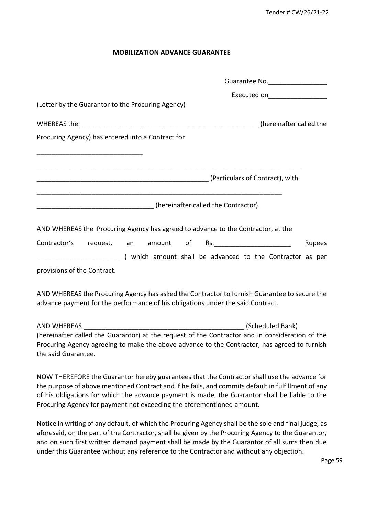#### **MOBILIZATION ADVANCE GUARANTEE**

|                                                                                                                                                                                                                                                                                                                                                                              | Guarantee No. 1999             |
|------------------------------------------------------------------------------------------------------------------------------------------------------------------------------------------------------------------------------------------------------------------------------------------------------------------------------------------------------------------------------|--------------------------------|
|                                                                                                                                                                                                                                                                                                                                                                              | Executed on___________________ |
| (Letter by the Guarantor to the Procuring Agency)                                                                                                                                                                                                                                                                                                                            |                                |
|                                                                                                                                                                                                                                                                                                                                                                              |                                |
| Procuring Agency) has entered into a Contract for                                                                                                                                                                                                                                                                                                                            |                                |
|                                                                                                                                                                                                                                                                                                                                                                              |                                |
|                                                                                                                                                                                                                                                                                                                                                                              |                                |
|                                                                                                                                                                                                                                                                                                                                                                              |                                |
| [hereinafter called the Contractor]. (Annumental contractor).                                                                                                                                                                                                                                                                                                                |                                |
| AND WHEREAS the Procuring Agency has agreed to advance to the Contractor, at the                                                                                                                                                                                                                                                                                             |                                |
| Contractor's request, an amount of Rs.                                                                                                                                                                                                                                                                                                                                       | Rupees                         |
| (which amount shall be advanced to the Contractor as per                                                                                                                                                                                                                                                                                                                     |                                |
| provisions of the Contract.                                                                                                                                                                                                                                                                                                                                                  |                                |
| AND WHEREAS the Procuring Agency has asked the Contractor to furnish Guarantee to secure the<br>advance payment for the performance of his obligations under the said Contract.                                                                                                                                                                                              |                                |
|                                                                                                                                                                                                                                                                                                                                                                              |                                |
| (hereinafter called the Guarantor) at the request of the Contractor and in consideration of the                                                                                                                                                                                                                                                                              |                                |
| Procuring Agency agreeing to make the above advance to the Contractor, has agreed to furnish<br>the said Guarantee.                                                                                                                                                                                                                                                          |                                |
| NOW THEREFORE the Guarantor hereby guarantees that the Contractor shall use the advance for<br>the purpose of above mentioned Contract and if he fails, and commits default in fulfillment of any<br>of his obligations for which the advance payment is made, the Guarantor shall be liable to the<br>Procuring Agency for payment not exceeding the aforementioned amount. |                                |

Notice in writing of any default, of which the Procuring Agency shall be the sole and final judge, as aforesaid, on the part of the Contractor, shall be given by the Procuring Agency to the Guarantor, and on such first written demand payment shall be made by the Guarantor of all sums then due under this Guarantee without any reference to the Contractor and without any objection.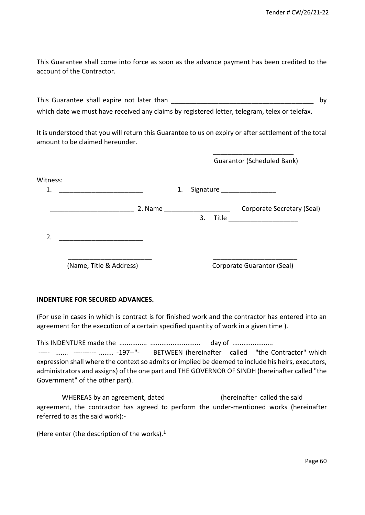This Guarantee shall come into force as soon as the advance payment has been credited to the account of the Contractor.

This Guarantee shall expire not later than **Example 2018** and the state of the state of the state of the state of the state of the state of the state of the state of the state of the state of the state of the state of the which date we must have received any claims by registered letter, telegram, telex or telefax.

It is understood that you will return this Guarantee to us on expiry or after settlement of the total amount to be claimed hereunder.

|                |                         |    |    | <b>Guarantor (Scheduled Bank)</b>                        |
|----------------|-------------------------|----|----|----------------------------------------------------------|
| Witness:<br>1. |                         | 1. |    |                                                          |
|                | 2. Name                 |    | 3. | Corporate Secretary (Seal)<br>Title ____________________ |
| 2.             |                         |    |    |                                                          |
|                | (Name, Title & Address) |    |    | Corporate Guarantor (Seal)                               |

#### **INDENTURE FOR SECURED ADVANCES.**

(For use in cases in which is contract is for finished work and the contractor has entered into an agreement for the execution of a certain specified quantity of work in a given time ).

This INDENTURE made the ............... ........................... day of ...................... ----- ....... ---------- ........ -197--"- BETWEEN (hereinafter called "the Contractor" which expression shall where the context so admits or implied be deemed to include his heirs, executors, administrators and assigns) of the one part and THE GOVERNOR OF SINDH (hereinafter called "the Government" of the other part).

WHEREAS by an agreement, dated (hereinafter called the said agreement, the contractor has agreed to perform the under-mentioned works (hereinafter referred to as the said work):-

(Here enter (the description of the works). $<sup>1</sup>$ </sup>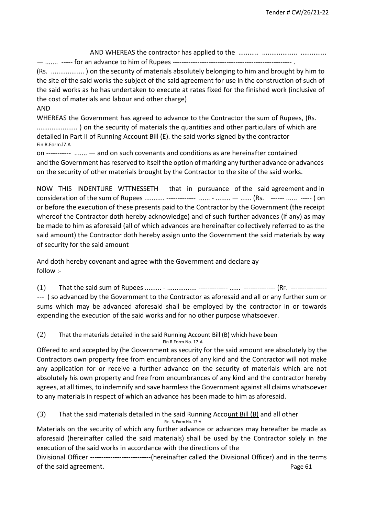AND WHEREAS the contractor has applied to the ........... ................... ..............

— ....... ----- for an advance to him of Rupees --------------------------------

(Rs. .................. ) on the security of materials absolutely belonging to him and brought by him to the site of the said works the subject of the said agreement for use in the construction of such of the said works as he has undertaken to execute at rates fixed for the finished work (inclusive of the cost of materials and labour and other charge)

AND

WHEREAS the Government has agreed to advance to the Contractor the sum of Rupees, (Rs. ...................... ) on the security of materials the quantities and other particulars of which are detailed in Part II of Running Account Bill (E). the said works signed by the contractor Fin R.Form.l7.A

on ----------- ....... — and on such covenants and conditions as are hereinafter contained and the Government has reserved to itself the option of marking any further advance or advances on the security of other materials brought by the Contractor to the site of the said works.

NOW THIS INDENTURE WTTNESSETH that in pursuance of the said agreement and in consideration of the sum of Rupees ........... ------------- ...... - ........ — ...... (Rs. ------ ...... ----- ) on or before the execution of these presents paid to the Contractor by the Government (the receipt whereof the Contractor doth hereby acknowledge) and of such further advances (if any) as may be made to him as aforesaid (all of which advances are hereinafter collectively referred to as the said amount) the Contractor doth hereby assign unto the Government the said materials by way of security for the said amount

And doth hereby covenant and agree with the Government and declare ay follow :-

(1) That the said sum of Rupees ......... - ................ ------------- ...... -------------- (RF. ---------------- --- ) so advanced by the Government to the Contractor as aforesaid and all or any further sum or sums which may be advanced aforesaid shall be employed by the contractor in or towards expending the execution of the said works and for no other purpose whatsoever.

(2) That the materials detailed in the said Running Account Bill (B) which have been Fin R Form No. 17-A

Offered to and accepted by (he Government as security for the said amount are absolutely by the Contractors own property free from encumbrances of any kind and the Contractor will not make any application for or receive a further advance on the security of materials which are not absolutely his own property and free from encumbrances of any kind and the contractor hereby agrees, at all times, to indemnify and save harmless the Government against all claims whatsoever to any materials in respect of which an advance has been made to him as aforesaid.

(3) That the said materials detailed in the said Running Account Bill (B) and all other Fin. R. Form No. 17-A

Materials on the security of which any further advance or advances may hereafter be made as aforesaid (hereinafter called the said materials) shall be used by the Contractor solely in *the*  execution of the said works in accordance with the directions of the

Divisional Officer ---------------------------(hereinafter called the Divisional Officer) and in the terms of the said agreement. The same state of the said agreement.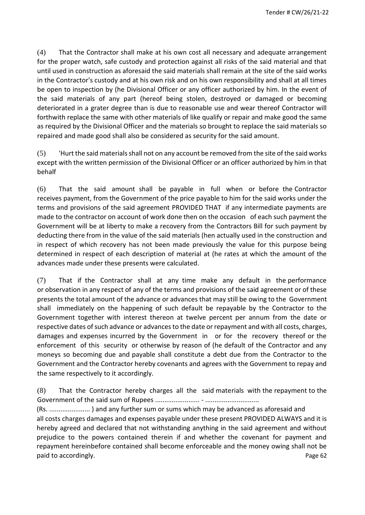(4) That the Contractor shall make at his own cost all necessary and adequate arrangement for the proper watch, safe custody and protection against all risks of the said material and that until used in construction as aforesaid the said materials shall remain at the site of the said works in the Contractor's custody and at his own risk and on his own responsibility and shall at all times be open to inspection by (he Divisional Officer or any officer authorized by him. In the event of the said materials of any part (hereof being stolen, destroyed or damaged or becoming deteriorated in a grater degree than is due to reasonable use and wear thereof Contractor will forthwith replace the same with other materials of like qualify or repair and make good the same as required by the Divisional Officer and the materials so brought to replace the said materials so repaired and made good shall also be considered as security for the said amount.

(5) 'Hurt the said materials shall not on any account be removed from the site of the said works except with the written permission of the Divisional Officer or an officer authorized by him in that behalf

(6) That the said amount shall be payable in full when or before the Contractor receives payment, from the Government of the price payable to him for the said works under the terms and provisions of the said agreement PROVIDED THAT if any intermediate payments are made to the contractor on account of work done then on the occasion of each such payment the Government will be at liberty to make a recovery from the Contractors Bill for such payment by deducting there from in the value of the said materials (hen actually used in the construction and in respect of which recovery has not been made previously the value for this purpose being determined in respect of each description of material at (he rates at which the amount of the advances made under these presents were calculated.

(7) That if the Contractor shall at any time make any default in the performance or observation in any respect of any of the terms and provisions of the said agreement or of these presents the total amount of the advance or advances that may still be owing to the Government shall immediately on the happening of such default be repayable by the Contractor to the Government together with interest thereon at twelve percent per annum from the date or respective dates of such advance or advances to the date or repayment and with all costs, charges, damages and expenses incurred by the Government in or for the recovery thereof or the enforcement of this security or otherwise by reason of (he default of the Contractor and any moneys so becoming due and payable shall constitute a debt due from the Contractor to the Government and the Contractor hereby covenants and agrees with the Government to repay and the same respectively to it accordingly.

(8) That the Contractor hereby charges all the said materials with the repayment to the Government of the said sum of Rupees ........................ - .............................

(Rs. ...................... ) and any further sum or sums which may be advanced as aforesaid and all costs charges damages and expenses payable under these present PROVIDED ALWAYS and it is hereby agreed and declared that not withstanding anything in the said agreement and without prejudice to the powers contained therein if and whether the covenant for payment and repayment hereinbefore contained shall become enforceable and the money owing shall not be paid to accordingly. The contract of the contract of the contract of the contract of the contract of the contract of the contract of the contract of the contract of the contract of the contract of the contract of the contr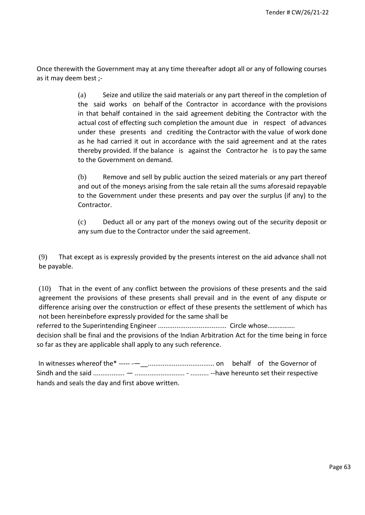Once therewith the Government may at any time thereafter adopt all or any of following courses as it may deem best ;-

> (a) Seize and utilize the said materials or any part thereof in the completion of the said works on behalf of the Contractor in accordance with the provisions in that behalf contained in the said agreement debiting the Contractor with the actual cost of effecting such completion the amount due in respect of advances under these presents and crediting the Contractor with the value of work done as he had carried it out in accordance with the said agreement and at the rates thereby provided. If the balance is against the Contractor he is to pay the same to the Government on demand.

> (b) Remove and sell by public auction the seized materials or any part thereof and out of the moneys arising from the sale retain all the sums aforesaid repayable to the Government under these presents and pay over the surplus (if any) to the Contractor.

> (c) Deduct all or any part of the moneys owing out of the security deposit or any sum due to the Contractor under the said agreement.

(9) That except as is expressly provided by the presents interest on the aid advance shall not be payable.

(10) That in the event of any conflict between the provisions of these presents and the said agreement the provisions of these presents shall prevail and in the event of any dispute or difference arising over the construction or effect of these presents the settlement of which has not been hereinbefore expressly provided for the same shall be referred to the Superintending Engineer ..................................... Circle whose……………. decision shall be final and the provisions of the Indian Arbitration Act for the time being in force

so far as they are applicable shall apply to any such reference.

In witnesses whereof the\* ----- -—\_\_.................................... on behalf of the Governor of Sindh and the said ................. — ........................... - .......... --have hereunto set their respective hands and seals the day and first above written.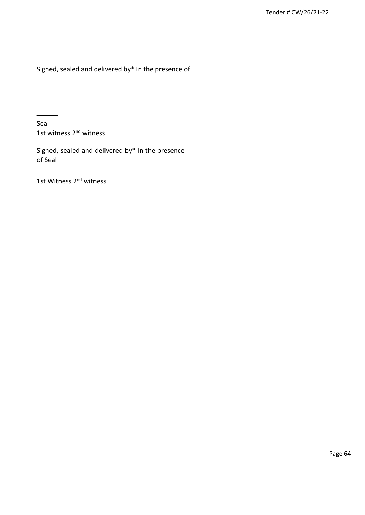Signed, sealed and delivered by\* In the presence of

Seal 1st witness 2<sup>nd</sup> witness

Signed, sealed and delivered by\* In the presence of Seal

1st Witness 2<sup>nd</sup> witness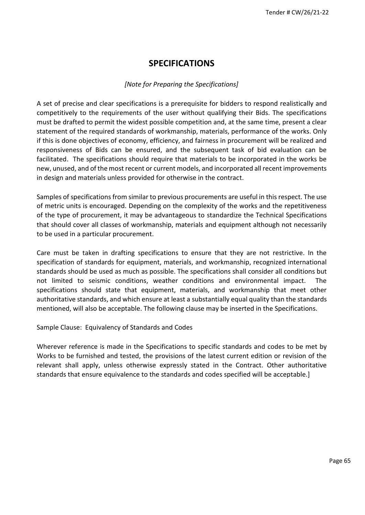# **SPECIFICATIONS**

#### *[Note for Preparing the Specifications]*

A set of precise and clear specifications is a prerequisite for bidders to respond realistically and competitively to the requirements of the user without qualifying their Bids. The specifications must be drafted to permit the widest possible competition and, at the same time, present a clear statement of the required standards of workmanship, materials, performance of the works. Only if this is done objectives of economy, efficiency, and fairness in procurement will be realized and responsiveness of Bids can be ensured, and the subsequent task of bid evaluation can be facilitated. The specifications should require that materials to be incorporated in the works be new, unused, and of the most recent or current models, and incorporated all recent improvements in design and materials unless provided for otherwise in the contract.

Samples of specifications from similar to previous procurements are useful in this respect. The use of metric units is encouraged. Depending on the complexity of the works and the repetitiveness of the type of procurement, it may be advantageous to standardize the Technical Specifications that should cover all classes of workmanship, materials and equipment although not necessarily to be used in a particular procurement.

Care must be taken in drafting specifications to ensure that they are not restrictive. In the specification of standards for equipment, materials, and workmanship, recognized international standards should be used as much as possible. The specifications shall consider all conditions but not limited to seismic conditions, weather conditions and environmental impact. The specifications should state that equipment, materials, and workmanship that meet other authoritative standards, and which ensure at least a substantially equal quality than the standards mentioned, will also be acceptable. The following clause may be inserted in the Specifications.

Sample Clause: Equivalency of Standards and Codes

Wherever reference is made in the Specifications to specific standards and codes to be met by Works to be furnished and tested, the provisions of the latest current edition or revision of the relevant shall apply, unless otherwise expressly stated in the Contract. Other authoritative standards that ensure equivalence to the standards and codes specified will be acceptable.]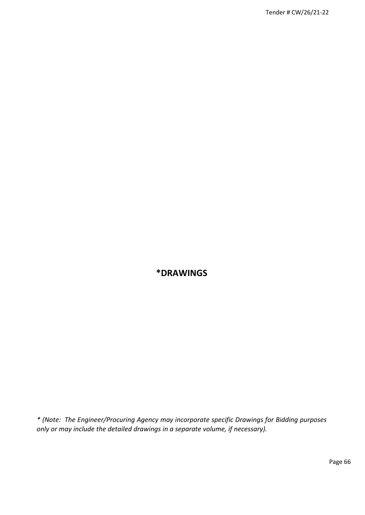# **\*DRAWINGS**

*\* (Note: The Engineer/Procuring Agency may incorporate specific Drawings for Bidding purposes only or may include the detailed drawings in a separate volume, if necessary).*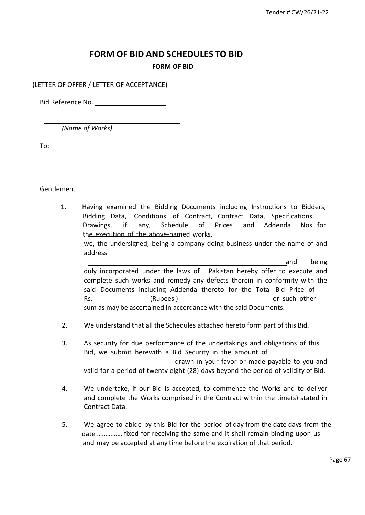# **FORM OF BID AND SCHEDULES TO BID FORM OF BID**

(LETTER OF OFFER / LETTER OF ACCEPTANCE)

Bid Reference No.

*(Name of Works)*

To:

Gentlemen,

1. Having examined the Bidding Documents including Instructions to Bidders, Bidding Data, Conditions of Contract, Contract Data, Specifications, Drawings, if any, Schedule of Prices and Addenda Nos. for the execution of the above-named works, we, the undersigned, being a company doing business under the name of and address and being duly incorporated under the laws of Pakistan hereby offer to execute and

complete such works and remedy any defects therein in conformity with the said Documents including Addenda thereto for the Total Bid Price of Rs. (Rupees ) and the control of such other in the control of such other in the control of such other in the control of such other in the control of such other in the control of such other in the control of the control of sum as may be ascertained in accordance with the said Documents.

2. We understand that all the Schedules attached hereto form part of this Bid.

3. As security for due performance of the undertakings and obligations of this

Bid, we submit herewith a Bid Security in the amount of drawn in your favor or made payable to you and valid for a period of twenty eight (28) days beyond the period of validity of Bid.

- 4. We undertake, if our Bid is accepted, to commence the Works and to deliver and complete the Works comprised in the Contract within the time(s) stated in Contract Data.
- 5. We agree to abide by this Bid for the period of day from the date days from the date …………… fixed for receiving the same and it shall remain binding upon us and may be accepted at any time before the expiration of that period.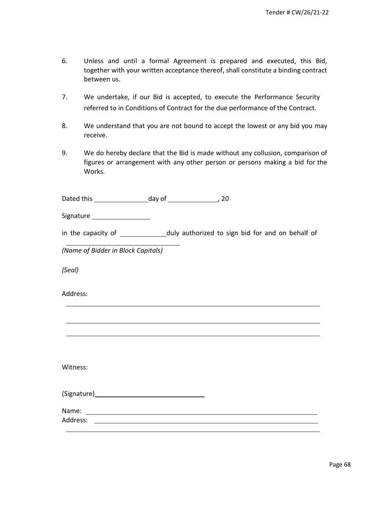- 6. Unless and until a formal Agreement is prepared and executed, this Bid, together with your written acceptance thereof, shall constitute a binding contract between us.
- 7. We undertake, if our Bid is accepted, to execute the Performance Security referred to in Conditions of Contract for the due performance of the Contract.
- 8. We understand that you are not bound to accept the lowest or any bid you may receive.
- 9. We do hereby declare that the Bid is made without any collusion, comparison of figures or arrangement with any other person or persons making a bid for the Works.

Dated this day of 120

Signature \_\_\_\_\_\_\_\_\_\_\_\_\_\_\_\_\_\_\_\_

in the capacity of \_\_\_\_\_\_\_\_\_\_\_\_\_\_duly authorized to sign bid for and on behalf of

*(Name of Bidder in Block Capitals)*

*(Seal)*

Address:

Witness:

Name: Address: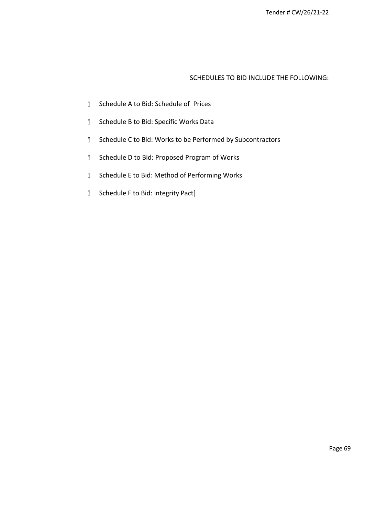#### SCHEDULES TO BID INCLUDE THE FOLLOWING:

- **Schedule A to Bid: Schedule of Prices**
- **B** Schedule B to Bid: Specific Works Data
- **I** Schedule C to Bid: Works to be Performed by Subcontractors
- **B** Schedule D to Bid: Proposed Program of Works
- **B** Schedule E to Bid: Method of Performing Works
- **B** Schedule F to Bid: Integrity Pact]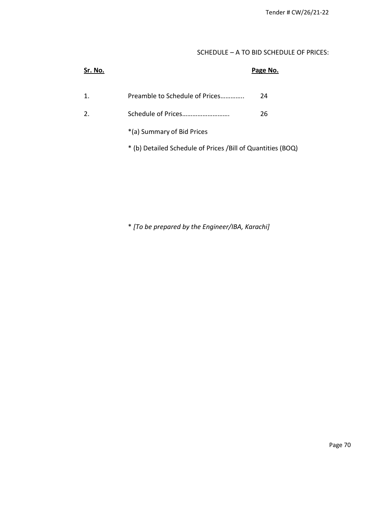### SCHEDULE – A TO BID SCHEDULE OF PRICES:

| Sr. No. |                                                              | Page No. |
|---------|--------------------------------------------------------------|----------|
| 1.      | Preamble to Schedule of Prices                               | 24       |
|         |                                                              | 26       |
|         | *(a) Summary of Bid Prices                                   |          |
|         | * (b) Detailed Schedule of Prices / Bill of Quantities (BOQ) |          |

\* *[To be prepared by the Engineer/IBA, Karachi]*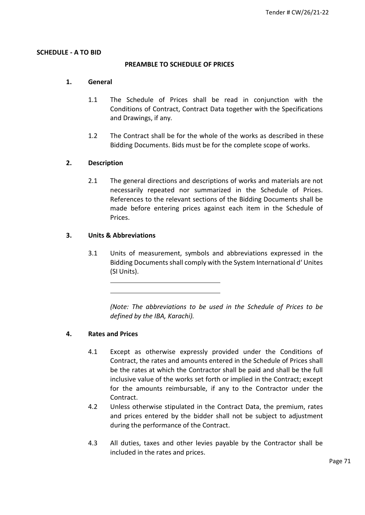#### **SCHEDULE - A TO BID**

#### **PREAMBLE TO SCHEDULE OF PRICES**

#### **1. General**

- 1.1 The Schedule of Prices shall be read in conjunction with the Conditions of Contract, Contract Data together with the Specifications and Drawings, if any.
- 1.2 The Contract shall be for the whole of the works as described in these Bidding Documents. Bids must be for the complete scope of works.

#### **2. Description**

2.1 The general directions and descriptions of works and materials are not necessarily repeated nor summarized in the Schedule of Prices. References to the relevant sections of the Bidding Documents shall be made before entering prices against each item in the Schedule of Prices.

### **3. Units & Abbreviations**

3.1 Units of measurement, symbols and abbreviations expressed in the Bidding Documents shall comply with the System International d' Unites (SI Units).

*(Note: The abbreviations to be used in the Schedule of Prices to be defined by the IBA, Karachi).*

#### **4. Rates and Prices**

- 4.1 Except as otherwise expressly provided under the Conditions of Contract, the rates and amounts entered in the Schedule of Prices shall be the rates at which the Contractor shall be paid and shall be the full inclusive value of the works set forth or implied in the Contract; except for the amounts reimbursable, if any to the Contractor under the Contract.
- 4.2 Unless otherwise stipulated in the Contract Data, the premium, rates and prices entered by the bidder shall not be subject to adjustment during the performance of the Contract.
- 4.3 All duties, taxes and other levies payable by the Contractor shall be included in the rates and prices.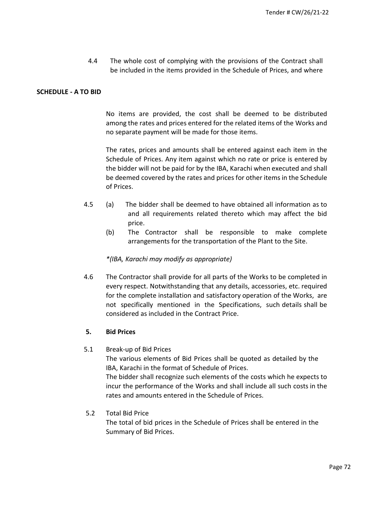4.4 The whole cost of complying with the provisions of the Contract shall be included in the items provided in the Schedule of Prices, and where

#### **SCHEDULE - A TO BID**

No items are provided, the cost shall be deemed to be distributed among the rates and prices entered for the related items of the Works and no separate payment will be made for those items.

The rates, prices and amounts shall be entered against each item in the Schedule of Prices. Any item against which no rate or price is entered by the bidder will not be paid for by the IBA, Karachi when executed and shall be deemed covered by the rates and prices for other items in the Schedule of Prices.

- 4.5 (a) The bidder shall be deemed to have obtained all information as to and all requirements related thereto which may affect the bid price.
	- (b) The Contractor shall be responsible to make complete arrangements for the transportation of the Plant to the Site.

#### *\*(IBA, Karachi may modify as appropriate)*

4.6 The Contractor shall provide for all parts of the Works to be completed in every respect. Notwithstanding that any details, accessories, etc. required for the complete installation and satisfactory operation of the Works, are not specifically mentioned in the Specifications, such details shall be considered as included in the Contract Price.

#### **5. Bid Prices**

#### 5.1 Break-up of Bid Prices

The various elements of Bid Prices shall be quoted as detailed by the IBA, Karachi in the format of Schedule of Prices.

The bidder shall recognize such elements of the costs which he expects to incur the performance of the Works and shall include all such costs in the rates and amounts entered in the Schedule of Prices.

#### 5.2 Total Bid Price

The total of bid prices in the Schedule of Prices shall be entered in the Summary of Bid Prices.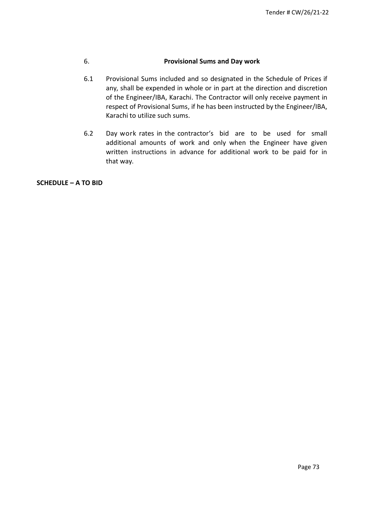#### 6. **Provisional Sums and Day work**

- 6.1 Provisional Sums included and so designated in the Schedule of Prices if any, shall be expended in whole or in part at the direction and discretion of the Engineer/IBA, Karachi. The Contractor will only receive payment in respect of Provisional Sums, if he has been instructed by the Engineer/IBA, Karachi to utilize such sums.
- 6.2 Day work rates in the contractor's bid are to be used for small additional amounts of work and only when the Engineer have given written instructions in advance for additional work to be paid for in that way.

**SCHEDULE – A TO BID**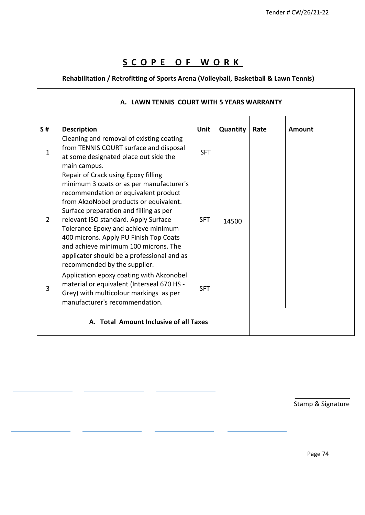# **S C O P E O F W O R K**

Г

## **Rehabilitation / Retrofitting of Sports Arena (Volleyball, Basketball & Lawn Tennis)**

| S#             | <b>Description</b>                                                                                                                                                                                                                                                                                                                                                                                                                                         | Unit       | Quantity | Rate | Amount |
|----------------|------------------------------------------------------------------------------------------------------------------------------------------------------------------------------------------------------------------------------------------------------------------------------------------------------------------------------------------------------------------------------------------------------------------------------------------------------------|------------|----------|------|--------|
| $\mathbf{1}$   | Cleaning and removal of existing coating<br>from TENNIS COURT surface and disposal<br>at some designated place out side the<br>main campus.                                                                                                                                                                                                                                                                                                                | <b>SFT</b> |          |      |        |
| $\overline{2}$ | Repair of Crack using Epoxy filling<br>minimum 3 coats or as per manufacturer's<br>recommendation or equivalent product<br>from AkzoNobel products or equivalent.<br>Surface preparation and filling as per<br>relevant ISO standard. Apply Surface<br>Tolerance Epoxy and achieve minimum<br>400 microns. Apply PU Finish Top Coats<br>and achieve minimum 100 microns. The<br>applicator should be a professional and as<br>recommended by the supplier. | <b>SFT</b> | 14500    |      |        |
| 3              | Application epoxy coating with Akzonobel<br>material or equivalent (Interseal 670 HS -<br>Grey) with multicolour markings as per<br>manufacturer's recommendation.                                                                                                                                                                                                                                                                                         | <b>SFT</b> |          |      |        |

 $\overline{\phantom{a}}$  , where  $\overline{\phantom{a}}$ Stamp & Signature

Page 74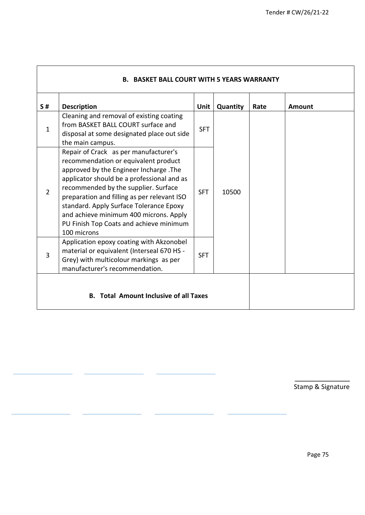| S#             | <b>Description</b>                                                                                                                                                                                                                                                                                                                                                                                          | Unit       | Quantity | Rate | Amount |
|----------------|-------------------------------------------------------------------------------------------------------------------------------------------------------------------------------------------------------------------------------------------------------------------------------------------------------------------------------------------------------------------------------------------------------------|------------|----------|------|--------|
| $\mathbf{1}$   | Cleaning and removal of existing coating<br>from BASKET BALL COURT surface and<br>disposal at some designated place out side<br>the main campus.                                                                                                                                                                                                                                                            | <b>SFT</b> |          |      |        |
| $\overline{2}$ | Repair of Crack as per manufacturer's<br>recommendation or equivalent product<br>approved by the Engineer Incharge. The<br>applicator should be a professional and as<br>recommended by the supplier. Surface<br>preparation and filling as per relevant ISO<br>standard. Apply Surface Tolerance Epoxy<br>and achieve minimum 400 microns. Apply<br>PU Finish Top Coats and achieve minimum<br>100 microns | <b>SFT</b> | 10500    |      |        |
| 3              | Application epoxy coating with Akzonobel<br>material or equivalent (Interseal 670 HS -<br>Grey) with multicolour markings as per<br>manufacturer's recommendation.                                                                                                                                                                                                                                          | <b>SFT</b> |          |      |        |

 $\overline{\phantom{a}}$ 

 $\overline{\phantom{a}}$  , where  $\overline{\phantom{a}}$ Stamp & Signature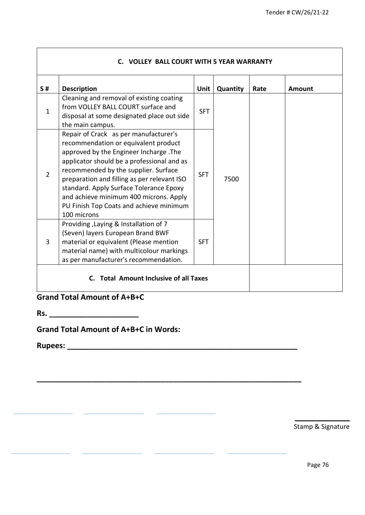٦

| S#             | <b>Description</b>                                                                                                                                                                                                                                                                                                                                                                                          | <b>Unit</b> | Quantity | Rate | Amount |
|----------------|-------------------------------------------------------------------------------------------------------------------------------------------------------------------------------------------------------------------------------------------------------------------------------------------------------------------------------------------------------------------------------------------------------------|-------------|----------|------|--------|
| $\mathbf{1}$   | Cleaning and removal of existing coating<br>from VOLLEY BALL COURT surface and<br>disposal at some designated place out side<br>the main campus.                                                                                                                                                                                                                                                            | <b>SFT</b>  |          |      |        |
| $\overline{2}$ | Repair of Crack as per manufacturer's<br>recommendation or equivalent product<br>approved by the Engineer Incharge. The<br>applicator should be a professional and as<br>recommended by the supplier. Surface<br>preparation and filling as per relevant ISO<br>standard. Apply Surface Tolerance Epoxy<br>and achieve minimum 400 microns. Apply<br>PU Finish Top Coats and achieve minimum<br>100 microns | <b>SFT</b>  | 7500     |      |        |
| $\overline{3}$ | Providing, Laying & Installation of 7<br>(Seven) layers European Brand BWF<br>material or equivalent (Please mention<br>material name) with multicolour markings<br>as per manufacturer's recommendation.                                                                                                                                                                                                   | <b>SFT</b>  |          |      |        |

**\_\_\_\_\_\_\_\_\_\_\_\_\_\_\_\_\_\_\_\_\_\_\_\_\_\_\_\_\_\_\_\_\_\_\_\_\_\_\_\_\_\_\_\_\_\_\_\_\_\_\_\_\_\_\_\_\_\_\_\_\_\_**

 $\mathbf{r}$ ц.

# **Grand Total Amount of A+B+C**

**Rs. \_\_\_\_\_\_\_\_\_\_\_\_\_\_\_\_\_\_\_\_\_**

 $\mathbf{r}$ 

**Grand Total Amount of A+B+C in Words:**

**Rupees: \_\_\_\_\_\_\_\_\_\_\_\_\_\_\_\_\_\_\_\_\_\_\_\_\_\_\_\_\_\_\_\_\_\_\_\_\_\_\_\_\_\_\_\_\_\_\_\_\_\_\_\_\_\_**

 $\overline{\phantom{a}}$  , where  $\overline{\phantom{a}}$ Stamp & Signature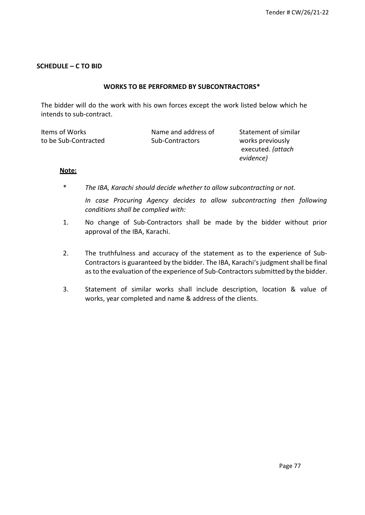#### **SCHEDULE – C TO BID**

#### **WORKS TO BE PERFORMED BY SUBCONTRACTORS\***

The bidder will do the work with his own forces except the work listed below which he intends to sub-contract.

| Items of Works       | Name and address of | Statement of similar |
|----------------------|---------------------|----------------------|
| to be Sub-Contracted | Sub-Contractors     | works previously     |
|                      |                     | executed. (attach    |
|                      |                     | evidence)            |

#### **Note:**

\* *The IBA, Karachi should decide whether to allow subcontracting or not.*

*In case Procuring Agency decides to allow subcontracting then following conditions shall be complied with:*

- 1. No change of Sub-Contractors shall be made by the bidder without prior approval of the IBA, Karachi.
- 2. The truthfulness and accuracy of the statement as to the experience of Sub-Contractors is guaranteed by the bidder. The IBA, Karachi's judgment shall be final asto the evaluation of the experience of Sub-Contractors submitted by the bidder.
- 3. Statement of similar works shall include description, location & value of works, year completed and name & address of the clients.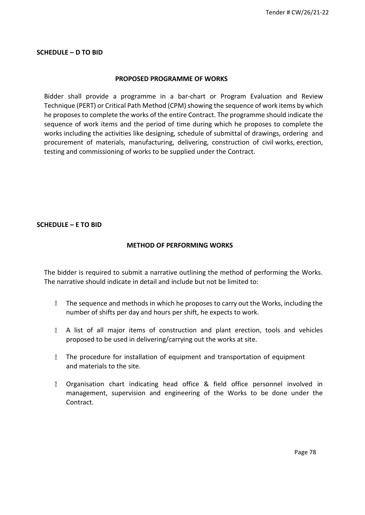#### **SCHEDULE – D TO BID**

#### **PROPOSED PROGRAMME OF WORKS**

Bidder shall provide a programme in a bar-chart or Program Evaluation and Review Technique (PERT) or Critical Path Method (CPM) showing the sequence of work items by which he proposesto complete the works of the entire Contract. The programme should indicate the sequence of work items and the period of time during which he proposes to complete the works including the activities like designing, schedule of submittal of drawings, ordering and procurement of materials, manufacturing, delivering, construction of civil works, erection, testing and commissioning of works to be supplied under the Contract.

#### **SCHEDULE – E TO BID**

#### **METHOD OF PERFORMING WORKS**

The bidder is required to submit a narrative outlining the method of performing the Works. The narrative should indicate in detail and include but not be limited to:

- If the sequence and methods in which he proposes to carry out the Works, including the number of shifts per day and hours per shift, he expects to work.
- A list of all major items of construction and plant erection, tools and vehicles proposed to be used in delivering/carrying out the works at site.
- I The procedure for installation of equipment and transportation of equipment and materials to the site.
- $\overline{a}$ Organisation chart indicating head office & field office personnel involved in management, supervision and engineering of the Works to be done under the Contract.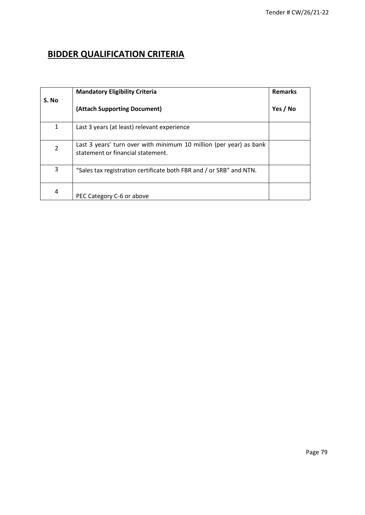# **BIDDER QUALIFICATION CRITERIA**

|                | <b>Mandatory Eligibility Criteria</b>                                                                   | <b>Remarks</b> |
|----------------|---------------------------------------------------------------------------------------------------------|----------------|
| S. No          | (Attach Supporting Document)                                                                            | Yes / No       |
| $\mathbf{1}$   | Last 3 years (at least) relevant experience                                                             |                |
| $\overline{2}$ | Last 3 years' turn over with minimum 10 million (per year) as bank<br>statement or financial statement. |                |
| 3              | "Sales tax registration certificate both FBR and / or SRB" and NTN.                                     |                |
| 4              | PEC Category C-6 or above                                                                               |                |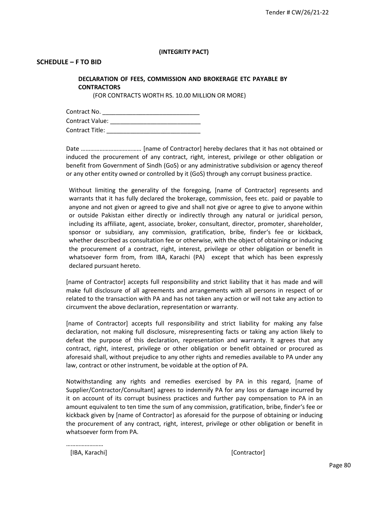#### **(INTEGRITY PACT)**

#### **SCHEDULE – F TO BID**

#### **DECLARATION OF FEES, COMMISSION AND BROKERAGE ETC PAYABLE BY CONTRACTORS**

(FOR CONTRACTS WORTH RS. 10.00 MILLION OR MORE)

| Contract No.    |  |
|-----------------|--|
| Contract Value: |  |
| Contract Title: |  |

Date ………………………………… [name of Contractor] hereby declares that it has not obtained or induced the procurement of any contract, right, interest, privilege or other obligation or benefit from Government of Sindh (GoS) or any administrative subdivision or agency thereof or any other entity owned or controlled by it (GoS) through any corrupt business practice.

Without limiting the generality of the foregoing, [name of Contractor] represents and warrants that it has fully declared the brokerage, commission, fees etc. paid or payable to anyone and not given or agreed to give and shall not give or agree to give to anyone within or outside Pakistan either directly or indirectly through any natural or juridical person, including its affiliate, agent, associate, broker, consultant, director, promoter, shareholder, sponsor or subsidiary, any commission, gratification, bribe, finder's fee or kickback, whether described as consultation fee or otherwise, with the object of obtaining or inducing the procurement of a contract, right, interest, privilege or other obligation or benefit in whatsoever form from, from IBA, Karachi (PA) except that which has been expressly declared pursuant hereto.

[name of Contractor] accepts full responsibility and strict liability that it has made and will make full disclosure of all agreements and arrangements with all persons in respect of or related to the transaction with PA and has not taken any action or will not take any action to circumvent the above declaration, representation or warranty.

[name of Contractor] accepts full responsibility and strict liability for making any false declaration, not making full disclosure, misrepresenting facts or taking any action likely to defeat the purpose of this declaration, representation and warranty. It agrees that any contract, right, interest, privilege or other obligation or benefit obtained or procured as aforesaid shall, without prejudice to any other rights and remedies available to PA under any law, contract or other instrument, be voidable at the option of PA.

Notwithstanding any rights and remedies exercised by PA in this regard, [name of Supplier/Contractor/Consultant] agrees to indemnify PA for any loss or damage incurred by it on account of its corrupt business practices and further pay compensation to PA in an amount equivalent to ten time the sum of any commission, gratification, bribe, finder's fee or kickback given by [name of Contractor] as aforesaid for the purpose of obtaining or inducing the procurement of any contract, right, interest, privilege or other obligation or benefit in whatsoever form from PA.

…………………… [IBA, Karachi] [Contractor]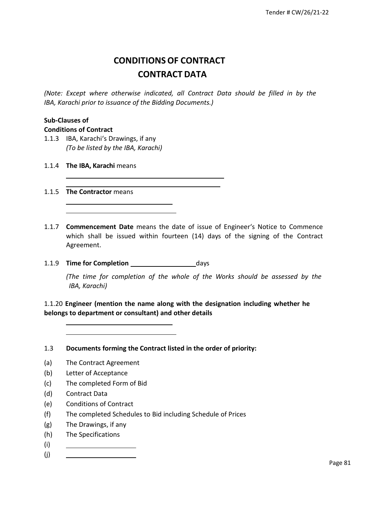# **CONDITIONSOF CONTRACT CONTRACT DATA**

*(Note: Except where otherwise indicated, all Contract Data should be filled in by the IBA, Karachi prior to issuance of the Bidding Documents.)*

# **Sub-Clauses of**

#### **Conditions of Contract**

- 1.1.3 IBA, Karachi's Drawings, if any *(To be listed by the IBA, Karachi)*
- 1.1.4 **The IBA, Karachi** means
- 1.1.5 **The Contractor** means
- 1.1.7 **Commencement Date** means the date of issue of Engineer's Notice to Commence which shall be issued within fourteen (14) days of the signing of the Contract Agreement.
- 1.1.9 **Time for Completion** days

*(The time for completion of the whole of the Works should be assessed by the IBA, Karachi)*

1.1.20 **Engineer (mention the name along with the designation including whether he belongs to department or consultant) and other details**

1.3 **Documents forming the Contract listed in the order of priority:**

- (a) The Contract Agreement
- (b) Letter of Acceptance
- (c) The completed Form of Bid
- (d) Contract Data
- (e) Conditions of Contract
- (f) The completed Schedules to Bid including Schedule of Prices
- (g) The Drawings, if any
- (h) The Specifications
- (i)
- (j)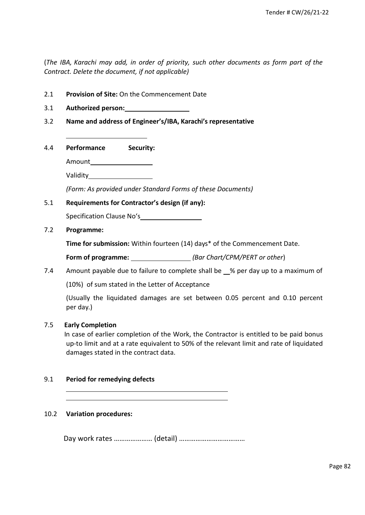(*The IBA, Karachi may add, in order of priority, such other documents as form part of the Contract. Delete the document, if not applicable)*

- 2.1 **Provision of Site:** On the Commencement Date
- 3.1 **Authorized person:**
- 3.2 **Name and address of Engineer's/IBA, Karachi's representative**
- 4.4 **Performance Security:**

Amount

Validity

*(Form: As provided under Standard Forms of these Documents)*

#### 5.1 **Requirements for Contractor's design (if any):**

Specification Clause No's\_\_\_\_\_\_\_\_\_\_\_\_\_\_\_

7.2 **Programme:**

**Time for submission:** Within fourteen (14) days\* of the Commencement Date.

**Form of programme:** *(Bar Chart/CPM/PERT or other*)

7.4 Amount payable due to failure to complete shall be % per day up to a maximum of

(10%) of sum stated in the Letter of Acceptance

(Usually the liquidated damages are set between 0.05 percent and 0.10 percent per day.)

#### 7.5 **Early Completion**

In case of earlier completion of the Work, the Contractor is entitled to be paid bonus up-to limit and at a rate equivalent to 50% of the relevant limit and rate of liquidated damages stated in the contract data.

#### 9.1 **Period for remedying defects**

#### 10.2 **Variation procedures:**

Day work rates ………………… (detail) ………………………………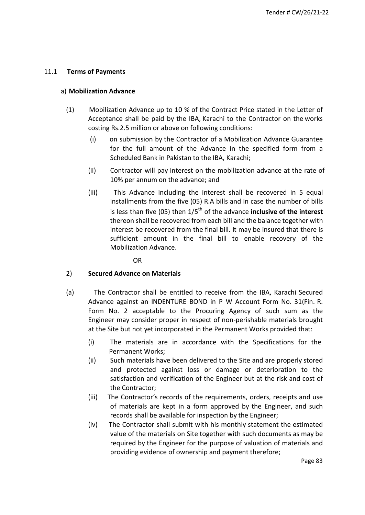#### 11.1 **Terms of Payments**

#### a) **Mobilization Advance**

- (1) Mobilization Advance up to 10 % of the Contract Price stated in the Letter of Acceptance shall be paid by the IBA, Karachi to the Contractor on the works costing Rs.2.5 million or above on following conditions:
	- (i) on submission by the Contractor of a Mobilization Advance Guarantee for the full amount of the Advance in the specified form from a Scheduled Bank in Pakistan to the IBA, Karachi;
	- (ii) Contractor will pay interest on the mobilization advance at the rate of 10% per annum on the advance; and
	- (iii) This Advance including the interest shall be recovered in 5 equal installments from the five (05) R.A bills and in case the number of bills is less than five (05) then  $1/5<sup>th</sup>$  of the advance **inclusive of the interest** thereon shall be recovered from each bill and the balance together with interest be recovered from the final bill. It may be insured that there is sufficient amount in the final bill to enable recovery of the Mobilization Advance.

OR

#### 2) **Secured Advance on Materials**

- (a) The Contractor shall be entitled to receive from the IBA, Karachi Secured Advance against an INDENTURE BOND in P W Account Form No. 31(Fin. R. Form No. 2 acceptable to the Procuring Agency of such sum as the Engineer may consider proper in respect of non-perishable materials brought at the Site but not yet incorporated in the Permanent Works provided that:
	- (i) The materials are in accordance with the Specifications for the Permanent Works;
	- (ii) Such materials have been delivered to the Site and are properly stored and protected against loss or damage or deterioration to the satisfaction and verification of the Engineer but at the risk and cost of the Contractor;
	- (iii) The Contractor's records of the requirements, orders, receipts and use of materials are kept in a form approved by the Engineer, and such records shall be available for inspection by the Engineer;
	- (iv) The Contractor shall submit with his monthly statement the estimated value of the materials on Site together with such documents as may be required by the Engineer for the purpose of valuation of materials and providing evidence of ownership and payment therefore;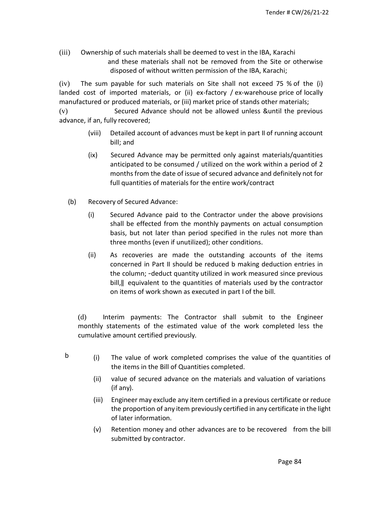(iii) Ownership of such materials shall be deemed to vest in the IBA, Karachi and these materials shall not be removed from the Site or otherwise disposed of without written permission of the IBA, Karachi;

(iv) The sum payable for such materials on Site shall not exceed 75 % of the (i) landed cost of imported materials, or (ii) ex-factory / ex-warehouse price of locally manufactured or produced materials, or (iii) market price of stands other materials;

(v) Secured Advance should not be allowed unless &until the previous advance, if an, fully recovered;

- (viii) Detailed account of advances must be kept in part II of running account bill; and
- (ix) Secured Advance may be permitted only against materials/quantities anticipated to be consumed / utilized on the work within a period of 2 months from the date of issue of secured advance and definitely not for full quantities of materials for the entire work/contract
- (b) Recovery of Secured Advance:
	- (i) Secured Advance paid to the Contractor under the above provisions shall be effected from the monthly payments on actual consumption basis, but not later than period specified in the rules not more than three months (even if unutilized); other conditions.
	- (ii) As recoveries are made the outstanding accounts of the items concerned in Part II should be reduced b making deduction entries in the column; ―deduct quantity utilized in work measured since previous bill,‖ equivalent to the quantities of materials used by the contractor on items of work shown as executed in part I of the bill.

(d) Interim payments: The Contractor shall submit to the Engineer monthly statements of the estimated value of the work completed less the cumulative amount certified previously.

- $\mathbf{b}$  (i) The value of work completed comprises the value of the quantities of the items in the Bill of Quantities completed.
	- (ii) value of secured advance on the materials and valuation of variations (if any).
	- (iii) Engineer may exclude any item certified in a previous certificate or reduce the proportion of any item previously certified in any certificate in the light of later information.
	- (v) Retention money and other advances are to be recovered from the bill submitted by contractor.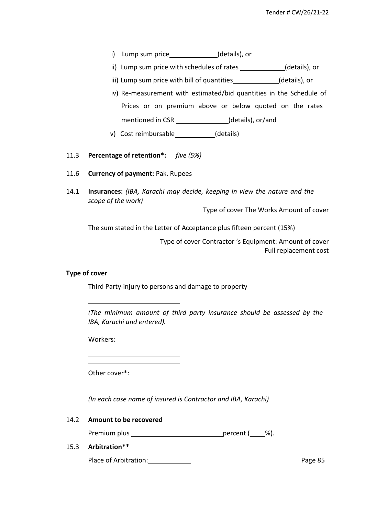- i) Lump sum price (details), or
- ii) Lump sum price with schedules of rates \_\_\_\_\_\_\_\_\_\_\_\_(details), or
- iii) Lump sum price with bill of quantities\_\_\_\_\_\_\_\_\_\_\_\_(details), or
- iv) Re-measurement with estimated/bid quantities in the Schedule of Prices or on premium above or below quoted on the rates mentioned in CSR \_\_\_\_\_\_\_\_\_\_\_\_\_\_\_(details), or/and
- v) Cost reimbursable (details)
- 11.3 **Percentage of retention\*:** *five (5%)*
- 11.6 **Currency of payment:** Pak. Rupees
- 14.1 **Insurances:** *(IBA, Karachi may decide, keeping in view the nature and the scope of the work)*

Type of cover The Works Amount of cover

The sum stated in the Letter of Acceptance plus fifteen percent (15%)

 Type of cover Contractor 's Equipment: Amount of cover Full replacement cost

#### **Type of cover**

Third Party-injury to persons and damage to property

*(The minimum amount of third party insurance should be assessed by the IBA, Karachi and entered).*

Workers:

Other cover\*:

*(In each case name of insured is Contractor and IBA, Karachi)*

#### 14.2 **Amount to be recovered**

Premium plus \_\_\_\_\_\_\_\_\_\_\_\_\_\_\_\_\_\_\_\_\_\_\_\_\_\_\_\_\_\_\_\_\_\_percent (\_\_\_\_%).

#### 15.3 **Arbitration\*\***

Place of Arbitration: Notifiantly a page 85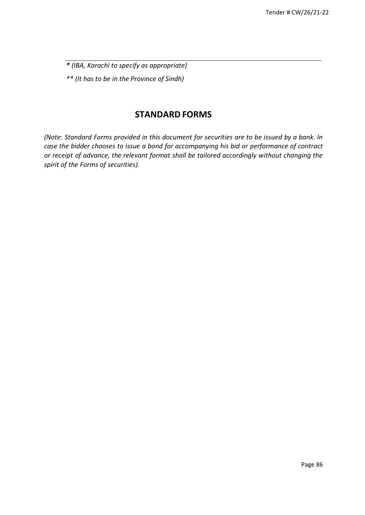*\* (IBA, Karachi to specify as appropriate) \*\* (It has to be in the Province of Sindh)*

# **STANDARD FORMS**

*(Note: Standard Forms provided in this document for securities are to be issued by a bank. In case the bidder chooses to issue a bond for accompanying his bid or performance of contract or receipt of advance, the relevant format shall be tailored accordingly without changing the spirit of the Forms of securities).*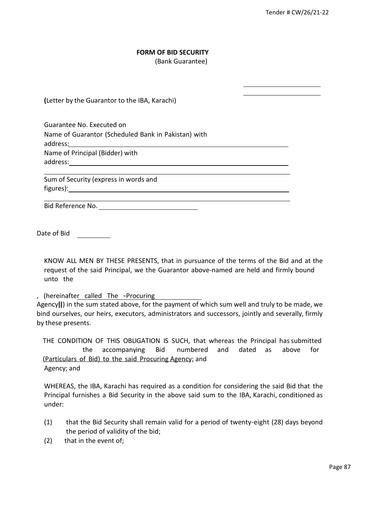### **FORM OF BID SECURITY**

(Bank Guarantee)

**(**Letter by the Guarantor to the IBA, Karachi)

Guarantee No. Executed on Name of Guarantor (Scheduled Bank in Pakistan) with address: Name of Principal (Bidder) with address:

Sum of Security (express in words and figures):

Bid Reference No.

Date of Bid

KNOW ALL MEN BY THESE PRESENTS, that in pursuance of the terms of the Bid and at the request of the said Principal, we the Guarantor above-named are held and firmly bound unto the

, (hereinafter called The ―Procuring

Agency]]) in the sum stated above, for the payment of which sum well and truly to be made, we bind ourselves, our heirs, executors, administrators and successors, jointly and severally, firmly by these presents.

THE CONDITION OF THIS OBLIGATION IS SUCH, that whereas the Principal has submitted the accompanying Bid numbered and dated as above for (Particulars of Bid) to the said Procuring Agency; and Agency; and

WHEREAS, the IBA, Karachi has required as a condition for considering the said Bid that the Principal furnishes a Bid Security in the above said sum to the IBA, Karachi, conditioned as under:

- (1) that the Bid Security shall remain valid for a period of twenty-eight (28) days beyond the period of validity of the bid;
- (2) that in the event of;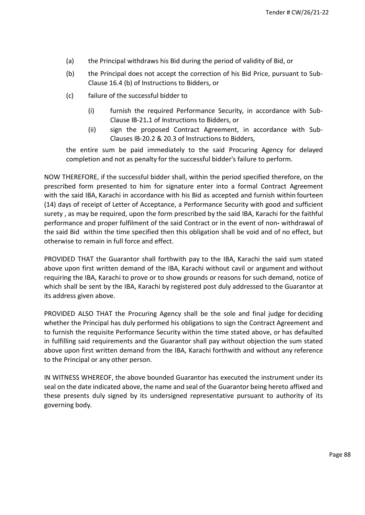- (a) the Principal withdraws his Bid during the period of validity of Bid, or
- (b) the Principal does not accept the correction of his Bid Price, pursuant to Sub-Clause 16.4 (b) of Instructions to Bidders, or
- (c) failure of the successful bidder to
	- (i) furnish the required Performance Security, in accordance with Sub-Clause IB-21**.**1 of Instructions to Bidders, or
	- (ii) sign the proposed Contract Agreement, in accordance with Sub-Clauses IB-20.2 & 20.3 of Instructions to Bidders,

the entire sum be paid immediately to the said Procuring Agency for delayed completion and not as penalty for the successful bidder's failure to perform.

NOW THEREFORE, if the successful bidder shall, within the period specified therefore, on the prescribed form presented to him for signature enter into a formal Contract Agreement with the said IBA, Karachi in accordance with his Bid as accepted and furnish within fourteen (14) days of receipt of Letter of Acceptance, a Performance Security with good and sufficient surety , as may be required, upon the form prescribed by the said IBA, Karachi for the faithful performance and proper fulfilment of the said Contract or in the event of non**-** withdrawal of the said Bid within the time specified then this obligation shall be void and of no effect, but otherwise to remain in full force and effect.

PROVIDED THAT the Guarantor shall forthwith pay to the IBA, Karachi the said sum stated above upon first written demand of the IBA, Karachi without cavil or argument and without requiring the IBA, Karachi to prove or to show grounds or reasons for such demand, notice of which shall be sent by the IBA, Karachi by registered post duly addressed to the Guarantor at its address given above.

PROVIDED ALSO THAT the Procuring Agency shall be the sole and final judge for deciding whether the Principal has duly performed his obligations to sign the Contract Agreement and to furnish the requisite Performance Security within the time stated above, or has defaulted in fulfilling said requirements and the Guarantor shall pay without objection the sum stated above upon first written demand from the IBA, Karachi forthwith and without any reference to the Principal or any other person.

IN WITNESS WHEREOF, the above bounded Guarantor has executed the instrument under its seal on the date indicated above, the name and seal of the Guarantor being hereto affixed and these presents duly signed by its undersigned representative pursuant to authority of its governing body.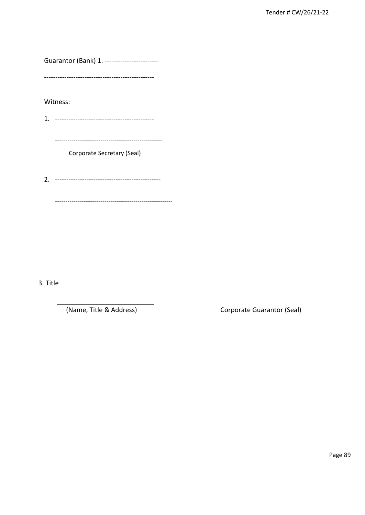Guarantor (Bank) 1. ------------------------

Witness:

Corporate Secretary (Seal)

3. Title

(Name, Title & Address)

Corporate Guarantor (Seal)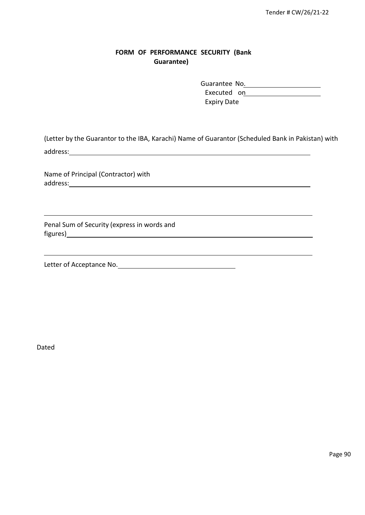### **FORM OF PERFORMANCE SECURITY (Bank Guarantee)**

Guarantee No. Executed on **Executed** Expiry Date

(Letter by the Guarantor to the IBA, Karachi) Name of Guarantor (Scheduled Bank in Pakistan) with address: and the state of the state of the state of the state of the state of the state of the state of the state of the state of the state of the state of the state of the state of the state of the state of the state of t

Name of Principal (Contractor) with address: and the state of the state of the state of the state of the state of the state of the state of the state of the state of the state of the state of the state of the state of the state of the state of the state of t

Penal Sum of Security (express in words and figures)

Letter of Acceptance No.

Dated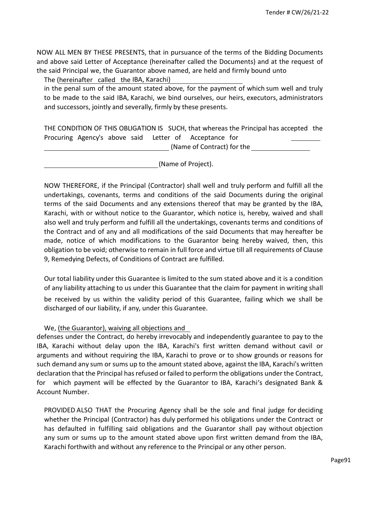NOW ALL MEN BY THESE PRESENTS, that in pursuance of the terms of the Bidding Documents and above said Letter of Acceptance (hereinafter called the Documents) and at the request of the said Principal we, the Guarantor above named, are held and firmly bound unto

The (hereinafter called the IBA, Karachi)

in the penal sum of the amount stated above*,* for the payment of which sum well and truly to be made to the said IBA, Karachi, we bind ourselves, our heirs, executors, administrators and successors, jointly and severally, firmly by these presents.

THE CONDITION OF THIS OBLIGATION IS SUCH, that whereas the Principal has accepted the Procuring Agency's above said Letter of Acceptance for

(Name of Contract) for the

(Name of Project).

NOW THEREFORE, if the Principal (Contractor) shall well and truly perform and fulfill all the undertakings, covenants, terms and conditions of the said Documents during the original terms of the said Documents and any extensions thereof that may be granted by the IBA, Karachi, with or without notice to the Guarantor, which notice is, hereby, waived and shall also well and truly perform and fulfill all the undertakings, covenants terms and conditions of the Contract and of any and all modifications of the said Documents that may hereafter be made, notice of which modifications to the Guarantor being hereby waived, then, this obligation to be void; otherwise to remain in full force and virtue till all requirements of Clause 9, Remedying Defects, of Conditions of Contract are fulfilled.

Our total liability under this Guarantee is limited to the sum stated above and it is a condition of any liability attaching to us under this Guarantee that the claim for payment in writing shall be received by us within the validity period of this Guarantee, failing which we shall be

### We, (the Guarantor), waiving all objections and

discharged of our liability, if any, under this Guarantee.

defenses under the Contract, do hereby irrevocably and independently guarantee to pay to the IBA, Karachi without delay upon the IBA, Karachi's first written demand without cavil or arguments and without requiring the IBA, Karachi to prove or to show grounds or reasons for such demand any sum or sums up to the amount stated above, against the IBA, Karachi's written declaration that the Principal hasrefused or failed to perform the obligations under the Contract, for which payment will be effected by the Guarantor to IBA, Karachi's designated Bank & Account Number.

PROVIDED ALSO THAT the Procuring Agency shall be the sole and final judge for deciding whether the Principal (Contractor) has duly performed his obligations under the Contract or has defaulted in fulfilling said obligations and the Guarantor shall pay without objection any sum or sums up to the amount stated above upon first written demand from the IBA, Karachi forthwith and without any reference to the Principal or any other person.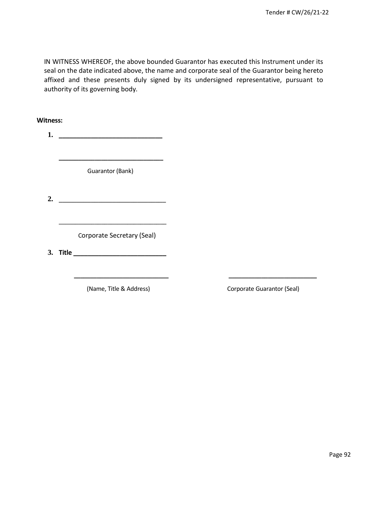IN WITNESS WHEREOF, the above bounded Guarantor has executed this Instrument under its seal on the date indicated above, the name and corporate seal of the Guarantor being hereto affixed and these presents duly signed by its undersigned representative, pursuant to authority of its governing body.

**Witness: 1. \_\_\_\_\_\_\_\_\_\_\_\_\_\_\_\_\_\_\_\_\_\_\_\_\_\_\_\_\_ \_\_\_\_\_\_\_\_\_\_\_\_\_\_\_\_\_\_\_\_\_\_\_\_\_\_\_\_\_\_\_\_** Guarantor (Bank) **2.** \_\_\_\_\_\_\_\_\_\_\_\_\_\_\_\_\_\_\_\_\_\_\_\_\_\_\_\_\_\_ \_\_\_\_\_\_\_\_\_\_\_\_\_\_\_\_\_\_\_\_\_\_\_\_\_\_\_\_\_\_\_\_\_ Corporate Secretary (Seal) **3. Title \_\_\_\_\_\_\_\_\_\_\_\_\_\_\_\_\_\_\_\_\_\_\_\_\_\_ \_\_\_\_\_\_\_\_\_\_\_\_\_\_\_\_\_\_\_\_\_\_\_\_\_\_\_\_\_ \_\_\_\_\_\_\_\_\_\_\_\_\_\_\_\_\_\_\_\_\_\_\_\_\_\_\_**

**(Name, Title & Address) Corporate Guarantor (Seal)**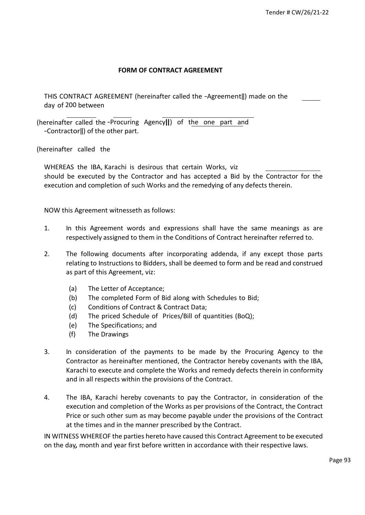### **FORM OF CONTRACT AGREEMENT**

THIS CONTRACT AGREEMENT (hereinafter called the -Agreement||) made on the day of 200 between

(hereinafter called the ―Procuring Agency‖) of the one part and ―Contractor‖) of the other part.

(hereinafter called the

WHEREAS the IBA, Karachi is desirous that certain Works, viz should be executed by the Contractor and has accepted a Bid by the Contractor for the execution and completion of such Works and the remedying of any defects therein.

NOW this Agreement witnesseth as follows:

- 1. In this Agreement words and expressions shall have the same meanings as are respectively assigned to them in the Conditions of Contract hereinafter referred to.
- 2. The following documents after incorporating addenda, if any except those parts relating to Instructions to Bidders, shall be deemed to form and be read and construed as part of this Agreement, viz:
	- (a) The Letter of Acceptance;
	- (b) The completed Form of Bid along with Schedules to Bid;
	- (c) Conditions of Contract & Contract Data;
	- (d) The priced Schedule of Prices/Bill of quantities (BoQ);
	- (e) The Specifications; and
	- (f) The Drawings
- 3. In consideration of the payments to be made by the Procuring Agency to the Contractor as hereinafter mentioned, the Contractor hereby covenants with the IBA, Karachi to execute and complete the Works and remedy defects therein in conformity and in all respects within the provisions of the Contract.
- 4. The IBA, Karachi hereby covenants to pay the Contractor, in consideration of the execution and completion of the Works as per provisions of the Contract, the Contract Price or such other sum as may become payable under the provisions of the Contract at the times and in the manner prescribed by the Contract.

IN WITNESS WHEREOF the parties hereto have caused this Contract Agreement to be executed on the day*,* month and year first before written in accordance with their respective laws.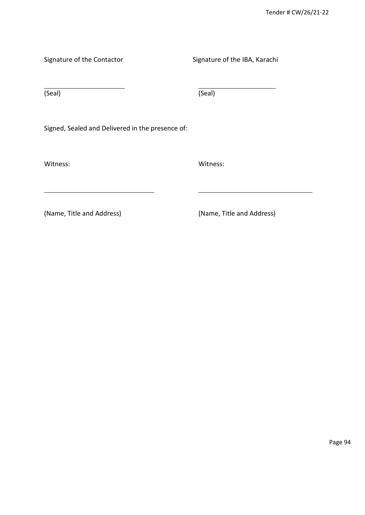Signature of the Contactor Signature of the IBA, Karachi

(Seal) (Seal)

Signed, Sealed and Delivered in the presence of:

Witness: Witness:

(Name, Title and Address) (Name, Title and Address)

Page 94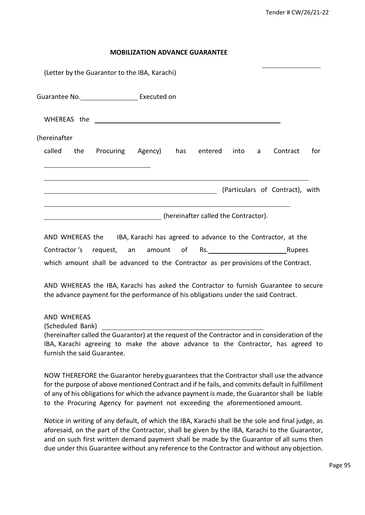#### **MOBILIZATION ADVANCE GUARANTEE**

| (Letter by the Guarantor to the IBA, Karachi) |           |                          |                                      |   |                                 |     |
|-----------------------------------------------|-----------|--------------------------|--------------------------------------|---|---------------------------------|-----|
|                                               |           |                          |                                      |   |                                 |     |
|                                               |           |                          |                                      |   |                                 |     |
| (hereinafter                                  |           |                          |                                      |   |                                 |     |
| called<br>the                                 | Procuring | Agency) has entered into |                                      | a | Contract                        | for |
|                                               |           |                          |                                      |   |                                 |     |
|                                               |           |                          |                                      |   | (Particulars of Contract), with |     |
|                                               |           |                          | (hereinafter called the Contractor). |   |                                 |     |

| AND WHEREAS the                                                                     |  |  |     | IBA, Karachi has agreed to advance to the Contractor, at the |        |
|-------------------------------------------------------------------------------------|--|--|-----|--------------------------------------------------------------|--------|
| Contractor's request, an amount of                                                  |  |  | Rs. |                                                              | Rupees |
| which amount shall be advanced to the Contractor as per provisions of the Contract. |  |  |     |                                                              |        |

AND WHEREAS the IBA, Karachi has asked the Contractor to furnish Guarantee to secure the advance payment for the performance of his obligations under the said Contract.

#### AND WHEREAS

(Scheduled Bank)

(hereinafter called the Guarantor) at the request of the Contractor and in consideration of the IBA, Karachi agreeing to make the above advance to the Contractor, has agreed to furnish the said Guarantee.

NOW THEREFORE the Guarantor hereby guarantees that the Contractor shall use the advance for the purpose of above mentioned Contract and if he fails, and commits default in fulfillment of any of his obligations for which the advance payment is made, the Guarantor shall be liable to the Procuring Agency for payment not exceeding the aforementioned amount.

Notice in writing of any default, of which the IBA, Karachi shall be the sole and final judge, as aforesaid, on the part of the Contractor, shall be given by the IBA, Karachi to the Guarantor, and on such first written demand payment shall be made by the Guarantor of all sums then due under this Guarantee without any reference to the Contractor and without any objection.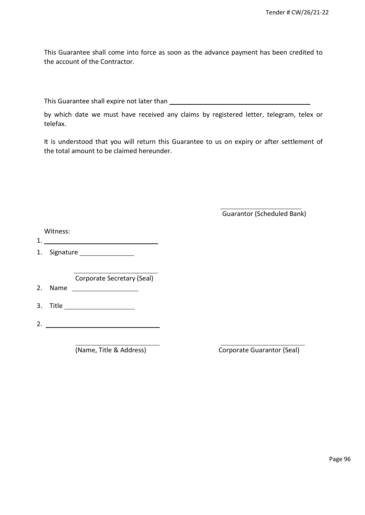This Guarantee shall come into force as soon as the advance payment has been credited to the account of the Contractor.

This Guarantee shall expire not later than

by which date we must have received any claims by registered letter, telegram, telex or telefax.

It is understood that you will return this Guarantee to us on expiry or after settlement of the total amount to be claimed hereunder.

Guarantor (Scheduled Bank)

|    | Witness: |                                                |
|----|----------|------------------------------------------------|
| 1. |          |                                                |
|    |          |                                                |
|    |          |                                                |
|    |          | Corporate Secretary (Seal)                     |
| 2. | Name     | <u>and the state of the state of the state</u> |
|    |          |                                                |
|    |          |                                                |
| 2. |          |                                                |
|    |          |                                                |

(Name, Title & Address) Corporate Guarantor (Seal)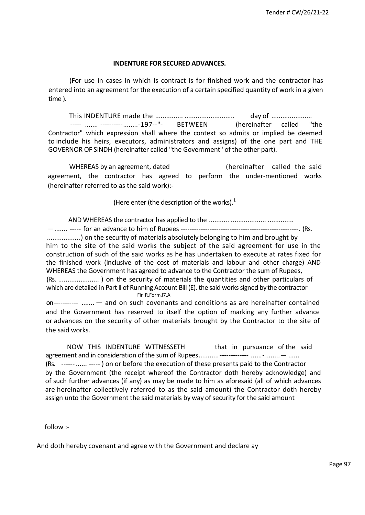#### **INDENTURE FOR SECURED ADVANCES.**

(For use in cases in which is contract is for finished work and the contractor has entered into an agreement for the execution of a certain specified quantity of work in a given time ).

This INDENTURE made the ............... ........................... day of ...................... ----- ....... ----------........-197--"- BETWEEN (hereinafter called "the Contractor" which expression shall where the context so admits or implied be deemed to include his heirs, executors, administrators and assigns) of the one part and THE GOVERNOR OF SINDH (hereinafter called "the Government" of the other part).

WHEREAS by an agreement, dated **the said** (hereinafter called the said agreement, the contractor has agreed to perform the under-mentioned works (hereinafter referred to as the said work):-

(Here enter (the description of the works).<sup>1</sup>

AND WHEREAS the contractor has applied to the ........... ................... .............. —....... ----- for an advance to him of Rupees -----------------------------------------------------. (Rs. ..................) on the security of materials absolutely belonging to him and brought by him to the site of the said works the subject of the said agreement for use in the construction of such of the said works as he has undertaken to execute at rates fixed for the finished work (inclusive of the cost of materials and labour and other charge) AND WHEREAS the Government has agreed to advance to the Contractor the sum of Rupees, (Rs. ...................... ) on the security of materials the quantities and other particulars of which are detailed in Part II of Running Account Bill (E). the said works signed by the contractor Fin R.Form.l7.A

on----------- ....... — and on such covenants and conditions as are hereinafter contained and the Government has reserved to itself the option of marking any further advance or advances on the security of other materials brought by the Contractor to the site of the said works.

NOW THIS INDENTURE WTTNESSETH that in pursuance of the said agreement and in consideration of the sum of Rupees...........------------- ......-........— ...... (Rs. ------ ...... ----- ) on or before the execution of these presents paid to the Contractor by the Government (the receipt whereof the Contractor doth hereby acknowledge) and of such further advances (if any) as may be made to him as aforesaid (all of which advances are hereinafter collectively referred to as the said amount) the Contractor doth hereby assign unto the Government the said materials by way of security for the said amount

follow :-

And doth hereby covenant and agree with the Government and declare ay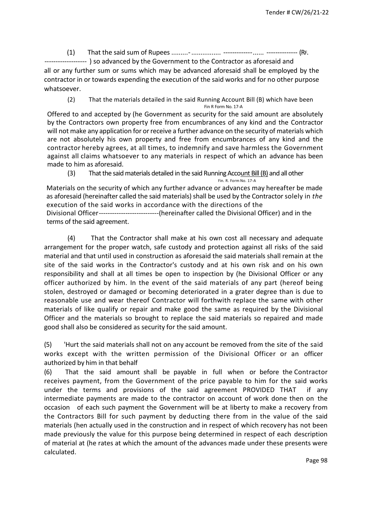(1) That the said sum of Rupees .........-................ -------------...... -------------- (RF.

------ ) so advanced by the Government to the Contractor as aforesaid and all or any further sum or sums which may be advanced aforesaid shall be employed by the contractor in or towards expending the execution of the said works and for no other purpose whatsoever.

(2) That the materials detailed in the said Running Account Bill (B) which have been Fin R Form No. 17-A

Offered to and accepted by (he Government as security for the said amount are absolutely by the Contractors own property free from encumbrances of any kind and the Contractor will not make any application for or receive a further advance on the security of materials which are not absolutely his own property and free from encumbrances of any kind and the contractor hereby agrees, at all times, to indemnify and save harmless the Government against all claims whatsoever to any materials in respect of which an advance has been made to him as aforesaid.

(3) That the said materials detailed in the said Running Account Bill (B) and all other

Fin. R. Form No. 17-A Materials on the security of which any further advance or advances may hereafter be made as aforesaid (hereinafter called the said materials) shall be used by the Contractor solely in *the* execution of the said works in accordance with the directions of the Divisional Officer---------------------------(hereinafter called the Divisional Officer) and in the terms of the said agreement.

(4) That the Contractor shall make at his own cost all necessary and adequate arrangement for the proper watch, safe custody and protection against all risks of the said material and that until used in construction as aforesaid the said materials shall remain at the site of the said works in the Contractor's custody and at his own risk and on his own responsibility and shall at all times be open to inspection by (he Divisional Officer or any officer authorized by him. In the event of the said materials of any part (hereof being stolen, destroyed or damaged or becoming deteriorated in a grater degree than is due to reasonable use and wear thereof Contractor will forthwith replace the same with other materials of like qualify or repair and make good the same as required by the Divisional Officer and the materials so brought to replace the said materials so repaired and made good shall also be considered as security for the said amount.

(5) 'Hurt the said materials shall not on any account be removed from the site of the said works except with the written permission of the Divisional Officer or an officer authorized by him in that behalf

(6) That the said amount shall be payable in full when or before the Contractor receives payment, from the Government of the price payable to him for the said works under the terms and provisions of the said agreement PROVIDED THAT if any intermediate payments are made to the contractor on account of work done then on the occasion of each such payment the Government will be at liberty to make a recovery from the Contractors Bill for such payment by deducting there from in the value of the said materials (hen actually used in the construction and in respect of which recovery has not been made previously the value for this purpose being determined in respect of each description of material at (he rates at which the amount of the advances made under these presents were calculated.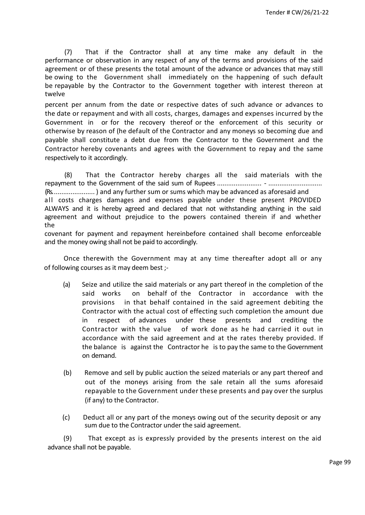(7) That if the Contractor shall at any time make any default in the performance or observation in any respect of any of the terms and provisions of the said agreement or of these presents the total amount of the advance or advances that may still be owing to the Government shall immediately on the happening of such default be repayable by the Contractor to the Government together with interest thereon at twelve

percent per annum from the date or respective dates of such advance or advances to the date or repayment and with all costs, charges, damages and expenses incurred by the Government in or for the recovery thereof or the enforcement of this security or otherwise by reason of (he default of the Contractor and any moneys so becoming due and payable shall constitute a debt due from the Contractor to the Government and the Contractor hereby covenants and agrees with the Government to repay and the same respectively to it accordingly.

(8) That the Contractor hereby charges all the said materials with the repayment to the Government of the said sum of Rupees ........................ - ............................. (Rs....................... ) and any further sum or sums which may be advanced as aforesaid and all costs charges damages and expenses payable under these present PROVIDED ALWAYS and it is hereby agreed and declared that not withstanding anything in the said agreement and without prejudice to the powers contained therein if and whether the

covenant for payment and repayment hereinbefore contained shall become enforceable and the money owing shall not be paid to accordingly.

Once therewith the Government may at any time thereafter adopt all or any of following courses as it may deem best ;-

- (a) Seize and utilize the said materials or any part thereof in the completion of the said works on behalf of the Contractor in accordance with the provisions in that behalf contained in the said agreement debiting the Contractor with the actual cost of effecting such completion the amount due in respect of advances under these presents and crediting the Contractor with the value of work done as he had carried it out in accordance with the said agreement and at the rates thereby provided. If the balance is against the Contractor he is to pay the same to the Government on demand.
- (b) Remove and sell by public auction the seized materials or any part thereof and out of the moneys arising from the sale retain all the sums aforesaid repayable to the Government under these presents and pay over the surplus (if any) to the Contractor.
- (c) Deduct all or any part of the moneys owing out of the security deposit or any sum due to the Contractor under the said agreement.

(9) That except as is expressly provided by the presents interest on the aid advance shall not be payable.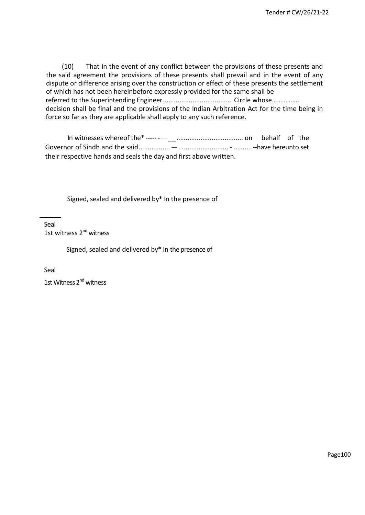(10) That in the event of any conflict between the provisions of these presents and the said agreement the provisions of these presents shall prevail and in the event of any dispute or difference arising over the construction or effect of these presents the settlement of which has not been hereinbefore expressly provided for the same shall be referred to the Superintending Engineer..................................... Circle whose……………. decision shall be final and the provisions of the Indian Arbitration Act for the time being in force so far as they are applicable shall apply to any such reference.

| In witnesses whereof the *------- manuming manuming on behalf of the |  |  |
|----------------------------------------------------------------------|--|--|
|                                                                      |  |  |
| their respective hands and seals the day and first above written.    |  |  |

Signed, sealed and delivered by\* In the presence of

Seal 1st witness 2<sup>nd</sup> witness

Signed, sealed and delivered by\* In the presence of

Seal

1st Witness 2<sup>nd</sup> witness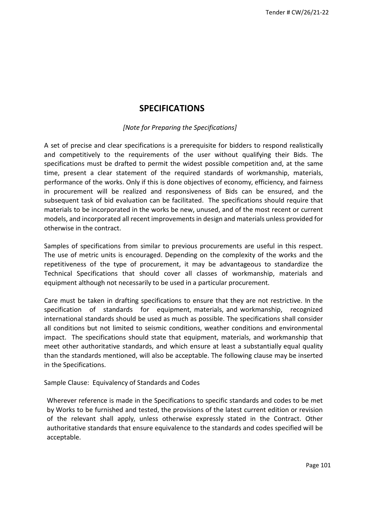# **SPECIFICATIONS**

#### *[Note for Preparing the Specifications]*

A set of precise and clear specifications is a prerequisite for bidders to respond realistically and competitively to the requirements of the user without qualifying their Bids. The specifications must be drafted to permit the widest possible competition and, at the same time, present a clear statement of the required standards of workmanship, materials, performance of the works. Only if this is done objectives of economy, efficiency, and fairness in procurement will be realized and responsiveness of Bids can be ensured, and the subsequent task of bid evaluation can be facilitated. The specifications should require that materials to be incorporated in the works be new, unused, and of the most recent or current models, and incorporated all recent improvements in design and materials unless provided for otherwise in the contract.

Samples of specifications from similar to previous procurements are useful in this respect. The use of metric units is encouraged. Depending on the complexity of the works and the repetitiveness of the type of procurement, it may be advantageous to standardize the Technical Specifications that should cover all classes of workmanship, materials and equipment although not necessarily to be used in a particular procurement.

Care must be taken in drafting specifications to ensure that they are not restrictive. In the specification of standards for equipment, materials, and workmanship, recognized international standards should be used as much as possible. The specifications shall consider all conditions but not limited to seismic conditions, weather conditions and environmental impact. The specifications should state that equipment, materials, and workmanship that meet other authoritative standards, and which ensure at least a substantially equal quality than the standards mentioned, will also be acceptable. The following clause may be inserted in the Specifications.

#### Sample Clause: Equivalency of Standards and Codes

Wherever reference is made in the Specifications to specific standards and codes to be met by Works to be furnished and tested, the provisions of the latest current edition or revision of the relevant shall apply, unless otherwise expressly stated in the Contract. Other authoritative standards that ensure equivalence to the standards and codes specified will be acceptable.